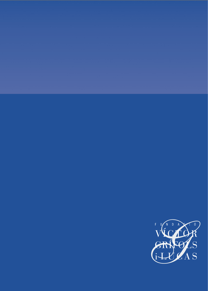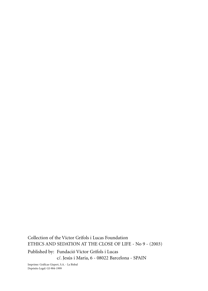Collection of the Víctor Grífols i Lucas Foundation ETHICS AND SEDATION AT THE CLOSE OF LIFE - No 9 - (2003) Published by: Fundació Víctor Grífols i Lucas c/. Jesús i Maria, 6 - 08022 Barcelona - SPAIN Imprime: Gráficas Gispert, S.A. - La Bisbal Depósito Legal: GI-904-1999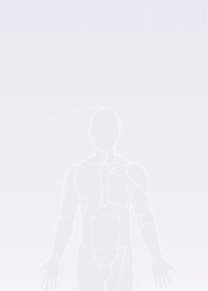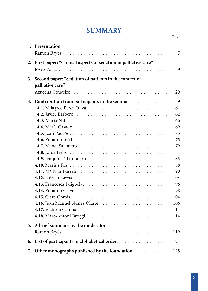# **SUMMARY**

|    | 1. Presentation                                                           | 7   |
|----|---------------------------------------------------------------------------|-----|
| 2. | First paper: "Clinical aspects of sedation in palliative care"            | 9   |
| 3. | Second paper: "Sedation of patients in the context of<br>palliative care" | 29  |
|    | 4. Contribution from participants in the seminar                          | 59  |
|    | 4.1. Milagros Pérez Oliva                                                 | 61  |
|    |                                                                           | 62  |
|    |                                                                           | 66  |
|    |                                                                           | 69  |
|    |                                                                           | 73  |
|    |                                                                           | 75  |
|    |                                                                           | 79  |
|    |                                                                           | 81  |
|    |                                                                           | 83  |
|    |                                                                           | 88  |
|    |                                                                           | 90  |
|    |                                                                           | 94  |
|    |                                                                           | 96  |
|    |                                                                           | 98  |
|    |                                                                           | 104 |
|    |                                                                           | 106 |
|    |                                                                           | 111 |
|    |                                                                           | 114 |
| 5. | A brief summary by the moderator                                          | 119 |
| 6. |                                                                           | 121 |
|    | 7. Other monographs published by the foundation                           | 125 |

Page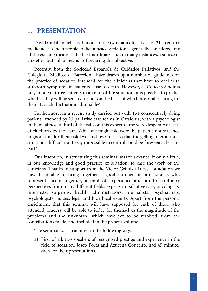# **1. PRESENTATION**

David Callahan<sup>1</sup> tells us that one of the two main objectives for 21st century medicine is to help people to die in peace. Sedation is generally considered one of the existing means - albeit extraordinary and, in many instances, a source of anxieties, but still a means - of securing this objective.

Recently, both the Sociedad Española de Cuidados Paliativos<sup>2</sup> and the Colegio de Médicos de Barcelona<sup>3</sup> have drawn up a number of guidelines on the practice of sedation intended for the clinicians that have to deal with stubborn symptoms in patients close to death. However, as Couceiro<sup>4</sup> points out, in one in three patients in an end-of-life situation, it is possible to predict whether they will be sedated or not on the basis of which hospital is caring for them. Is such fluctuation admissible?

Furthermore, in a recent study carried out with 151 consecutively dying patients attended by 23 palliative care teams in Catalonia, with a psychologist in them, almost a third of the calls on this expert's time were desperate or lastditch efforts by the team. Why, one might ask, were the patients not screened in good time for their risk level and resources, so that the gelling of emotional situations difficult not to say impossible to control could be foreseen at least in part?

Our intention, in structuring this seminar, was to advance, if only a little, in our knowledge and good practice of sedation, to ease the work of the clinicians. Thanks to support from the Víctor Grífols i Lucas Foundation we have been able to bring together a good number of professionals who represent, taken together, a pool of experience and multidisciplinary perspectives from many different fields: experts in palliative care, oncologists, internists, surgeons, health administrators, journalists, psychiatrists, psychologists, nurses, legal and bioethical experts. Apart from the personal enrichment that this seminar will have supposed for each of those who attended, readers will be able to judge for themselves the magnitude of the problems and the unknowns which have yet to be resolved, from the contributions made, and included in the present volume.

The seminar was structured in the following way:

a) First of all, two speakers of recognised prestige and experience in the field of sedation, Josep Porta and Azucena Couceiro, had 45 minutes each for their presentations.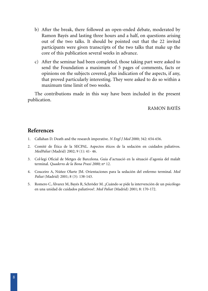- b) After the break, there followed an open-ended debate, moderated by Ramon Bayés and lasting three hours and a half, on questions arising out of the two talks. It should be pointed out that the 22 invited participants were given transcripts of the two talks that make up the core of this publication several weeks in advance.
- c) After the seminar had been completed, those taking part were asked to send the Foundation a maximum of 5 pages of comments, facts or opinions on the subjects covered, plus indication of the aspects, if any, that proved particularly interesting. They were asked to do so within a maximum time limit of two weeks.

The contributions made in this way have been included in the present publication.

RAMON BAYÉS

# **References**

- 1. Callahan D. Death and the research imperative. *N Engl J Med* 2000; 342: 654-656.
- 2. Comité de Ética de la SECPAL. Aspectos éticos de la sedación en cuidados paliativos. *MedPaliat* (Madrid) 2002; 9 (1): 41- 46.
- 3. Col·legi Oficial de Metges de Barcelona. Guia d'actuació en la situació d'agonia del malalt terminal. *Quaderns de la Bona Praxi 2000;* nº 12.
- 4. Couceiro A, Núñez Olarte JM. Orientaciones para la sedación del enfermo terminal. *Med Paliat* (Madrid) 2001; 8 (3): 138-143.
- 5. Romero C, Álvarez M, Bayés R, Schröder M. ¿Cuándo se pide la intervención de un psicólogo en una unidad de cuidados paliativos?. *Med Paliat* (Madrid) 2001; 8: 170-172.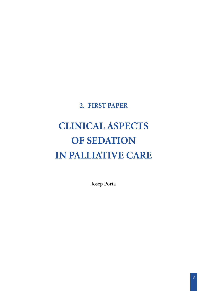# **2. FIRST PAPER**

# **CLINICAL ASPECTS OF SEDATION IN PALLIATIVE CARE**

Josep Porta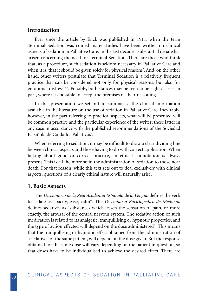# **Introduction**

Ever since the article by Enck was published in 1911, when the term Terminal Sedation was coined many studies have been written on clinical aspects of sedation in Palliative Care. In the last decade a substantial debate has arisen concerning the need for Terminal Sedation. There are those who think that, as a procedure, such sedation is seldom necessary in Palliative Care and when it is, that it should be given solely for physical reasons<sup>2</sup>. And, on the other hand, other writers postulate that Terminal Sedation is a relatively frequent practice that can be considered not only for physical reasons, but also for emotional distress<sup>3,4,5</sup>. Possibly, both stances may be seen to be right at least in part, where it is possible to accept the premises of their reasoning.

In this presentation we set out to summarise the clinical information available in the literature on the use of sedation in Palliative Care. Inevitably, however, in the part referring to practical aspects, what will be presented will be common practice and the particular experience of the writer; these latter in any case in accordance with the published recommendations of the Sociedad Española de Cuidados Paliativos6.

When referring to sedation, it may be difficult to draw a clear dividing line between clinical aspects and those having to do with correct application. When talking about good or correct practice, an ethical connotation is always present. This is all the more so in the administration of sedation to those near death. For that reason, while this text sets out to deal exclusively with clinical aspects, questions of a clearly ethical nature will naturally arise.

# **1. Basic Aspects**

The *Diccionario de la Real Academia Española de la Lengua* defines the verb to sedate as "pacify, ease, calm". The *Diccionario Enciclopédico de Medicina* defines sedatives as "substances which lessen the sensation of pain, or more exactly, the arousal of the central nervous system. The sedative action of such medication is related to its analgesic, tranquillising or hypnotic properties, and the type of action effected will depend on the dose administered". This means that the tranquillising or hypnotic effect obtained from the administration of a sedative, for the same patient, will depend on the dose given. But the response obtained for the same dose will vary depending on the patient in question, so that doses have to be individualised to achieve the desired effect. There are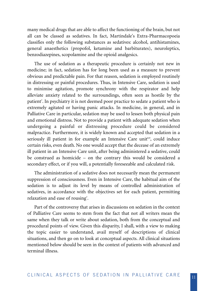many medical drugs that are able to affect the functioning of the brain, but not all can be classed as sedatives. In fact, Martindale's Extra-Pharmacopoeia classifies only the following substances as sedatives: alcohol, antihistamines, general anaesthetics (propofol, ketamine and barbiturates), neuroleptics, benzodiazepines, scopolamine and the opioid analgesics.

The use of sedation as a therapeutic procedure is certainly not new in medicine; in fact, sedation has for long been used as a measure to prevent obvious and predictable pain. For that reason, sedation is employed routinely in distressing or painful procedures. Thus, in Intensive Care, sedation is used to minimise agitation, promote synchrony with the respirator and help alleviate anxiety related to the surroundings, often seen as hostile by the patient7 . In psychiatry it is not deemed poor practice to sedate a patient who is extremely agitated or having panic attacks. In medicine, in general, and in Palliative Care in particular, sedation may be used to lessen both physical pain and emotional distress. Not to provide a patient with adequate sedation when undergoing a painful or distressing procedure could be considered malpractice. Furthermore, it is widely known and accepted that sedation in a seriously ill patient in for example an Intensive Care unit<sup>8,9</sup>, could induce certain risks, even death. No one would accept that the decease of an extremely ill patient in an Intensive Care unit, after being administered a sedative, could be construed as homicide – on the contrary this would be considered a secondary effect, or if you will, a potentially foreseeable and calculated risk.

The administration of a sedative does not necessarily mean the permanent suppression of consciousness. Even in Intensive Care, the habitual aim of the sedation is to adjust its level by means of controlled administration of sedatives, in accordance with the objectives set for each patient, permitting relaxation and ease of rousing<sup>7</sup>.

Part of the controversy that arises in discussions on sedation in the context of Palliative Care seems to stem from the fact that not all writers mean the same when they talk or write about sedation, both from the conceptual and procedural points of view. Given this disparity, I shall, with a view to making the topic easier to understand, avail myself of descriptions of clinical situations, and then go on to look at conceptual aspects. All clinical situations mentioned below should be seen in the context of patients with advanced and terminal illness.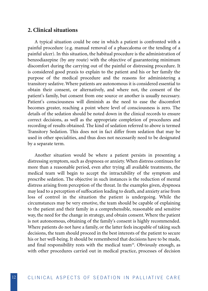# **2. Clinical situations**

A typical situation could be one in which a patient is confronted with a painful procedure (e.g. manual removal of a phaecaloma or the tending of a painful ulcer). In this situation, the habitual procedure is the administration of benzodiazepine (by any route) with the objective of guaranteeing minimum discomfort during the carrying out of the painful or distressing procedure. It is considered good praxis to explain to the patient and his or her family the purpose of the medical procedure and the reasons for administering a transitory sedative. Where patients are autonomous it is considered essential to obtain their consent, or alternatively, and where not, the consent of the patient's family, but consent from one source or another is usually necessary. Patient's consciousness will diminish as the need to ease the discomfort becomes greater, reaching a point where level of consciousness is zero. The details of the sedation should be noted down in the clinical records to ensure correct decisions, as well as the appropriate completion of procedures and recording of results obtained. The kind of sedation referred to above is termed Transitory Sedation. This does not in fact differ from sedation that may be used in other specialities, and thus does not necessarily need to be designated by a separate term.

Another situation would be where a patient persists in presenting a distressing symptom, such as dyspnoea or anxiety. When distress continues for more than a reasonable period, even after trying all available treatments, the medical team will begin to accept the intractability of the symptom and prescribe sedation. The objective in such instances is the reduction of mental distress arising from perception of the threat. In the examples given, dyspnoea may lead to a perception of suffocation leading to death, and anxiety arise from loss of control in the situation the patient is undergoing. While the circumstances may be very emotive, the team should be capable of explaining to the patient and their family in a comprehensible, reasonable and sensitive way, the need for the change in strategy, and obtain consent. Where the patient is not autonomous, obtaining of the family's consent is highly recommended. Where patients do not have a family, or the latter feels incapable of taking such decisions, the team should proceed in the best interests of the patient to secure his or her well-being. It should be remembered that decisions have to be made, and final responsibility rests with the medical team<sup>10</sup>. Obviously enough, as with other procedures carried out in medical practice, processes of decision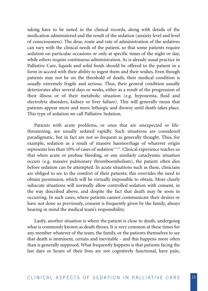taking have to be noted in the clinical records, along with details of the medication administered and the result of the sedation (anxiety level and level of consciousness). The dose, route and rate of administration of the sedatives can vary with the clinical needs of the patient, so that some patients require sedation on particular occasions or only at specific times of the night or day, while others require continuous administration. As is already usual practice in Palliative Care, liquids and solid foods should be offered to the patient in a form in accord with their ability to ingest them and their wishes. Even though patients may not be on the threshold of death, their medical condition is usually extremely fragile and serious. Thus, their general condition usually deteriorates after several days or weeks, either as a result of the progression of their illness or of their metabolic situation (e.g. hypoxemia, fluid and electrolyte disorders, kidney or liver failure). This will generally mean that patients appear more and more lethargic and drowsy until death takes place. This type of sedation we call Palliative Sedation.

Patients with acute problems, or ones that are unexpected or lifethreatening, are usually sedated rapidly. Such situations are considered paradigmatic, but in fact are not so frequent as generally thought. Thus, for example, sedation as a result of massive haemorrhage of whatever origin represents less than 10% of cases of sedation<sup>5,11,12</sup>. Clinical experience teaches us that when acute or profuse bleeding, or any similarly cataclysmic situation occurs (e.g. massive pulmonary thromboembolism), the patient often dies before sedation can be attempted. In acute situations such as these, clinicians are obliged to see to the comfort of their patients; this overrides the need to obtain permission, which will be virtually impossible to obtain. More clearly subacute situations will normally allow controlled sedation with consent, in the way described above, and despite the fact that death may be soon in occurring. In such cases, where patients cannot communicate their desires or have not done so previously, consent is frequently given by the family, always bearing in mind the medical team's responsibility.

Lastly, another situation is where the patient is close to death, undergoing what is commonly known as death throes. It is very common at these times for any member whatever of the team, the family, or the patients themselves to see that death is imminent, certain and inevitable - and this happens more often than is generally supposed. What frequently happens is that patients facing the last days or hours of their lives are not cognitively functional, have pain,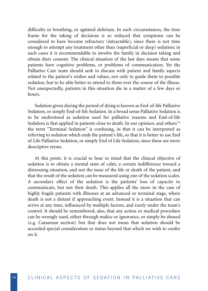difficulty in breathing, or agitated delirium. In such circumstances, the time frame for the taking of decisions is so reduced that symptoms can be considered to have become refractory (intractable), since there is not time enough to attempt any treatment other than (superficial or deep) sedation; in such cases it is recommendable to involve the family in decision taking and obtain their consent. The clinical situation of the last days means that some patients have cognitive problems, or problems of communication. Yet the Palliative Care team should seek to discuss with patient and family aspects related to the patient's wishes and values, not only to guide them to possible sedation, but to be able better to attend to them over the course of the illness. Not unexpectedly, patients in this situation die in a matter of a few days or hours.

Sedation given during the period of dying is known as End-of-life Palliative Sedation, or simply End-of-life Sedation. In a broad sense Palliative Sedation is to be understood as sedation used for palliative reasons and End-of-life Sedation is that applied in patients close to death. In our opinion, and others<sup>14</sup> the term "Terminal Sedation" is confusing, in that it can be interpreted as referring to sedation which ends the patient's life, so that it is better to use End of Life Palliative Sedation, or simply End of Life Sedation, since these are more descriptive terms.

At this point, it is crucial to bear in mind that the clinical objective of sedation is to obtain a mental state of calm, a certain indifference toward a distressing situation, and not the issue of the life or death of the patient, and that the result of the sedation can be measured using one of the sedation scales. A secondary effect of the sedation is the patients' loss of capacity to communicate, but not their death. This applies all the more in the case of highly fragile patients with illnesses at an advanced or terminal stage, where death is not a distant if approaching event. Instead it is a situation that can arrive at any time, influenced by multiple factors, and rarely under the team's control. It should be remembered, also, that any action or medical procedure can be wrongly used, either through malice or ignorance, or simply be abused (e.g. Caesarean section) but that does not mean that sedation should be accorded special consideration or status beyond that which we wish to confer on it.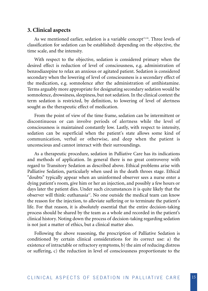# **3. Clinical aspects**

As we mentioned earlier, sedation is a variable concept<sup>15,16</sup>. Three levels of classification for sedation can be established: depending on the objective, the time scale, and the intensity.

With respect to the objective, sedation is considered primary when the desired effect is reduction of level of consciousness, e.g. administration of benzodiazepine to relax an anxious or agitated patient. Sedation is considered secondary when the lowering of level of consciousness is a secondary effect of the medication, e.g. somnolence after the administration of antihistamine. Terms arguably more appropriate for designating secondary sedation would be somnolence, drowsiness, sleepiness, but not sedation. In the clinical context the term sedation is restricted, by definition, to lowering of level of alertness sought as the therapeutic effect of medication.

From the point of view of the time frame, sedation can be intermittent or discontinuous or can involve periods of alertness while the level of consciousness is maintained constantly low. Lastly, with respect to intensity, sedation can be superficial when the patient's state allows some kind of communication, verbal or otherwise, and deep when the patient is unconscious and cannot interact with their surroundings.

As a therapeutic procedure, sedation in Palliative Care has its indications and methods of application. In general there is no great controversy with regard to Transitory Sedation as described above. Ethical problems arise with Palliative Sedation, particularly when used in the death throes stage. Ethical "doubts" typically appear when an uninformed observer sees a nurse enter a dying patient's room, give him or her an injection, and possibly a few hours or days later the patient dies. Under such circumstances it is quite likely that the observer will think: euthanasia<sup>17</sup> No one outside the medical team can know the reason for the injection, to alleviate suffering or to terminate the patient's life. For that reason, it is absolutely essential that the entire decision-taking process should be shared by the team as a whole and recorded in the patient's clinical history. Noting down the process of decision-taking regarding sedation is not just a matter of ethics, but a clinical matter also.

Following the above reasoning, the prescription of Palliative Sedation is conditioned by certain clinical considerations for its correct use: a) the existence of intractable or refractory symptoms, b) the aim of reducing distress or suffering, c) the reduction in level of consciousness proportionate to the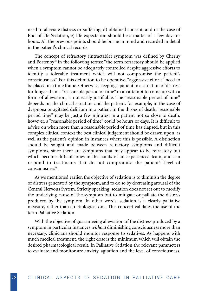need to alleviate distress or suffering, d) obtained consent, and in the case of End-of-life Sedation, e) life expectation should be a matter of a few days or hours. All the previous points should be borne in mind and recorded in detail in the patient's clinical records.

The concept of refractory (intractable) symptom was defined by Cherny and Portenoy<sup>18</sup> in the following terms: "the term refractory should be applied when a symptom cannot be adequately controlled despite aggressive efforts to identify a tolerable treatment which will not compromise the patient's consciousness". For this definition to be operative, "aggressive efforts" need to be placed in a time frame. Otherwise, keeping a patient in a situation of distress for longer than a "reasonable period of time" in an attempt to come up with a form of alleviation, is not easily justifiable. The "reasonable period of time" depends on the clinical situation and the patient; for example, in the case of dyspnoea or agitated delirium in a patient in the throes of death, "reasonable period time" may be just a few minutes; in a patient not so close to death, however, a "reasonable period of time" could be hours or days. It is difficult to advise on when more than a reasonable period of time has elapsed, but in this complex clinical context the best clinical judgement should be drawn upon, as well as the patient's opinion in instances where this is possible. A distinction should be sought and made between refractory symptoms and difficult symptoms, since there are symptoms that may appear to be refractory but which become difficult ones in the hands of an experienced team, and can respond to treatments that do not compromise the patient's level of consciousness<sup>19</sup>.

As we mentioned earlier, the objective of sedation is to diminish the degree of distress generated by the symptom, and to do so by decreasing arousal of the Central Nervous System. Strictly speaking, sedation does not set out to modify the underlying cause of the symptom but to mitigate or palliate the distress produced by the symptom. In other words, sedation is a clearly palliative measure, rather than an etiological one. This concept validates the use of the term Palliative Sedation.

With the objective of guaranteeing alleviation of the distress produced by a symptom in particular instances *without* diminishing consciousness more than necessary, clinicians should monitor response to sedatives. As happens with much medical treatment, the right dose is the minimum which will obtain the desired pharmacological result. In Palliative Sedation the relevant parameters to evaluate and monitor are anxiety, agitation and the level of consciousness.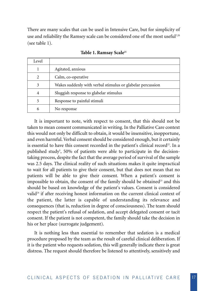There are many scales that can be used in Intensive Care, but for simplicity of use and reliability the Ramsey scale can be considered one of the most useful<sup>7,20</sup> (see table 1).

| Level |                                                            |
|-------|------------------------------------------------------------|
|       | Agitated, anxious                                          |
| 2     | Calm, co-operative                                         |
| 3     | Wakes suddenly with verbal stimulus or glabelar percussion |
| 4     | Sluggish response to glabelar stimulus                     |
| 5     | Response to painful stimuli                                |
| 6     | No response                                                |

**Table 1. Ramsay Scale21**

It is important to note, with respect to consent, that this should not be taken to mean consent communicated in writing. In the Palliative Care context this would not only be difficult to obtain, it would be insensitive, inopportune, and even harmful. Verbal consent should be considered enough, but it certainly is essential to have this consent recorded in the patient's clinical record<sup>22</sup>. In a published study<sup>5</sup>, 50% of patients were able to participate in the decisiontaking process, despite the fact that the average period of survival of the sample was 2.5 days. The clinical reality of such situations makes it quite impractical to wait for all patients to give their consent, but that does not mean that no patients will be able to give their consent. When a patient's consent is impossible to obtain, the consent of the family should be obtained<sup>23</sup> and this should be based on knowledge of the patient's values. Consent is considered valid<sup>24</sup> if after receiving honest information on the current clinical context of the patient, the latter is capable of understanding its relevance and consequences (that is, reduction in degree of consciousness). The team should respect the patient's refusal of sedation, and accept delegated consent or tacit consent. If the patient is not competent, the family should take the decision in his or her place (surrogate judgement).

It is nothing less than essential to remember that sedation is a medical procedure proposed by the team as the result of careful clinical deliberation. If it is the patient who requests sedation, this will generally indicate there is great distress. The request should therefore be listened to attentively, sensitively and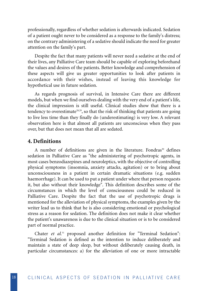professionally, regardless of whether sedation is afterwards indicated. Sedation of a patient ought never to be considered as a response to the family's distress; on the contrary administering of a sedative should indicate the need for greater attention on the family's part.

Despite the fact that many patients will never need a sedative at the end of their lives, any Palliative Care team should be capable of exploring beforehand the values and desires of the patients. Better knowledge and comprehension of these aspects will give us greater opportunities to look after patients in accordance with their wishes, instead of leaving this knowledge for hypothetical use in future sedation.

As regards prognosis of survival, in Intensive Care there are different models, but when we find ourselves dealing with the very end of a patient's life, the clinical impression is still useful. Clinical studies show that there is a tendency to overestimate<sup>28,29</sup>, so that the risk of thinking that patients are going to live less time than they finally do (underestimating) is very low. A relevant observation here is that almost all patients are unconscious when they pass over, but that does not mean that all are sedated.

### **4. Definitions**

A number of definitions are given in the literature. Fondras<sup>30</sup> defines sedation in Palliative Care as "the administering of psychotropic agents, in most cases benzodiazepines and neuroleptics, with the objective of controlling physical symptoms (insomnia, anxiety attacks, agitation) or to bring about unconsciousness in a patient in certain dramatic situations (e.g. sudden haemorrhage). It can be used to put a patient under where that person requests it, but also without their knowledge". This definition describes some of the circumstances in which the level of consciousness could be reduced in Palliative Care. Despite the fact that the use of psychotropic drugs is mentioned for the alleviation of physical symptoms, the examples given by the writer lead us to think that he is also considering emotional or psychological stress as a reason for sedation. The definition does not make it clear whether the patient's unawareness is due to the clinical situation or is to be considered part of normal practice.

Chater *et al.*<sup>31</sup> proposed another definition for "Terminal Sedation": "Terminal Sedation is defined as the intention to induce deliberately and maintain a state of deep sleep, but without deliberately causing death, in particular circumstances: a) for the alleviation of one or more intractable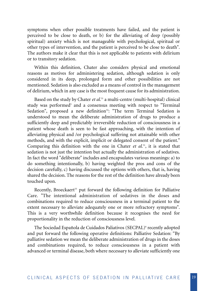symptoms when other possible treatments have failed, and the patient is perceived to be close to death, or b) for the alleviating of deep (possibly spiritual) anxiety which is not manageable with psychological, spiritual or other types of intervention, and the patient is perceived to be close to death". The authors make it clear that this is not applicable to patients with delirium or to transitory sedation.

Within this definition, Chater also considers physical and emotional reasons as motives for administering sedation, although sedation is only considered in its deep, prolonged form and other possibilities are not mentioned. Sedation is also excluded as a means of control in the management of delirium, which in any case is the most frequent cause for its administration.

Based on the study by Chater *et al.*<sup>31</sup> a multi-centre (multi-hospital) clinical study was performed<sup>5</sup> and a consensus meeting with respect to "Terminal Sedation", proposed a new definition<sup>32</sup>: "The term Terminal Sedation is understood to mean the deliberate administration of drugs to produce a sufficiently deep and predictably irreversible reduction of consciousness in a patient whose death is seen to be fast approaching, with the intention of alleviating physical and /or psychological suffering not attainable with other methods, and with the explicit, implicit or delegated consent of the patient." Comparing this definition with the one in Chater *et al.*<sup>31</sup>, it is stated that sedation is not just the intention but actually the administration of sedatives. In fact the word "deliberate" includes and encapsulates various meanings: a) to do something intentionally, b) having weighted the pros and cons of the decision carefully, c) having discussed the options with others, that is, having shared the decision. The reasons for the rest of the definition have already been touched upon.

Recently, Broeckaert<sup>33</sup> put forward the following definition for Palliative Care. "The intentional administration of sedatives in the doses and combinations required to reduce consciousness in a terminal patient to the extent necessary to alleviate adequately one or more refractory symptoms". This is a very worthwhile definition because it recognises the need for proportionality in the reduction of consciousness level.

The Sociedad Española de Cuidados Paliativos (SECPAL)<sup>6</sup> recently adopted and put forward the following operative definitions: Palliative Sedation: "By palliative sedation we mean the deliberate administration of drugs in the doses and combinations required, to reduce consciousness in a patient with advanced or terminal disease, both where necessary to alleviate sufficiently one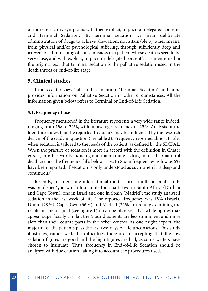or more refractory symptoms with their explicit, implicit or delegated consent" and Terminal Sedation: "By terminal sedation we mean deliberate administration of drugs to achieve alleviation, not attainable by other means, from physical and/or psychological suffering, through sufficiently deep and irreversible diminishing of consciousness in a patient whose death is seen to be very close, and with explicit, implicit or delegated consent". It is mentioned in the original text that terminal sedation is the palliative sedation used in the death throes or end-of-life stage.

# **5. Clinical studies**

In a recent review<sup>34</sup> all studies mention "Terminal Sedation" and none provides information on Palliative Sedation in other circumstances. All the information given below refers to Terminal or End-of-Life Sedation.

#### **5.1. Frequency of use**

Frequency mentioned in the literature represents a very wide range indeed, ranging from 1% to 72%, with an average frequency of 25%. Analysis of the literature shows that the reported frequency may be influenced by the research design of the study in question (see table 2). Frequency reported almost triples when sedation is tailored to the needs of the patient, as defined by the SECPAL. When the practice of sedation is more in accord with the definition in Chater *et al.*31, in other words inducing and maintaining a drug-induced coma until death occurs, the frequency falls below 15%. In Spain frequencies as low as 6% have been reported, if sedation is only understood as such when it is deep and  $continuous<sup>20</sup>$ .

Recently, an interesting international multi-centre (multi-hospital) study was published<sup>35</sup>, in which four units took part, two in South Africa (Durban and Cape Town), one in Israel and one in Spain (Madrid); the study analysed sedation in the last week of life. The reported frequency was 15% (Israel), Duran (29%), Cape Town (36%) and Madrid (22%). Carefully examining the results in the original (see figure 1) it can be observed that while figures may appear superficially similar, the Madrid patients are less somnolent and more alert than their counterparts in the other centres. As one might expect, the majority of the patients pass the last two days of life unconscious. This study illustrates, rather well, the difficulties there are in accepting that the low sedation figures are good and the high figures are bad, as some writers have chosen to insinuate. Thus, frequency in End-of-Life Sedation should be analysed with due caution, taking into account the procedures used.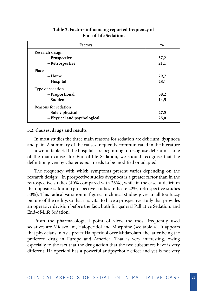| Factors                      | $\%$ |
|------------------------------|------|
| Research design              |      |
| – Prospective                | 37,2 |
| - Retrospective              | 21,1 |
| Place                        |      |
| – Home                       | 29,7 |
| – Hospital                   | 28,1 |
| Type of sedation             |      |
| - Proportional               | 38,2 |
| – Sudden                     | 14,5 |
| Reasons for sedation         |      |
| – Solely physical            | 27,5 |
| - Physical and psychological | 25,0 |

# **Table 2. Factors influencing reported frequency of End-of-life Sedation.**

#### **5.2. Causes, drugs and results**

In most studies the three main reasons for sedation are delirium, dyspnoea and pain. A summary of the causes frequently communicated in the literature is shown in table 3. If the hospitals are beginning to recognise delirium as one of the main causes for End-of-life Sedation, we should recognise that the definition given by Chater *et al.*<sup>31</sup> needs to be modified or adapted.

The frequency with which symptoms present varies depending on the research design<sup>34</sup>. In prospective studies dyspnoea is a greater factor than in the retrospective studies (40% compared with 26%), while in the case of delirium the opposite is found (prospective studies indicate 22%, retrospective studies 50%). This radical variation in figures in clinical studies gives an all too fuzzy picture of the reality, so that it is vital to have a prospective study that provides an operative decision before the fact, both for general Palliative Sedation, and End-of-Life Sedation.

From the pharmacological point of view, the most frequently used sedatives are Midazolam, Haloperidol and Morphine (see table 4). It appears that physicians in Asia prefer Haloperidol over Midazolam, the latter being the preferred drug in Europe and America. That is very interesting, owing especially to the fact that the drug action that the two substances have is very different. Haloperidol has a powerful antipsychotic effect and yet is not very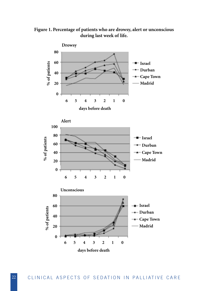**Figure 1. Percentage of patients who are drowsy, alert or unconscious during last week of life.**

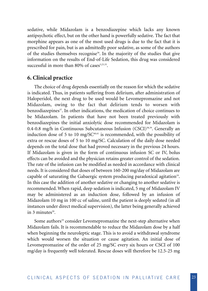sedative, while Midazolam is a benzodiazepine which lacks any known antipsychotic effect, but on the other hand is powerfully sedative. The fact that morphine appears as one of the most used drugs is due to the fact that it is prescribed for pain, but is an admittedly poor sedative, as some of the authors of the studies themselves recognise<sup>36</sup>. In the majority of the studies that give information on the results of End-of-Life Sedation, this drug was considered successful in more than  $80\%$  of cases<sup>5,23,35</sup>.

# **6. Clinical practice**

The choice of drug depends essentially on the reason for which the sedative is indicated. Thus, in patients suffering from delirium, after administration of Haloperidol, the next drug to be used would be Levomepromazine and not Midazolam, owing to the fact that delirium tends to worsen with benzodiazepines<sup>37</sup>. In other indications, the medication of choice continues to be Midazolam. In patients that have not been treated previously with benzodiazepines the initial anxiolytic dose recommended for Midazolam is 0.4-0.8 mg/h in Continuous Subcutaneous Infusion  $(CSCI)^{38,39}$ . Generally an induction dose of 5 to 10 mg/SC $40,41$  is recommended, with the possibility of extra or rescue doses of 5 to 10 mg/SC. Calculation of the daily dose needed depends on the total dose that had proved necessary in the previous 24 hours. If Midazolam is given in the form of continuous infusion SC or IV, bolus effects can be avoided and the physician retains greater control of the sedation. The rate of the infusion can be modified as needed in accordance with clinical needs. It is considered that doses of between 160-200 mg/day of Midazolam are capable of saturating the Gabaergic system producing paradoxical agitation<sup>19</sup>. In this case the addition of another sedative or changing to another sedative is recommended. When rapid, deep sedation is indicated, 5 mg of Midazolam IV may be administered as an induction dose, followed by an infusion of Midazolam 10 mg in 100 cc of saline, until the patient is deeply sedated (in all instances under direct medical supervision), the latter being generally achieved in  $3$  minutes $20$ .

Some authors<sup>19</sup> consider Levomepromazine the next-step alternative when Midazolam fails. It is recommendable to reduce the Midazolam dose by a half when beginning the neuroleptic stage. This is to avoid a withdrawal syndrome which would worsen the situation or cause agitation. An initial dose of Levomepromazine of the order of 25 mg/SC every six hours or CSCI of 100 mg/day is frequently well tolerated. Rescue doses will therefore be 12.5-25 mg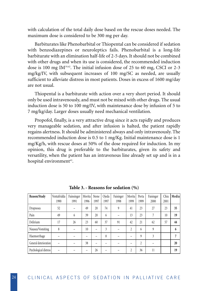with calculation of the total daily dose based on the rescue doses needed. The maximum dose is considered to be 300 mg per day.

Barbiturates like Phenobarbital or Thiopental can be considered if sedation with benzodiazepines or neuroleptics fails. Phenobarbital is a long-life barbiturate with an elimination half-life of 2-5 days. It should not be combined with other drugs and when its use is considered, the recommended induction dose is 100 mg IM<sup>19,42</sup>. The initial infusion dose of 25 to 60 mg, CSCI or 2-3 mg/kg/IV, with subsequent increases of 100 mg/SC as needed, are usually sufficient to alleviate distress in most patients. Doses in excess of 1600 mg/day are not usual.

Thiopental is a barbiturate with action over a very short period. It should only be used intravenously, and must not be mixed with other drugs. The usual induction dose is 50 to 100 mg/IV, with maintenance dose by infusion of 5 to 7 mg/kg/day. Larger doses usually need mechanical ventilation.

Propofol, finally, is a very attractive drug since it acts rapidly and produces very manageable sedation, and after infusion is halted, the patient rapidly regains alertness. It should be administered always and only intravenously. The recommended induction dose is 0.5 to 1 mg/Kg. Initial maintenance dose is 1 mg/Kg/h, with rescue doses at 50% of the dose required for induction. In my opinion, this drug is preferable to the barbiturates, given its safety and versatility, when the patient has an intravenous line already set up and is in a hospital environment<sup>43</sup>.

| Reason/Study           | Ventafridda<br>1990 | Fainsinger<br>1991 | Morita<br>1996 | Stone<br>1997 | Ojeda<br>1997 | Faisinger<br>1998 | Morita<br>1999 | Porta<br>1999  | Faisinger<br>2000 | Chiu<br>2001 | Media |
|------------------------|---------------------|--------------------|----------------|---------------|---------------|-------------------|----------------|----------------|-------------------|--------------|-------|
| Dyspnoea               | 52                  |                    | 49             | 20            | 74            | 9                 | 41             | 23             | 27                | 23           | 35    |
| Pain                   | 49                  | 6                  | 39             | 20            | 6             |                   | 13             | 23             | 7                 | 10           | 19    |
| Delirium               | 17                  | 26                 | 23             | 60            | 37            | 91                | 42             | 21             | 62                | 57           | 44    |
| Nausea/Vomiting        | 8                   |                    | 10             | -             | 3             |                   | $\overline{c}$ | 6              | 9                 |              | 6     |
| Haemorrhage            |                     |                    |                |               | 8             |                   |                | 9              | 3                 |              | 7     |
| General deterioration  |                     |                    | 38             |               |               |                   |                | $\overline{2}$ |                   |              | 20    |
| Psychological distress |                     |                    |                | 26            |               |                   | $\overline{c}$ | 36             | 11                |              | 19    |

**Table 3. - Reasons for sedation (%)**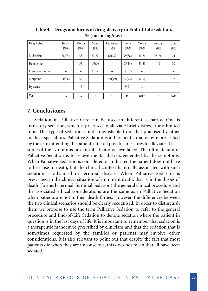| Drug / Study    | Turner<br>1996 | Morita<br>1996 | Stone<br>1997 | Fainsinger<br>1998 | Porta<br>1999 | Morita<br>1999 | Fainsinger<br>2000 | Chiu<br>2001         |
|-----------------|----------------|----------------|---------------|--------------------|---------------|----------------|--------------------|----------------------|
| Midazolam       | 88(25)         | 55             | 80(22)        | 61(29)             | 79(38)        | 31(7)          | 75(26)             | 24                   |
| Haloperidol     |                | 33             | 37(5)         |                    | 25(14)        | 31(3)          | 19                 | 50                   |
| Levomepromazine |                |                | 33(64)        |                    | 5(197)        |                | 5                  |                      |
| Morphine        | 80(66)         | 55             |               | 100(79)            | 64(74)        | 37(5)          |                    | 12                   |
| Hyoscine        |                | 13             |               |                    | 9(3)          | 10             |                    |                      |
| Via             | SC             | <b>SC</b>      |               |                    | <b>SC</b>     | sc/ev          |                    | $\frac{1}{\sqrt{2}}$ |

**Table 4. - Drugs and forms of drug-delivery in End-of-Life sedation. % (mean-mg/day)**

# **7. Conclusiones**

Sedation in Palliative Care can be used in different scenarios. One is transitory sedation, which is practised to alleviate brief distress, for a limited time. This type of sedation is indistinguishable from that practised by other medical specialities. Palliative Sedation is a therapeutic manoeuvre prescribed by the team attending the patient, after all possible measures to alleviate at least some of the symptoms or clinical situations have failed. The ultimate aim of Palliative Sedation is to relieve mental distress generated by the symptoms. When Palliative Sedation is considered or indicated the patient does not have to be close to death, but the clinical context habitually associated with such sedation is advanced or terminal disease. When Palliative Sedation is prescribed in the clinical situation of imminent death, that is, in the throes of death (formerly termed Terminal Sedation) the general clinical procedure and the associated ethical considerations are the same as in Palliative Sedation when patients are not in their death throes. However, the differences between the two clinical scenarios should be clearly recognised. In order to distinguish them we propose to use the term Palliative Sedation to refer to the general procedure and End-of-Life Sedation to denote sedation where the patient in question is in the last days of life. It is important to remember that sedation is a therapeutic manoeuvre prescribed by clinicians and that the sedation that is sometimes requested by the families or patients may involve other considerations. It is also relevant to point out that despite the fact that most patients die when they are unconscious, this does not mean that all have been sedated.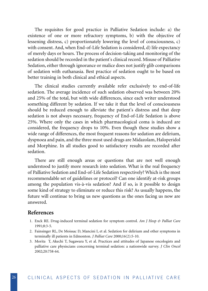The requisites for good practice in Palliative Sedation include: a) the existence of one or more refractory symptoms, b) with the objective of lessening distress, c) proportionately lowering the level of consciousness, c) with consent. And, when End-of-Life Sedation is considered, d) life expectancy of merely days or hours. The process of decision-taking and monitoring of the sedation should be recorded in the patient's clinical record. Misuse of Palliative Sedation, either through ignorance or malice does not justify glib comparisons of sedation with euthanasia. Best practice of sedation ought to be based on better training in both clinical and ethical aspects.

The clinical studies currently available refer exclusively to end-of-life sedation. The average incidence of such sedation observed was between 20% and 25% of the total, but with wide differences, since each writer understood something different by sedation. If we take it that the level of consciousness should be reduced enough to alleviate the patient's distress and that deep sedation is not always necessary, frequency of End-of-Life Sedation is above 25%. Where only the cases in which pharmacological coma is induced are considered, the frequency drops to 10%. Even though these studies show a wide range of differences, the most frequent reasons for sedation are delirium, dyspnoea and pain, and the three most used drugs are Midazolam, Haloperidol and Morphine. In all studies good to satisfactory results are recorded after sedation.

There are still enough areas or questions that are not well enough understood to justify more research into sedation. What is the real frequency of Palliative Sedation and End-of-Life Sedation respectively? Which is the most recommendable set of guidelines or protocol? Can one identify at-risk groups among the population vis-à-vis sedation? And if so, is it possible to design some kind of strategy to eliminate or reduce this risk? As usually happens, the future will continue to bring us new questions as the ones facing us now are answered.

### **References**

- 1. Enck RE. Drug-induced terminal sedation for symptom control. *Am J Hosp & Palliat Care* 1991;8:3-5.
- 2. Fainsinger RL, De Moissac D, Mancini I, et al. Sedation for delirium and other symptoms in terminally ill patients in Edmonton. *J Palliat Care* 2000;16(2):5-10.
- 3. Morita T, Akechi T, Sugawara Y, et al. Practices and attitudes of Japanese oncologists and palliative care physiscians concerning terminal sedation: a nationwide survey. *J Clin Oncol* 2002;20:758-64.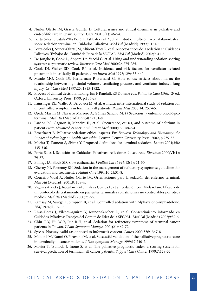- 4. Nuñez Olarte JM, Gracia Guillén D. Cultural issues and ethical dilemmas in palliative and end-of-life care in Spain. *Cancer Care* 2001;8(1): 46-54.
- 5. Porta Sales J, Català-Ylla Boré E, Estíbalez Gil A, et al. Estudio multicéntrico catalano-balear sobre sedación terminal en Cuidados Paliativos. *Med Pal* (Madrid) 1999;6:153-8.
- 6. Porta-Sales J, Nuñez-Olarte JM, Altisent-Trota R, et al. Aspectos éticos de la sedación en Cuidados Paliativos: Trabajos del Comité de Ética de la SECPAL. *Med Pal* (Madrid) 2002;9: 41-6.
- 7. De Jonghe B, Cook D, Appere-De-Vecchi C, et al. Using and understanding sedation scoring systems: a systematic review. *Intensive Care Med* 2000;26:275-285.
- 8. Cook DJ, Walter SD, Cook RJ, et al. Incidence and risk factors for ventilator-assiated pneumonia in critically ill patients. *Ann Intern Med* 1998;129:433-440.
- 9. Meade MO, Cook DJ, Kernerman P, Bernard G. How to use articles about harm: the relationship between high tindal volumes, ventilating presures, and ventilator-induced lung injury. *Crit Care Med* 1997;25: 1915-1922.
- 10. Process of clinical decision making. En: F Randall, RS Downie eds. *Palliative Care Ethics.* 2ª ed. Oxford University Press; 1999, p.103-27.
- 11. Fainsinger RL, Waller A, Bercovici M, et al. A multicentre international study of sedation for uncontrolled symptoms in terminally ill patients. *Palliat Med* 2000;14: 257-65.
- 12. Ojeda Martin M, Navarro Marrero A, Gómez Sancho M. () Sedación y enfermo oncológico terminal. *Med Pal* (Madrid)1997;4(3):101-8.
- 13. Lawlor PG, Gagnon B, Mancini IL, et al. Occurrence, causes, and outcome of delirium in patients with advanced cancer. *Arch Intern Med* 2000;160:786-94.
- 14. Broeckaert B. Palliative sedation: ethical aspects. En: *Between Technology and Humanity: the impact of technology on health care ethics.* Leuven, Leuven University Press; 2002, p.239-55.
- 15. Morita T, Tsuneto S, Shima Y. Proposed definitions for terminal sedation. *Lancet* 2001;358: 335-336.
- 16. Porta Sales J. Sedación en Cuidados Paliativos: reflexiones éticas. *Acta Bioethica* 2000;VI(1): 79-87.
- 17. Billings JA, Block SD. Slow euthanasia. *J Palliat Care* 1996;12(4): 21-30.
- 18. Cherny NI, Portenoy RK. Sedation in the management of refractory symptoms: guidelines for evaluation and treatment. *J Palliat Care* 1994;10(2):31-8.
- 19. Couceiro Vidal A, Nuñez Olarte JM. Orientaciones para la sedación del enfermo terminal. *Med Pal* (Madrid) 2001;8: 138-43.
- 20. Viguria Arrieta J, Rocaford Gil J, Eslava Gurrea E, et al. Sedación con Midazolam. Eficacia de un protocolo de tratamiento en pacientes terminales con síntomas no controlables por otros medios. *Med Pal* (Madrid) 2000;7: 2-5.
- 21. Ramsay M, Savege T, Simpson B, et al. Controlled sedation with Alphaxalone-Alphadolone. *BMJ* 1974;ii, 656-9.
- 22. Rivas-Flores J, Vilches-Aguirre Y, Muñoz-Sánchez D, et al. Consentimiento informado en Cuidados Paliativos: Trabajos del Comité de Ética de la SECPAL. *Med Pal* (Madrid) 2002;9:32-6.
- 23. Chiu T-Y, Hu W-Y, Lue B-H, et al. Sedation for refractory symptoms of terminal cancer patients in Taiwan. *J Pain Symptom Manage.* 2001;21:467-72.
- 24. Syse A. Norway: valid (as opposed to informed) consent. *Lancet* 2000;356:1347-8.
- 25. Maltoni M, Nanni O, Pirovano M, et al. Successful validation of the palliative prognostic score in terminally ill cancer patients. *J Pain symptom Manage* 1999;17:240-7.
- 26. Morita T, Tsunoda J, Inoue S, et al. The palliative prognostic Index: a scoring system for survival prediction of terminally ill cancer patients. *Support Care Cancer* 1999;7:128-33.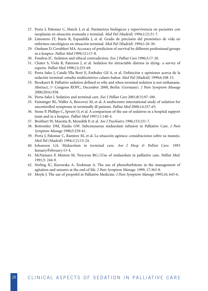- 27. Porta J, Palomar C, March J, et al. Parámetros biológicos y supervivencia en pacientes con neoplasias en situación avanzada y terminal. *Med Pal* (Madrid) 1994;1(2):31-7.
- 28. Limonero JT, Bayés R, Espaulella J, et al. Grado de precisión del pronóstico de vida en enfermos oncológicos en situación terminal. *Med Pal* (Madrid) 1994;1:26-30.
- 29. Oxeham D, Cornbleet MA. Accuracy of prediction of survival by different professional groups in a hospice. *Palliat Med* 1999;12:117-8.
- 30. Fondras JC. Sedation and ethical contradiction. *Eur J Palliat Care* 1996;3:17-20.
- 31. Chater S, Viola R, Paterson J, et al. Sedation for intractable distress in dying- a survey of experts. *Palliat Med* 1998;12:255-69.
- 32. Porta Sales J, Català-Ylla Boré E, Estíbalez Gil A, et al. Definición y opiniones acerca de la sedación terminal: estudio multicéntrico calano-balear. *Med Pal* (Madrid) 1999;6:108-15.
- 33. Broekaert B. Palliative sadation defined or why and when terminal sedation is not euthanasia. Abstract, 1<sup>st</sup> Congress RDPC, December 2000, Berlin (Germany). *J Pain Symptom Manage* 2000;20(6):S58.
- 34. Porta-Sales J. Sedation and terminal care. *Eur J Palliat Care* 2001;8(3):97-100.
- 35. Fainsinger RL, Waller A, Bercovici M, et al. A multicentre international study of sedation for uncontrolled symptoms in terminally ill patients. *Palliat Med* 2000;14:257-65.
- 36. Stone P, Phillips C, Spruyt O, et al. A comparison of the use of sedatives in a hospital support team and in a hospice. *Palliat Med* 1997;11:140-4.
- 37. Breitbart W, Marotta R, Meredith P, et al. *Am J Psychiatry* 1996;153:231-7.
- 38. Bottomley DM, Hanks GW. Subcutaneous midazolam infusion in Palliative Care. *J Pain Symptom Manage* 1990;5:259-61.
- 39. Porta J, Palomar C, Ramírez M, et al. La situación agónica: considraciones sobre su manejo. *Med Pal* (Madrid) 1994;1(2):15-24.
- 40. Johanson GA. Midazolam in terminal care. *Am J Hosp & Palliat Care.* 1993 January/February:13-4.
- 41. McNamara P, Minton M, Twycross RG.()Use of midazolam in palliative care. *Palliat Med*. 1991;5: 244-9.
- 42. Stirling IC, Kurowska A, Tookman A. The use of phenobarbitone in the management of agitation and seizures at the end of life. *J Pain Symptom Manage.* 1999; 17:363-8.
- 43. Moyle J. The use of propofol in Palliative Medicine. *J Pain Symptom Manage* 1995;10, 643-6.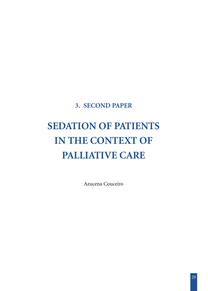# **3. SECOND PAPER**

# **SEDATION OF PATIENTS IN THE CONTEXT OF PALLIATIVE CARE**

Azucena Couceiro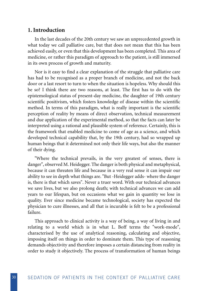# **1. Introduction**

In the last decades of the 20th century we saw an unprecedented growth in what today we call palliative care, but that does not mean that this has been achieved easily, or even that this development has been completed. This area of medicine, or rather this paradigm of approach to the patient, is still immersed in its own process of growth and maturity.

Nor is it easy to find a clear explanation of the struggle that palliative care has had to be recognised as a proper branch of medicine, and not the back door or a last resort to turn to when the situation is hopeless. Why should this be so? I think there are two reasons, at least. The first has to do with the epistemological status of present-day medicine, the daughter of 19th century scientific positivism, which fosters knowledge of disease within the scientific method. In terms of this paradigm, what is really important is the scientific perception of reality by means of direct observation, technical measurement and due application of the experimental method, so that the facts can later be interpreted using a rational and plausible system of reference. Certainly, this is the framework that enabled medicine to come of age as a science, and which developed technical capability that, by the 19th century, had so wrapped up human beings that it determined not only their life ways, but also the manner of their dying.

"Where the technical prevails, in the very greatest of senses, there is danger", observed M. Heidegger. The danger is both physical and metaphysical, because it can threaten life and because in a very real sense it can impair our ability to see in depth what things are. "But -Heidegger adds- where the danger is, there is that which saves". Never a truer word. With our technical advances we save lives, but we also prolong death; with technical advances we can add years to our lifespan, but on occasions what we gain in quantity we lose in quality. Ever since medicine became technological, society has expected the physician to cure illnesses, and all that is incurable is felt to be a professional failure.

This approach to clinical activity is a way of being, a way of living in and relating to a world which is in what L. Boff terms the "work-mode", characterised by the use of analytical reasoning, calculating and objective, imposing itself on things in order to dominate them. This type of reasoning demands objectivity and therefore imposes a certain distancing from reality in order to study it objectively. The process of transformation of human beings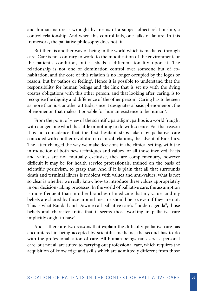and human nature is wrought by means of a subject-object relationship, a control relationship. And when this control fails, one talks of failure. In this framework, the palliative philosophy does not fit.

But there is another way of being in the world which is mediated through care. Care is not contrary to work, to the modification of the environment, or the patient's condition, but it sheds a different tonality upon it. The relationship is not one of domination control over someone but of cohabitation, and the core of this relation is no longer occupied by the logos or reason, but by pathos or feeling<sup>1</sup>. Hence it is possible to understand that the responsibility for human beings and the link that is set up with the dying creates obligations with this other person, and that looking after, caring, is to recognise the dignity and difference of the other person<sup>2</sup>. Caring has to be seen as more than just another attitude, since it designates a basic phenomenon, the phenomenon that makes it possible for human existence to be human<sup>3</sup>.

From the point of view of the scientific paradigm, pathos is a world fraught with danger, one which has little or nothing to do with science. For that reason it is no coincidence that the first hesitant steps taken by palliative care coincided with another revolution in clinical relations, the advent of Bioethics. The latter changed the way we make decisions in the clinical setting, with the introduction of both new techniques and values for all those involved. Facts and values are not mutually exclusive, they are complementary, however difficult it may be for health service professionals, trained on the basis of scientific positivism, to grasp that. And if it is plain that all that surrounds death and terminal illness is redolent with values and anti-values, what is not so clear is whether we really know how to introduce these values appropriately in our decision-taking processes. In the world of palliative care, the assumption is more frequent than in other branches of medicine that my values and my beliefs are shared by those around me - or should be so, even if they are not. This is what Randall and Downie call palliative care's "hidden agenda", those beliefs and character traits that it seems those working in palliative care implicitly ought to have<sup>4</sup>.

And if there are two reasons that explain the difficulty palliative care has encountered in being accepted by scientific medicine, the second has to do with the professionalisation of care. All human beings can exercise personal care, but not all are suited to carrying out professional care, which requires the acquisition of knowledge and skills which are admittedly different from those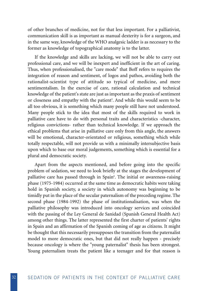of other branches of medicine, not for that less important. For a palliativist, communication skill is as important as manual dexterity is for a surgeon, and in the same way, knowledge of the WHO analgesic ladder is as necessary to the former as knowledge of topographical anatomy is to the latter.

If the knowledge and skills are lacking, we will not be able to carry out professional care, and we will be inexpert and inefficient in the art of caring. Thus, when professionalised, the "care mode" that Boff refers to requires the integration of reason and sentiment, of logos and pathos, avoiding both the rationalist-scientist type of attitude so typical of medicine, and mere sentimentalism. In the exercise of care, rational calculation and technical knowledge of the patient's state are just as important as the praxis of sentiment or closeness and empathy with the patient<sup>s</sup>. And while this would seem to be all too obvious, it is something which many people still have not understood. Many people stick to the idea that most of the skills required to work in palliative care have to do with personal traits and characteristics -character, religious convictions- rather than technical knowledge. If we approach the ethical problems that arise in palliative care only from this angle, the answers will be emotional, character-orientated or religious, something which while totally respectable, will not provide us with a minimally intersubjective basis upon which to base our moral judgements, something which is essential for a plural and democratic society.

Apart from the aspects mentioned, and before going into the specific problem of sedation, we need to look briefly at the stages the development of palliative care has passed through in Spain<sup>6</sup>. The initial or awareness-raising phase (1975-1984) occurred at the same time as democratic habits were taking hold in Spanish society, a society in which autonomy was beginning to be timidly put in the place of the secular paternalism of the preceding regime. The second phase (1984-1992) the phase of institutionalisation, was when the palliative philosophy was introduced into oncology services and coincided with the passing of the Ley General de Sanidad (Spanish General Health Act) among other things. The latter represented the first charter of patients' rights in Spain and an affirmation of the Spanish coming of age as citizens. It might be thought that this necessarily presupposes the transition from the paternalist model to more democratic ones, but that did not really happen - precisely because oncology is where the "young paternalist" thesis has been strongest. Young paternalism treats the patient like a teenager and for that reason is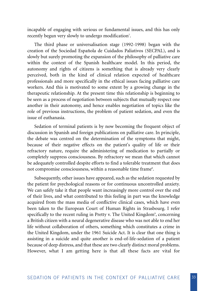incapable of engaging with serious or fundamental issues, and this has only recently begun very slowly to undergo modification<sup>7</sup>.

The third phase or universalisation stage (1992-1998) began with the creation of the Sociedad Española de Cuidados Paliativos (SECPAL), and is slowly but surely promoting the expansion of the philosophy of palliative care within the context of the Spanish healthcare model. In this period, the autonomy and rights of citizens is something that is already very clearly perceived, both in the kind of clinical relation expected of healthcare professionals and more specifically in the ethical issues facing palliative care workers. And this is motivated to some extent by a growing change in the therapeutic relationship. At the present time this relationship is beginning to be seen as a process of negotiation between subjects that mutually respect one another in their autonomy, and hence enables negotiation of topics like the role of previous instructions, the problem of patient sedation, and even the issue of euthanasia.

Sedation of terminal patients is by now becoming the frequent object of discussion in Spanish and foreign publications on palliative care. In principle, the debate was centred on the determination of the symptoms that might, because of their negative effects on the patient's quality of life or their refractory nature, require the administering of medication to partially or completely suppress consciousness. By refractory we mean that which cannot be adequately controlled despite efforts to find a tolerable treatment that does not compromise consciousness, within a reasonable time frame<sup>8</sup>.

Subsequently, other issues have appeared, such as the sedation requested by the patient for psychological reasons or for continuous uncontrolled anxiety. We can safely take it that people want increasingly more control over the end of their lives, and what contributed to this feeling in part was the knowledge acquired from the mass media of conflictive clinical cases, which have even been taken to the European Court of Human Rights in Strasbourg. I refer specifically to the recent ruling in Pretty v. The United Kingdom<sup>9</sup>, concerning a British citizen with a neural degenerative disease who was not able to end her life without collaboration of others, something which constitutes a crime in the United Kingdom, under the 1961 Suicide Act. It is clear that one thing is assisting in a suicide and quite another is end-of-life-sedation of a patient because of deep distress, and that these are two clearly distinct moral problems. However, what I am getting here is that all these facts are vital for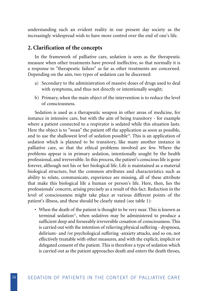understanding such an evident reality in our present day society as the increasingly widespread wish to have more control over the end of one's life.

# **2. Clarification of the concepts**

In the framework of palliative care, sedation is seen as the therapeutic measure when other treatments have proved ineffective, so that normally it is a response to "therapeutic failure" as far as other treatments are concerned. Depending on the aim, two types of sedation can be discerned:

- a) Secondary to the administration of massive doses of drugs used to deal with symptoms, and thus not directly or intentionally sought;
- b) Primary, when the main object of the intervention is to reduce the level of consciousness.

Sedation is used as a therapeutic weapon in other areas of medicine, for instance in intensive care, but with the aim of being transitory - for example where a patient connected to a respirator is sedated while this situation lasts. Here the object is to "wean" the patient off the application as soon as possible, and to use the shallowest level of sedation possible<sup>10</sup>. This is an application of sedation which is planned to be transitory, like many another instance in palliative care, so that the ethical problems involved are few. Where the problems appear is in primary sedation, intentionally sought by the health professional, and irreversible. In this process, the patient's conscious life is gone forever, although not his or her biological life. Life is maintained as a material biological structure, but the common attributes and characteristics such as ability to relate, communicate, experience are missing, all of these attribute that make this biological life a human or person's life. Here, then, lies the professionals' concern, arising precisely as a result of this fact. Reduction in the level of consciousness might take place at various different points of the patient's illness, and these should be clearly stated (see table 1):

• When the death of the patient is thought to be very near. This is known as terminal sedation<sup>12</sup>, when sedatives may be administered to produce a sufficient deep and forseeably irreversible cessation of consciousness. This is carried out with the intention of relieving physical suffering - dyspnoea, delirium- and /or psychological suffering -anxiety attacks, and so on, not effectively treatable with other measures, and with the explicit, implicit or delegated consent of the patient. This is therefore a type of sedation which is carried out as the patient approaches death and enters the death throes,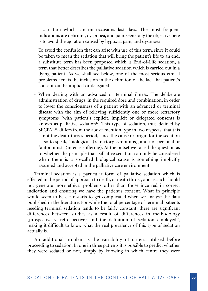a situation which can on occasions last days. The most frequent indications are delirium, dyspnoea, and pain. Generally the objective here is to avoid the agitation caused by hypoxia, pain, and dyspnoea.

To avoid the confusion that can arise with use of this term, since it could be taken to mean the sedation that will bring the patient's life to an end, a substitute term has been proposed which is End-of-Life sedation, a term that better describes the palliative sedation which is carried out in a dying patient. As we shall see below, one of the most serious ethical problems here is the inclusion in the definition of the fact that patient's consent can be implicit or delegated.

• When dealing with an advanced or terminal illness. The deliberate administration of drugs, in the required dose and combination, in order to lower the consciousness of a patient with an advanced or terminal disease with the aim of relieving sufficiently one or more refractory symptoms (with patient's explicit, implicit or delegated consent) is known as palliative sedation<sup>13</sup>. This type of sedation, thus defined by SECPAL<sup>14</sup>, differs from the above-mention type in two respects: that this is not the death-throes period, since the cause or origin for the sedation is, so to speak, "biological" (refractory symptoms), and not personal or "autonomist" (intense suffering). At the outset we raised the question as to whether the principle that palliative sedation can only be considered when there is a so-called biological cause is something implicitly assumed and accepted in the palliative care environment.

Terminal sedation is a particular form of palliative sedation which is effected in the period of approach to death, or death throes, and as such should not generate more ethical problems other than those incurred in correct indication and ensuring we have the patient's consent. What in principle would seem to be clear starts to get complicated when we analyse the data published in the literature. For while the total percentage of terminal patients needing terminal sedation tends to be fairly constant, there are significant differences between studies as a result of differences in methodology (prospective v. retrospective) and the definition of sedation employed<sup>15</sup>, making it difficult to know what the real prevalence of this type of sedation actually is.

An additional problem is the variability of criteria utilised before proceeding to sedation. In one in three patients it is possible to predict whether they were sedated or not, simply by knowing in which centre they were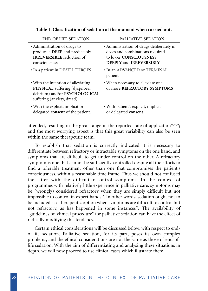| <b>END OF LIFE SEDATION</b>                                                                                                          | PALLIATIVE SEDATION                                                                                                                      |
|--------------------------------------------------------------------------------------------------------------------------------------|------------------------------------------------------------------------------------------------------------------------------------------|
| • Administration of drugs to<br>produce a DEEP and predictably<br><b>IRREVERSIBLE</b> reduction of<br>consciousness                  | • Administration of drugs deliberately in<br>doses and combinations required<br>to lower CONSCIOUSNESS<br><b>DEEPLY and IRREVERSIBLY</b> |
| • In a patient in DEATH THROES                                                                                                       | • In an ADVANCED or TERMINAL<br>patient                                                                                                  |
| • With the intention of alleviating<br>PHYSICAL suffering (dyspnoea,<br>delirium) and/or PSYCHOLOGICAL<br>suffering (anxiety, dread) | • When necessary to alleviate one<br>or more REFRACTORY SYMPTOMS                                                                         |
| $\cdot$ With the explicit, implicit or<br>delegated consent of the patient.                                                          | · With patient's explicit, implicit<br>or delegated consent                                                                              |

#### **Table 1. Classification of sedation at the moment when carried out.**

attended, resulting in the great range in the reported rate of application<sup>16,17,18</sup>; and the most worrying aspect is that this great variability can also be seen within the same therapeutic team.

To establish that sedation is correctly indicated it is necessary to differentiate between refractory or intractable symptoms on the one hand, and symptoms that are difficult to get under control on the other. A refractory symptom is one that cannot be sufficiently controlled despite all the efforts to find a tolerable treatment other than one that compromises the patient's consciousness, within a reasonable time frame. Thus we should not confused the latter with the difficult-to-control symptoms. In the context of programmes with relatively little experience in palliative care, symptoms may be (wrongly) considered refractory when they are simply difficult but not impossible to control in expert hands<sup>19</sup>. In other words, sedation ought not to be included as a therapeutic option when symptoms are difficult to control but not refractory, as has happened in some instances<sup>20</sup>. The availability of "guidelines on clinical procedure" for palliative sedation can have the effect of radically modifying this tendency.

Certain ethical considerations will be discussed below, with respect to endof-life sedation. Palliative sedation, for its part, poses its own complex problems, and the ethical considerations are not the same as those of end-oflife sedation. With the aim of differentiating and analysing these situations in depth, we will now proceed to use clinical cases which illustrate them.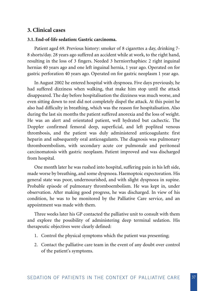# **3. Clinical cases**

#### **3.1. End-of-life sedation: Gastric carcinoma.**

Patient aged 69. Previous history: smoker of 8 cigarettes a day, drinking 7- 8 shorts/day. 28 years ago suffered an accident while at work, to the right hand, resulting in the loss of 3 fingers. Needed 3 herniorrhaphies: 2 right inguinal hernias 40 years ago and one left inguinal hernia, 1 year ago. Operated on for gastric perforation 40 years ago. Operated on for gastric neoplasm 1 year ago.

In August 2002 he entered hospital with dyspnoea. Five days previously, he had suffered dizziness when walking, that make him stop until the attack disappeared. The day before hospitalisation the dizziness was much worse, and even sitting down to rest did not completely dispel the attack. At this point he also had difficulty in breathing, which was the reason for hospitalisation. Also during the last six months the patient suffered anorexia and the loss of weight. He was an alert and orientated patient, well hydrated but cachectic. The Doppler confirmed femoral deep, superficial, and left popliteal venous thrombosis, and the patient was duly administered anticoagulants: first heparin and subsequently oral anticoagulants. The diagnosis was pulmonary thromboembolism, with secondary acute cor pulmonale and peritoneal carcinomatosis with gastric neoplasm. Patient improved and was discharged from hospital.

One month later he was rushed into hospital, suffering pain in his left side, made worse by breathing, and some dyspnoea. Haemoptoic expectoration. His general state was poor, undernourished, and with slight dyspnoea in supine. Probable episode of pulmonary thromboembolism. He was kept in, under observation. After making good progress, he was discharged. In view of his condition, he was to be monitored by the Palliative Care service, and an appointment was made with them.

Three weeks later his GP contacted the palliative unit to consult with them and explore the possibility of administering deep terminal sedation. His therapeutic objectives were clearly defined:

- 1. Control the physical symptoms which the patient was presenting;
- 2. Contact the palliative care team in the event of any doubt over control of the patient's symptoms.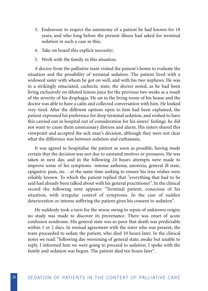- 3. Endeavour to respect the autonomy of a patient he had known for 18 years, and who long before the present illness had asked for terminal sedation in such a case as this;
- 4. Take on board this explicit necessity;
- 5. Work with the family in this situation.

A doctor from the palliative team visited the patient's home to evaluate the situation and the possibility of terminal sedation. The patient lived with a widowed sister with whom he got on well, and with his two nephews. He was in a strikingly emaciated, cachectic state, the doctor noted, as he had been living exclusively on diluted lemon juice for the previous two weeks as a result of the severity of his dysphagia. He sat in the living room of his house and the doctor was able to have a calm and collected conversation with him. He looked very tired. After the different options open to him had been explained, the patient expressed his preference for deep terminal sedation, and wished to have this carried out in hospital out of consideration for his sisters' feelings: he did not want to cause them unnecessary distress and alarm. His sisters shared this viewpoint and accepted the sick man's decision, although they were not clear what the difference was between sedation and euthanasia.

It was agreed to hospitalise the patient as soon as possible, having made certain that the decision was not due to unstated motives or pressures. He was taken in next day, and in the following 24 hours attempts were made to improve some of his symptoms -intense asthenia, anorexia, general ill state, epigastric pain, etc. - at the same time seeking to ensure his true wishes were reliably known. To which the patient replied that "everything that had to be said had already been talked about with his general practitioner". In the clinical record the following note appears: "Terminal patient, conscious of his situation, with irregular control of symptoms. In the case of sudden deterioration or intense suffering the patient gives his consent to sedation".

He suddenly took a turn for the worse owing to sepsis of unknown origin; no study was made to discover its provenance. There was onset of acute confusion syndrome. His general state was so poor that death was predictable within 1 or 2 days. In mutual agreement with the sister who was present, the team proceeded to sedate the patient, who died 10 hours later. In the clinical notes we read: "following day worsening of general state; awake but unable to reply. I informed him we were going to proceed to sedation. I spoke with the family and sedation was begun. The patient died ten hours later".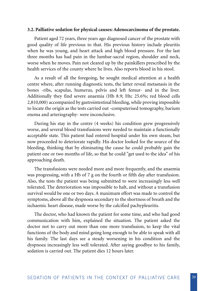#### **3.2. Palliative sedation for physical causes: Adenocarcinoma of the prostate.**

Patient aged 72 years, three years ago diagnosed cancer of the prostate with good quality of life previous to that. His previous history include pleuritis when he was young, and heart attack and high blood pressure. For the last three months has had pain in the lumbar-sacral region, shoulder and neck, worse when he moves. Pain not cleared up by the painkillers prescribed by the health services of the county where he lives. Also reports blood in his stool.

As a result of all the foregoing, he sought medical attention at a health centre where, after running diagnostic tests, the latter reveal metastasis in the bones -ribs, scapulas, humerus, pelvis and left femur- and in the liver. Additionally they find severe anaemia (Hb 8.9; Htc 25.6%; red blood cells 2,810,000) accompanied by gastrointestinal bleeding, while proving impossible to locate the origin as the tests carried out -computerised tomography, barium enema and arteriography- were inconclusive.

During his stay in the centre (4 weeks) his condition grew progressively worse, and several blood transfusions were needed to maintain a functionally acceptable state. This patient had entered hospital under his own steam, but now proceeded to deteriorate rapidly. His doctor looked for the source of the bleeding, thinking that by eliminating the cause he could probably gain the patient one or two months of life, so that he could "get used to the idea" of his approaching death.

The transfusions were needed more and more frequently, and the anaemia was progressing, with a Hb of 7 g on the fourth or fifth day after transfusion. Also, the tests the patient was being submitted to were increasingly less well tolerated. The deterioration was impossible to halt, and without a transfusion survival would be one or two days. A maximum effort was made to control the symptoms, above all the dyspnoea secondary to the shortness of breath and the ischaemic heart disease, made worse by the calcified pachypleuritis.

The doctor, who had known the patient for some time, and who had good communication with him, explained the situation. The patient asked the doctor not to carry out more than one more transfusion, to keep the vital functions of the body and mind going long enough to be able to speak with all his family. The last days see a steady worsening in his condition and the dyspnoea increasingly less well tolerated. After saying goodbye to his family, sedation is carried out. The patient dies 12 hours later.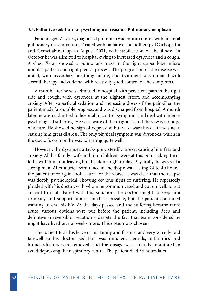#### **3.3. Palliative sedation for psychological reasons: Pulmonary neoplasm**

Patient aged 71 years, diagnosed pulmonary adenocarcinoma with bilateral pulmonary dissemination. Treated with palliative chemotherapy (Carboplatin and Gemcitabine) up to August 2001, with stabilisation of the illness. In October he was admitted to hospital owing to increased dyspnoea and a cough. A chest X-ray showed a pulmonary mass in the right upper lobe, micro nodular pattern and right pleural process. The progression of the disease was noted, with secondary breathing failure, and treatment was initiated with steroid therapy and codeine, with relatively good control of the symptoms.

A month later he was admitted to hospital with persistent pain in the right side and cough, with dyspnoea at the slightest effort, and accompanying anxiety. After superficial sedation and increasing doses of the painkiller, the patient made favourable progress, and was discharged from hospital. A month later he was readmitted to hospital to control symptoms and deal with intense psychological suffering. He was aware of the diagnosis and there was no hope of a cure. He showed no sign of depression but was aware his death was near, causing him great distress. The only physical symptom was dyspnoea, which in the doctor's opinion he was tolerating quite well.

However, the dyspnoea attacks grew steadily worse, causing him fear and anxiety. All his family -wife and four children- were at this point taking turns to be with him, not leaving him be alone night or day. Physically, he was still a strong man. After a brief remittance in the dyspnoea -lasting 24 to 40 hoursthe patient once again took a turn for the worse. It was clear that the relapse was deeply psychological, showing obvious signs of suffering. He repeatedly pleaded with his doctor, with whom he communicated and got on well, to put an end to it all. Faced with this situation, the doctor sought to keep him company and support him as much as possible, but the patient continued wanting to end his life. As the days passed and the suffering became more acute, various options were put before the patient, including deep and definitive (irreversible) sedation - despite the fact that team considered he might have lived several weeks more. This option was chosen.

The patient took his leave of his family and friends, and very warmly said farewell to his doctor. Sedation was initiated, steroids, antibiotics and bronchodilators were removed, and the dosage was carefully monitored to avoid depressing the respiratory centre. The patient died 36 hours later.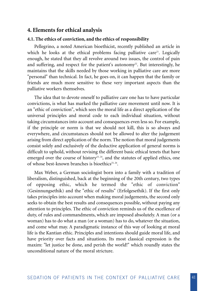# **4. Elements for ethical analysis**

# **4.1. The ethics of conviction, and the ethics of responsibility**

Pellegrino, a noted American bioethicist, recently published an article in which he looks at the ethical problems facing palliative care<sup>21</sup>. Logically enough, he stated that they all revolve around two issues, the control of pain and suffering, and respect for the patient's autonomy<sup>22</sup>. But interestingly, he maintains that the skills needed by those working in palliative care are more "personal" than technical. In fact, he goes on, it can happen that the family or friends are much more sensitive to these very important aspects than the palliative workers themselves.

The idea that to devote oneself to palliative care one has to have particular convictions, is what has marked the palliative care movement until now. It is an "ethic of conviction", which sees the moral life as a direct application of the universal principles and moral code to each individual situation, without taking circumstances into account and consequences even less so. For example, if the principle or norm is that we should not kill, this is so always and everywhere, and circumstances should not be allowed to alter the judgement arising from direct application of the norm. The notion that moral judgements consist solely and exclusively of the deductive application of general norms is difficult to uphold, without revising the different basic ethical tenets that have emerged over the course of history<sup>23, 24</sup>, and the statutes of applied ethics, one of whose best-known branches is bioethics<sup>25, 26</sup>.

Max Weber, a German sociologist born into a family with a tradition of liberalism, distinguished, back at the beginning of the 20th century, two types of opposing ethic, which he termed the "ethic of conviction" (Gesinnungsethik) and the "ethic of results" (Erfolgesethik). If the first only takes principles into account when making moral judgements, the second only seeks to obtain the best results and consequences possible, without paying any attention to principles. The ethic of conviction reminds us of the excellence of duty, of rules and commandments, which are imposed absolutely. A man (or a woman) has to do what a man (or a woman) has to do, whatever the situation, and come what may. A paradigmatic instance of this way of looking at moral life is the Kantian ethic. Principles and intentions should guide moral life, and have priority over facts and situations. Its most classical expression is the maxim: "let justice be done, and perish the world!" which roundly states the unconditional nature of the moral stricture.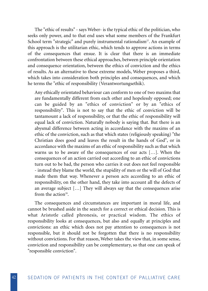The "ethic of results" - says Weber- is the typical ethic of the politician, who seeks only power, and to that end uses what some members of the Frankfurt School term "strategic" and purely instrumental rationalism<sup>27</sup>. An example of this approach is the utilitarian ethic, which tends to approve actions in terms of the consequences that ensue. It is clear that there is an immediate confrontation between these ethical approaches, between principle orientation and consequence orientation, between the ethics of conviction and the ethics of results. As an alternative to these extreme models, Weber proposes a third, which takes into consideration both principles and consequences, and which he terms the "ethic of responsibility (Verantwortungsethik).

Any ethically orientated behaviour can conform to one of two maxims that are fundamentally different from each other and hopelessly opposed; one can be guided by an "ethics of conviction" or by an "ethics of responsibility". This is not to say that the ethic of conviction will be tantamount a lack of responsibility, or that the ethic of responsibility will equal lack of conviction. Naturally nobody is saying that. But there is an abysmal difference between acting in accordance with the maxims of an ethic of the conviction, such as that which states (religiously speaking) "the Christian does good and leaves the result in the hands of God", or in accordance with the maxims of an ethic of responsibility such as that which warns us to be aware of the consequences of our acts […]. When the consequences of an action carried out according to an ethic of convictions turn out to be bad, the person who carries it out does not feel responsible - instead they blame the world, the stupidity of men or the will of God that made them that way. Whenever a person acts according to an ethic of responsibility, on the other hand, they take into account all the defects of an average subject […] They will always say that the consequences arise from the action $28$ .

The consequences and circumstances are important in moral life, and cannot be brushed aside in the search for a correct or ethical decision. This is what Aristotle called phronesis, or practical wisdom. The ethics of responsibility looks at consequences, but also and equally at principles and convictions: an ethic which does not pay attention to consequences is not responsible, but it should not be forgotten that there is no responsibility without convictions. For that reason, Weber takes the view that, in some sense, conviction and responsibility can be complementary, so that one can speak of "responsible conviction".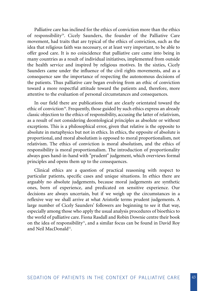Palliative care has inclined for the ethics of conviction more than the ethics of responsibility29. Cicely Saunders, the founder of the Palliative Care movement, had traits that are typical of the ethics of conviction, such as the idea that religious faith was necessary, or at least very important, to be able to offer good care. It is no coincidence that palliative care came into being in many countries as a result of individual initiatives, implemented from outside the health service and inspired by religious motives. In the sixties, Cicely Saunders came under the influence of the civil rights movements, and as a consequence saw the importance of respecting the autonomous decisions of the patients. Thus palliative care began evolving from an ethic of conviction toward a more respectful attitude toward the patients and, therefore, more attentive to the evaluation of personal circumstances and consequences.

In our field there are publications that are clearly orientated toward the ethic of conviction<sup>30</sup>. Frequently, those guided by such ethics express an already classic objection to the ethics of responsibility, accusing the latter of relativism, as a result of not considering deontological principles as absolute or without exceptions. This is a philosophical error, given that relative is the opposite to absolute in metaphysics but not in ethics. In ethics, the opposite of absolute is proportional, and moral absolutism is opposed to moral proportionalism, not relativism. The ethics of conviction is moral absolutism, and the ethics of responsibility is moral proportionalism. The introduction of proportionality always goes hand-in-hand with "prudent" judgement, which overviews formal principles and opens them up to the consequences.

Clinical ethics are a question of practical reasoning with respect to particular patients, specific cases and unique situations. In ethics there are arguably no absolute judgements, because moral judgements are synthetic ones, born of experience, and predicated on sensitive experience. Our decisions are always uncertain, but if we weigh up the circumstances in a reflexive way we shall arrive at what Aristotle terms prudent judgements. A large number of Cicely Saunders' followers are beginning to see it that way, especially among those who apply the usual analysis procedures of bioethics to the world of palliative care. Fiona Rasdall and Robin Downie centre their book on the idea of responsibility<sup>31</sup>, and a similar focus can be found in David Roy and Neil MacDonald<sup>32</sup>.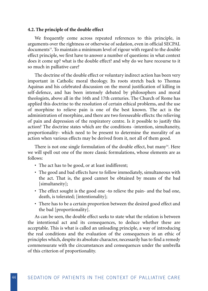#### **4.2. The principle of the double effect**

We frequently come across repeated references to this principle, in arguments over the rightness or otherwise of sedation, even in official SECPAL documents<sup>33</sup>. To maintain a minimum level of rigour with regard to the double effect principle, we first have to answer a number of questions: in what context does it come up? what is the double effect? and why do we have recourse to it so much in palliative care?

The doctrine of the double effect or voluntary indirect action has been very important in Catholic moral theology. Its roots stretch back to Thomas Aquinas and his celebrated discussion on the moral justification of killing in self-defence, and has been intensely debated by philosophers and moral theologists, above all in the 16th and 17th centuries. The Church of Rome has applied this doctrine to the resolution of certain ethical problems, and the use of morphine to relieve pain is one of the best known. The act is the administration of morphine, and there are two foreseeable effects: the relieving of pain and depression of the respiratory centre. Is it possible to justify this action? The doctrine states which are the conditions -intention, simultaneity, proportionality- which need to be present to determine the morality of an action when various effects may be derived from it, not all of them good.

There is not one single formulation of the double effect, but many<sup>34</sup>. Here we will spell out one of the more classic formulations, whose elements are as follows:

- The act has to be good, or at least indifferent;
- The good and bad effects have to follow immediately, simultaneous with the act. That is, the good cannot be obtained by means of the bad [simultaneity];
- The effect sought is the good one -to relieve the pain- and the bad one, death, is tolerated; [intentionality];
- There has to be a certain proportion between the desired good effect and the bad [proportionality].

As can be seen, the double effect seeks to state what the relation is between the intentional act and its consequences, to deduce whether these are acceptable. This is what is called an unloading principle, a way of introducing the real conditions and the evaluation of the consequences in an ethic of principles which, despite its absolute character, necessarily has to find a remedy commensurate with the circumstances and consequences under the umbrella of this criterion of proportionality.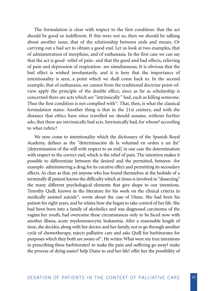The formulation is clear with respect to the first condition: that the act should be good or indifferent. If this were not so, then we should be talking about another issue, that of the relationship between ends and means. Or carrying out a bad act to obtain a good end. Let us look at two examples, that of administration of morphine, and of euthanasia. In the first case we can say that the act is good -relief of pain- and that the good and bad effects, relieving of pain and depression of respiration- are simultaneous. It is obvious that the bad effect is wished involuntarily, and it is here that the importance of intentionality is seen, a point which we shall come back to. In the second example, that of euthanasia, we cannot from the traditional doctrine point-ofview apply the principle of the double effect, since as far as scholarship is concerned there are acts which are "intrinsically " bad, such as killing someone. Thus the first condition is not complied with<sup>35</sup>. That, then, is what the classical formulation states. Another thing is that in the 21st century, and with the distance that ethics have since travelled we should assume, without further ado, that there are intrinsically bad acts. Intrinsically bad, for whom? according to what rubric?

We now come to intentionality which the dictionary of the Spanish Royal Academy, defines as the "determinación de la voluntad en orden a un fin" [determination of the will with respect to an end] in our case the determination with respect to the correct end, which is the relief of pain. The intention makes it possible to differentiate between the desired and the permitted, between -for example- administering a drug for its curative effect and permitting its secondary effects. As clear as that, yet anyone who has found themselves at the bedside of a terminally ill patient knows the difficulty which at times is involved in "dissecting" the many different psychological elements that give shape to our intentions. Timothy Quill, known in the literature for his work on the clinical criteria in medically assisted suicide<sup>36</sup>, wrote about the case of Diane. She had been his patient for eight years, and he relates how she began to take control of her life. She had been born into a family of alcoholics and was diagnosed carcinoma of the vagina her youth, had overcome these circumstances only to be faced now with another illness, acute myelomonocytic leukaemia. After a reasonable length of time, she decides, along with her doctor and her family, not to go through another cycle of chemotherapy, rejects palliative care and asks Quill for barbiturates for purposes which they both are aware  $of<sup>3</sup>$ . He writes: What were my true intentions in prescribing these barbiturates? to make the pain and suffering go away? make the process of dying easier? help Diane to end her life? offer her the possibility of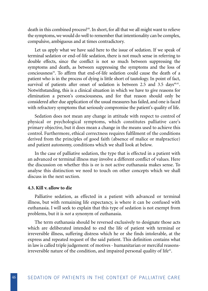death in this combined process?<sup>38</sup>. In short, for all that we all might want to relieve the symptoms, we would do well to remember that intentionality can be complex, compulsive, ambiguous and at times contradictory.

Let us apply what we have said here to the issue of sedation. If we speak of terminal sedation or end-of-life sedation, there is not much sense in referring to double effects, since the conflict is not so much between suppressing the symptoms and death, as between suppressing the symptoms and the loss of conciousness<sup>39</sup>. To affirm that end-of-life sedation could cause the death of a patient who is in the process of dying is little short of tautology. In point of fact, survival of patients after onset of sedation is between 2.5 and 3.5 days<sup>40,41</sup>. Notwithstanding, this is a clinical situation in which we have to give reasons for elimination a person's consciousness, and for that reason should only be considered after due application of the usual measures has failed, and one is faced with refractory symptoms that seriously compromise the patient's quality of life.

Sedation does not mean any change in attitude with respect to control of physical or psychological symptoms, which constitutes palliative care's primary objective, but it does mean a change in the means used to achieve this control. Furthermore, ethical correctness requires fulfilment of the conditions derived from the principles of good faith (absence of malice or malpractice) and patient autonomy, conditions which we shall look at below.

In the case of palliative sedation, the type that is effected in a patient with an advanced or terminal illness may involve a different conflict of values. Here the discussion on whether this is or is not active euthanasia makes sense. To analyse this distinction we need to touch on other concepts which we shall discuss in the next section.

### **4.3. Kill v. allow to die**

Palliative sedation, as effected in a patient with advanced or terminal illness, but with remaining life expectancy, is where it can be confused with euthanasia. I will seek to explain that this type of sedation is not exempt from problems, but it is *not* a synonym of euthanasia.

The term euthanasia should be reversed exclusively to designate those acts which are deliberated intended to end the life of patient with terminal or irreversible illness, suffering distress which he or she finds intolerable, at the express and repeated request of the said patient. This definition contains what in law is called triple judgement: of motives - humanitarian or merciful reasonsirreversible nature of the condition, and impaired personal quality of life<sup>42</sup>.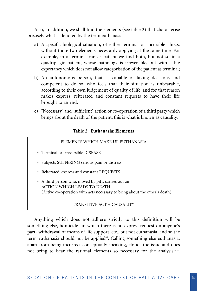Also, in addition, we shall find the elements (see table 2) that characterise precisely what is denoted by the term euthanasia:

- a) A specific biological situation, of either terminal or incurable illness, without those two elements necessarily applying at the same time. For example, in a terminal cancer patient we find both, but not so in a quadriplegic patient, whose pathology is irreversible, but with a life expectancy which does not allow categorisation of the patient as terminal;
- b) An autonomous person, that is, capable of taking decisions and competent to do so, who feels that their situation is unbearable, according to their own judgement of quality of life, and for that reason makes express, reiterated and constant requests to have their life brought to an end;
- c) "Necessary" and "sufficient" action or co-operation of a third party which brings about the death of the patient; this is what is known as causality.

### **Table 2. Euthanasia: Elements**

| ELEMENTS WHICH MAKE UP EUTHANASIA                                                                                                                                |
|------------------------------------------------------------------------------------------------------------------------------------------------------------------|
| • Terminal or irreversible DISEASE                                                                                                                               |
| • Subjects SUFFERING serious pain or distress                                                                                                                    |
| • Reiterated, express and constant REQUESTS                                                                                                                      |
| • A third person who, moved by pity, carries out an<br>ACTION WHICH LEADS TO DEATH<br>(Active co-operation with acts necessary to bring about the other's death) |
| TRANSITIVE ACT + CAUSALITY                                                                                                                                       |

Anything which does not adhere strictly to this definition will be something else, homicide -in which there is no express request on anyone's part- withdrawal of means of life support, etc., but not euthanasia, and so the term euthanasia should not be applied<sup>43</sup>. Calling something else euthanasia, apart from being incorrect conceptually speaking, clouds the issue and does not bring to bear the rational elements so necessary for the analysis<sup>44,45</sup>.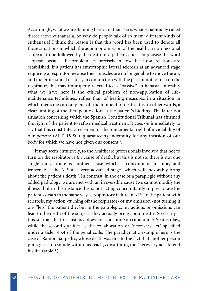Accordingly, what we are defining here as euthanasia is what is habitually called direct active euthanasia. So why do people talk of so many different kinds of euthanasia? I think the reason is that this word has been used to denote all those situations in which the action or omission of the healthcare professional "appear" to be followed by the death of a patient, and I emphasise the word "appear" because the problem lies precisely in how the causal relations are established. If a patient has amyotrophic lateral sclerosis at an advanced stage requiring a respirator because their muscles are no longer able to move the air, and the professional decides, in conjunction with the patient not to turn on the respirator, this may improperly referred to as "passive" euthanasia. In reality what we have here is the ethical problem of non-application of lifemaintenance techniques, rather than of healing measures, in a situation in which medicine can only put off the moment of death. It is, in other words, a clear limiting of the therapeutic effort at the patient's bidding. The latter is a situation concerning which the Spanish Constitutional Tribunal has affirmed the right of the patient to refuse medical treatment. It goes on immediately to say that this constitutes an element of the fundamental right of inviolability of our person: (ART. 15 SC), guaranteeing indemnity for any invasion of our body for which we have not given our consent<sup>46</sup>.

It may seem, intuitively, to the healthcare professionals involved that not to turn on the respirator is *the* cause of death, but this is not so, there is not one single cause, there is another cause which is concomitant in time, and irreversible -the ALS at a very advanced stage- which will inexorably bring about the patient's death $47$ . In contrast, in the case of a paraplegic without any added pathology, we are met with an irreversible cause (we cannot modify the illness) but in this instance this is not acting concomitantly to precipitate the patient's death in the same way as respiratory failure in ALS. In the patient with sclerosis, my action -turning off the respirator- or my omission -not turning it on- "lets" the patient die, but in the paraplegic, my actions or omissions can lead to the death of the subject -they actually bring about death<sup>1</sup>. So clearly is this so, that the first instance does not constitute a crime under Spanish law, while the second qualifies as the collaboration or "necessary act" specified under article 143.4 of the penal code. The paradigmatic example here is the case of Ramon Sanpedro, whose death was due to the fact that another person put a glass of cyanide within his reach, constituting the "necessary act" to end his life (table 3).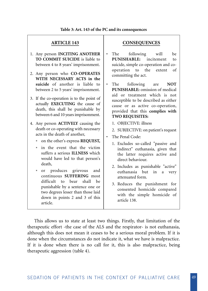## **ARTICLE 143**

- 1. Any person **INCITING ANOTHER TO COMMIT SUICIDE** is liable to between 4 to 8 years' imprisonment.
- 2. Any person who **CO-OPERATES WITH NECESSARY ACTS in the suicide** of another is liable to between 2 to 5 years' imprisonment.
- 3. If the co-operation is to the point of actually **EXECUTING** the cause of death, this shall be punishable by between 6 and 10 years imprisonment.
- 4. Any person **ACTIVELY** causing the death or co-operating with necessary acts in the death of another,
	- \* on the other's express **REQUEST,**
	- \* in the event that the victim suffers a serious **ILLNESS** which would have led to that person's death,
	- \* or produces grievous and continuous **SUFFERING** most difficult to bear shall be punishable by a sentence one or two degrees lesser than those laid down in points 2 and 3 of this article.

#### **CONSEQUENCES**

- The following will be **PUNISHABLE:** incitement to suicide, simple co-operation and cooperation to the extent of committing the act.
- The following are **NOT PUNISHABLE:** omission of medical aid or treatment which is not susceptible to be described as either cause or as active co-operation, provided that this **complies with TWO REQUISITES:**
	- 1. OBJECTIVE: illness
	- 2. SUBJECTIVE: on patient's request
- The Penal Code:
	- 1. Excludes so-called "passive and indirect" euthanasia, given that the latter requires active and direct behaviour.
	- 2. Includes as punishable "active" euthanasia but in a very attenuated form.
	- 3. Reduces the punishment for consented homicide compared with the simple homicide of article 138.

This allows us to state at least two things. Firstly, that limitation of the therapeutic effort -the case of the ALS and the respirator- is not euthanasia, although this does not mean it ceases to be a serious moral problem. If it is done when the circumstances do not indicate it, what we have is malpractice. If it is done when there is no call for it, this is also malpractice, being therapeutic aggression (table 4).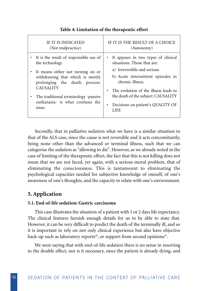| <b>IF IT IS INDICATED</b>              | IF IT IS THE RESULT OF A CHOICE       |  |
|----------------------------------------|---------------------------------------|--|
| (Not malpractice)                      | (Autonomy)                            |  |
| It is the result of responsible use of | It appears in two types of clinical   |  |
| the technology                         | situations. Those that are:           |  |
| It means either not turning on or      | a) Irreversible and serious           |  |
| withdrawing that which is merely       | b) Acute intermittent episodes in     |  |
| prolonging the death process:          | chronic illness.                      |  |
| <b>CAUSALITY</b>                       | The evolution of the illness leads to |  |
| The traditional terminology -passive   | the death of the subject: CAUSALITY   |  |
| euthanasia- is what confuses the       | Decisions on patient's QUALITY OF     |  |
| issue.                                 | <b>LIFE</b>                           |  |

# **Table 4: Limitation of the therapeutic effort**

Secondly, that in palliative sedation what we have is a similar situation to that of the ALS case, since the cause is not reversible and it acts concomitantly, being none other than the advanced or terminal illness, such that we can categorise the sedation as "allowing to die". However, as we already noted in the case of limiting of the therapeutic effort, the fact that this is not killing does not mean that we are not faced, yet again, with a serious moral problem, that of eliminating the consciousness. This is tantamount to eliminating the psychological capacities needed for subjective knowledge of oneself, of one's awareness of one's thoughts, and the capacity to relate with one's environment.

# **5. Application**

# **5.1. End-of-life sedation: Gastric carcinoma**

This case illustrates the situation of a patient with 1 or 2 days life expectancy. The clinical features furnish enough details for us to be able to state that. However, it can be very difficult to predict the death of the terminally ill, and so it is important to rely on not only clinical experience but also have objective back-up such as laboratory reports<sup>48</sup>, or support from second opinions<sup>49</sup>.

We were saying that with end-of-life sedation there is no sense in resorting to the double effect, nor is it necessary, since the patient is already dying, and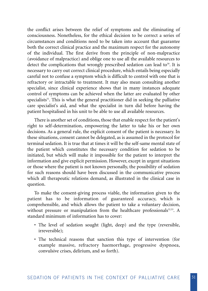the conflict arises between the relief of symptoms and the eliminating of consciousness. Nonetheless, for the ethical decision to be correct a series of circumstances and conditions need to be taken into account that guarantee both the correct clinical practice and the maximum respect for the autonomy of the individual. The first derive from the principle of non-malpractice (avoidance of malpractice) and oblige one to use all the available resources to detect the complications that wrongly prescribed sedation can lead to<sup>50</sup>. It is necessary to carry out correct clinical procedure, which entails being especially careful not to confuse a symptom which is difficult to control with one that is refractory or intractable to treatment. It may also mean consulting another specialist, since clinical experience shows that in many instances adequate control of symptoms can be achieved when the latter are evaluated by other specialists<sup>51</sup>. This is what the general practitioner did in seeking the palliative care specialist's aid, and what the specialist in turn did before having the patient hospitalised in his unit to be able to use all available resources.

There is another set of conditions, those that enable respect for the patient's right to self-determination, empowering the latter to take his or her own decisions. As a general rule, the explicit consent of the patient is necessary. In these situations, consent cannot be delegated, as is assumed in the protocol for terminal sedation. It is true that at times it will be the self-same mental state of the patient which constitutes the necessary condition for sedation to be initiated, but which will make it impossible for the patient to interpret the information and give explicit permission. However, except in urgent situations or those where the patient is not known personally, the possibility of sedation for such reasons should have been discussed in the communicative process which all therapeutic relations demand, as illustrated in the clinical case in question.

To make the consent-giving process viable, the information given to the patient has to be information of guaranteed accuracy, which is comprehensible, and which allows the patient to take a voluntary decision, without pressure or manipulation from the healthcare professionals $52,53$ . A standard minimum of information has to cover:

- The level of sedation sought (light, deep) and the type (reversible, irreversible);
- The technical reasons that sanction this type of intervention (for example massive, refractory haemorrhage, progressive dyspnoea, convulsive crises, delirium, and so forth).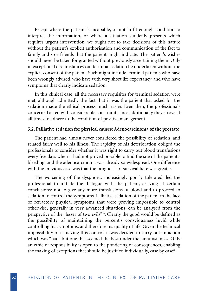Except where the patient is incapable, or not in fit enough condition to interpret the information, or where a situation suddenly presents which requires urgent intervention, we ought not to take decisions of this nature without the patient's explicit authorisation and communication of the fact to family and / or friends that the patient might indicate. The patient's wishes should never be taken for granted without previously ascertaining them. Only in exceptional circumstances can terminal sedation be undertaken without the explicit consent of the patient. Such might include terminal patients who have been wrongly advised, who have with very short life expectancy, and who have symptoms that clearly indicate sedation.

In this clinical case, all the necessary requisites for terminal sedation were met, although admittedly the fact that it was the patient that asked for the sedation made the ethical process much easier. Even then, the professionals concerned acted with considerable constraint, since additionally they strove at all times to adhere to the condition of positive management.

#### **5.2. Palliative sedation for physical causes: Adenocarcinoma of the prostate**

The patient had almost never considered the possibility of sedation, and related fairly well to his illness. The rapidity of his deterioration obliged the professionals to consider whether it was right to carry out blood transfusions every five days when it had not proved possible to find the site of the patient's bleeding, and the adenocarcinoma was already so widespread. One difference with the previous case was that the prognosis of survival here was greater.

The worsening of the dyspnoea, increasingly poorly tolerated, led the professional to initiate the dialogue with the patient, arriving at certain conclusions: not to give any more transfusions of blood and to proceed to sedation to control the symptoms. Palliative sedation of the patient in the face of refractory physical symptoms that were proving impossible to control otherwise, generally in very advanced situations, can be analysed from the perspective of the "lesser of two evils"54. Clearly the good would be defined as the possibility of maintaining the percent's consciousness lucid while controlling his symptoms, and therefore his quality of life. Given the technical impossibility of achieving this control, it was decided to carry out an action which was "bad" but one that seemed the best under the circumstances. Only an ethic of responsibility is open to the pondering of consequences, enabling the making of exceptions that should be justified individually, case by case<sup>55</sup>.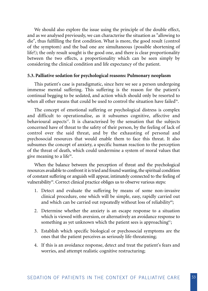We should also explore the issue using the principle of the double effect, and as we analysed previously, we can characterise the situation as "allowing to die", thus fulfilling the first condition. What is more, the good result (control of the symptom) and the bad one are simultaneous (possible shortening of life?); the only result sought is the good one, and there is clear proportionality between the two effects, a proportionality which can be seen simply by considering the clinical condition and life expectancy of the patient.

#### **5.3. Palliative sedation for psychological reasons: Pulmonary neoplasm**

This patient's case is paradigmatic, since here we see a person undergoing immense mental suffering. This suffering is the reason for the patient's continual begging to be sedated, and action which should only be resorted to when all other means that could be used to control the situation have failed<sup>56</sup>.

The concept of emotional suffering or psychological distress is complex and difficult to operationalise, as it subsumes cognitive, affective and behavioural aspects<sup>57</sup>. It is characterised by the sensation that the subjects concerned have of threat to the safety of their person, by the feeling of lack of control over the said threat, and by the exhausting of personal and psychosocial resources that would enable them to face this threat. It also subsumes the concept of anxiety, a specific human reaction to the perception of the threat of death, which could undermine a system of moral values that give meaning to a life<sup>58</sup>.

When the balance between the perception of threat and the psychological resources available to confront it is tried and found wanting, the spiritual condition of constant suffering or anguish will appear, intimately connected to the feeling of vulnerability<sup>59</sup>. Correct clinical practice obliges us to observe various steps:

- 1. Detect and evaluate the suffering by means of some non-invasive clinical procedure, one which will be simple, easy, rapidly carried out and which can be carried out repeatedly without loss of reliability<sup>60</sup>;
- 2. Determine whether the anxiety is an escape response to a situation which is viewed with aversion, or alternatively an avoidance response to something as yet unknown which the patient sees is approaching<sup>61</sup>;
- 3. Establish which specific biological or psychosocial symptoms are the ones that the patient perceives as seriously life-threatening;
- 4. If this is an avoidance response, detect and treat the patient's fears and worries, and attempt realistic cognitive restructuring;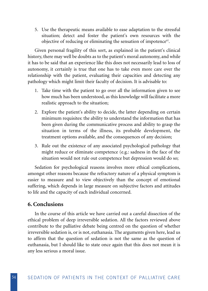5. Use the therapeutic means available to ease adaptation to the stressful situation; detect and foster the patient's own resources with the objective of reducing or eliminating the sensation of impotence $62$ .

Given personal fragility of this sort, as explained in the patient's clinical history, there may well be doubts as to the patient's moral autonomy, and while it has to be said that an experience like this does not necessarily lead to loss of autonomy, it certainly is true that one has to take even more care over the relationship with the patient, evaluating their capacities and detecting any pathology which might limit their faculty of decision. It is advisable to:

- 1. Take time with the patient to go over all the information given to see how much has been understood, as this knowledge will facilitate a more realistic approach to the situation;
- 2. Explore the patient's ability to decide, the latter depending on certain minimum requisites: the ability to understand the information that has been given during the communicative process and ability to grasp the situation in terms of the illness, its probable development, the treatment options available, and the consequences of any decision;
- 3. Rule out the existence of any associated psychological pathology that might reduce or eliminate competence (e.g.: sadness in the face of the situation would not rule out competence but depression would do so;

Sedation for psychological reasons involves more ethical complications, amongst other reasons because the refractory nature of a physical symptom is easier to measure and to view objectively than the concept of emotional suffering, which depends in large measure on subjective factors and attitudes to life and the capacity of each individual concerned.

# **6. Conclusions**

In the course of this article we have carried out a careful dissection of the ethical problem of deep irreversible sedation. All the factors reviewed above contribute to the palliative debate being centred on the question of whether irreversible sedation is, or is not, euthanasia. The arguments given here, lead us to affirm that the question of sedation is not the same as the question of euthanasia, but I should like to state once again that this does not mean it is any less serious a moral issue.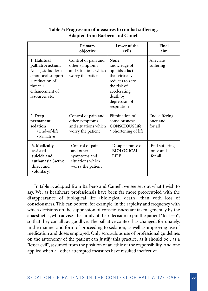|                                                                                                                                                    | Primary<br>objective                                                                  | Lesser of the<br>evils                                                                                                                                  | Final<br>aim                         |
|----------------------------------------------------------------------------------------------------------------------------------------------------|---------------------------------------------------------------------------------------|---------------------------------------------------------------------------------------------------------------------------------------------------------|--------------------------------------|
| 1. Habitual<br>palliative action:<br>Analgesic ladder +<br>emotional support<br>$+$ reduction of<br>threat $+$<br>enhancement of<br>resources etc. | Control of pain and<br>other symptoms<br>and situations which<br>worry the patient    | None:<br>knowledge of<br>opioids a fact<br>that virtually<br>reduces to zero<br>the risk of<br>accelerating<br>death by<br>depression of<br>respiration | Alleviate<br>suffering               |
| 2. Deep<br>permanent<br>sedation<br>• End-of-life<br>• Palliative                                                                                  | Control of pain and<br>other symptoms<br>and situations which<br>worry the patient    | Elimination of<br>consciousness:<br><b>CONSCIOUS life</b><br>* Shortening of life                                                                       | End suffering<br>once and<br>for all |
| 3. Medically<br>assisted<br>suicide and<br>euthanasia (active,<br>direct and<br>voluntary)                                                         | Control of pain<br>and other<br>symptoms and<br>situations which<br>worry the patient | Disappearance of<br><b>BIOLOGICAL</b><br><b>LIFE</b>                                                                                                    | End suffering<br>once and<br>for all |

# **Table 5: Progression of measures to combat suffering. Adapted from Barbero and Camell**

In table 5, adapted from Barbero and Camell, we see set out what I wish to say. We, as healthcare professionals have been far more preoccupied with the disappearance of biological life (biological death) than with loss of consciousness. This can be seen, for example, in the rapidity and frequency with which decisions on the suppression of consciousness are taken, generally by the anaesthetist, who advises the family of their decision to put the patient "to sleep", so that they can all say goodbye. The palliative context has changed, fortunately, in the manner and form of proceeding to sedation, as well as improving use of medication and doses employed. Only scrupulous use of professional guidelines on the autonomy of the patient can justify this practice, as it should be , as a "lesser evil", assumed from the position of an ethic of the responsibility. And one applied when all other attempted measures have resulted ineffective.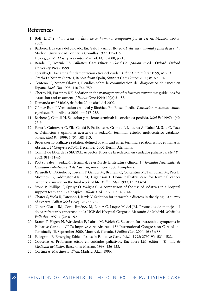# **References**

- 1. Boff, L. *El cuidado esencial. Ética de lo humano, compasión por la Tierra.* Madrid: Trotta, 2002.
- 2. Barbero, J. La ética del cuidado. En: Gafo J y Amor JR (ed). *Deficiencia mental y final de la vida.* Madrid: Universidad Pontificia Comillas 1999; 125-159.
- 3. Heidegger, M. *El ser y el tiempo*. Madrid: FCE, 2000, p.216.
- 4. Randall F, Downie RS. *Palliative Care Ethics: A Good Companion* 2ª ed. Oxford: Oxford University Press, 1999.
- 5. Torralba,F. Hacia una fundamentación ética del cuidar. *Labor Hospitalaria* 1999, nº 253.
- 6. Gracia D, Núñez Olarte J, Report from Spain, *Support Care Cancer* 2000; 8:169-174.
- 7. Centeno C, Núñez Olarte J, Estudios sobre la comunicación del diagnóstico de cáncer en España. *Med Clin* 1998; 110.744-750.
- 8. Cherny NI, Portenoy RK. Sedation in the management of refractory symptoms: guidelines for evauation and treatment. *J Palliat Care* 1994; 10(2):31-38.
- 9. Demanda nº 2346/02, de fecha 20 de abril del 2002.
- 10. Gómez Rubí J. Ventilación artificial y Bioética. En: Blasco J, edit. *Ventilación mecánica: clínica y práctica.* Edit Alhulia 2001; pp.247-258.
- 11. Barbero J, Camell H. Sedación y paciente terminal: la conciencia perdida. *Med Pal* 1997; 4(4): 26-34.
- 12. Porta J, Guinovart C, Yllá-Catalá E, Estibalez A, Grimau I, Lafuerza A, Nabal M, Sala C, Tuca A. Definición y opiniones acerca de la sedación terminal: estudio multicéntrico catalanobalear. *Med Pal* 1999; 6 (3): 108-115.
- 13. Broeckaert B. Palliative sedation defined or why and when terminal sedation is not euthanasia. Abstract, *1st Congress RDPC,* December 2000, Berlín, Alemania.
- 14. Comité de Etica de la SECPAL. Aspectos éticos de la sedación en cuidados paliativos. *Med Pal* 2002; 9(1):41-46.
- 15. Porta i Sales J. Sedación terminal: revisión de la literatura clínica. *IV Jornadas Nacionales de Cuidados Paliativos y II de Navarra,* noviembre 2000, Pamplona.
- 16. Peruselli C, DiGiulio P, Toscani F, Galluci M, Brunelli C, Costantini M, Tamburini M, Paci E, Miccinesi G, Addington-Hall JM, Higginson I. Home palliative care for terminal cancer patients: a survey on the final week of life. *Palliat Med* 1999; 13: 233-241.
- 17. Stone P, Phillips C, Spruyt O, Waight C. A comparison of the use of sedatives in a hospital support team and in a hospice. *Palliat Med* 1997; 11: 140-144.
- 18. Chater S, Viola R, Paterson J, Jarvis V. Sedation for intractable distress in the dying a survey of experts. *Palliat Med* 1998; 12: 255-269.
- 19. Núñez Olarte JM, Conti Jiménez M, López C, Luque Medel JM. Protocolos de manejo del dolor refractario canceroso de la UCP del Hospital Gregorio Marañón de Madrid. *Medicina Paliativa* 1997; 4 (2): 81-92.
- 20. Braun T, Hagen N, Wasylenko E, Labrie M, Wolch G. Sedation for intractable symptoms in Palliative Care: do CPGs improve care. Abstract, 13<sup>th</sup> International Congress on Care of the Terminally Ill, September 2000, Montreal, Canada. *J Palliat Care* 2000; 16 (3): 88.
- 21. Pellegrino E. Emerging Ethical Issues in Palliative Care. *JAMA* 1998; 279(19):1521-1522.
- 22. Couceiro A. Problemas éticos en cuidados paliativos. En: Torre LM, editor; *Tratado de Medicina del Dolor.* Barcelona: Masson, 1998; 426-438.
- 23. Cortina A, Martínez E. *Ética*. Madrid: Akal, 1996.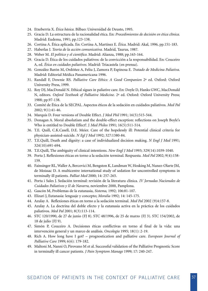- 24. Etxeberría X. *Ética básica.* Bilbao: Universidad de Deusto, 1995.
- 25. Gracia D. La estructura de la racionalidad ética. En: *Procedimientos de decisión en ética clínica.* Madrid: Eudema, 1991; pp.123-138.
- 26. Cortina A. Ética aplicada. En: Cortina A, Martínez E. *Ética.* Madrid: Akal, 1996, pp.151-183.
- 27. Haberlas J. *Teoría de la acción comunicativa.* Madrid, Taurus, 1987.
- 28. Weber M. *El político y el científico.* Madrid: Alianza, 1988; pp.163-164.
- 29. Gracia D. Ética de los cuidados paliativos: de la convicción a la responsabilidad. En: Couceiro A, ed. *Ética en cuidados paliativos.* Madrid: Triacastela (en prensa).
- 30. González Barón M, Ordóñez A, Feliu J, Zamora P, Espinosa E. *Tratado de Medicina Paliativa.* Madrid: Editorial Médica Panamericana 1996.
- 31. Randall F, Downie RS. *Palliative Care Ethics: A Good Companion* 2ª ed. Oxford: Oxford University Press, 1999.
- 32. Roy DJ, MacDonald N. Ethical sigues in paliative care. En: Doyle D, Hanks GWC, MacDonald N, editors. *Oxford Textbook of Palliative Medicine.* 2ª ed. Oxford: Oxford University Press; 1988; pp.97-138.
- 33. Comité de Ética de la SECPAL. Aspectos éticos de la sedación en cuidados paliativos. *Med Pal* 2002; 9(1):41-46.
- 34. Marquis D. Four versions of Double Effect. *J Med Phil* 1991; 16(5):515-544.
- 35. Donagan A. Moral absolutism and the double-effect exception: reflections on Joseph Boyle's Who is entitled to Double Effect?. J *Med Philos* 1991; 16(5):511-514.
- 36. T.E. Quill, C.K.Casell, D.E. Meier. Care of the hopelessly ill: Potential clinical criteria for physician-assisted-suicide. *N Egl J Med* 1992; 327:1380-84.
- 37. T.E.Quill, Death and dignity: a case of individualized decision making. *N Engl J Med* 1991; 324(10):691-694.
- 38. T.E.Quill, The ambiguity of clinical intentions. *New Engl J Med* 1993; 329(14):1039-1040.
- 39. Porta J. Reflexiones éticas en torno a la sedación terminal. Respuesta. *Med Pal* 2002; 9(4):158- 159.
- 40. Fainsinger RL, Waller A, Bercovici M, Bengston K, Landman W, Hosking M, Nunez-Olarte JM, de Moissac D. A multicentre international study of sedation for uncontrolled symptoms in terminally ill patients. *Palliat Med* 2000; 14: 257-265.
- 41. Porta i Sales J. Sedación terminal: revisión de la literatura clínica. *IV Jornadas Nacionales de Cuidados Paliativos y II de Navarra,* noviembre 2000, Pamplona.
- 42. Gascón M, Problemas de la eutanasia, *Sistema,* 1992; 106:81-107.
- 43. Elizari J, Eutanasia: lenguaje y concepto; *Moralia* 1992; 14: 145-175.
- 44. Azulay A. Reflexiones éticas en torno a la sedación terminal. *Med Pal* 2002 (9)4:157-8.
- 45. Azulay A. La doctrina del doble efecto y la eutanasia activa en la práctica de los cuidados paliativos. *Med Pal* 2001; 8(3):113-114.
- 46. STC 120/1990, de 27 de junio (FJ 8). STC 48/1996, de 25 de marzo (FJ 3). STC 154/2002, de 18 de julio (FJ 9).
- 47. Simón P, Couceiro A. Decisiones éticas conflictivas en torno al final de la vida: una intervención general y un marco de análisis. *Oncología* 1995; 18(1): 2-19.
- 48. Rich A. How long have I got? prognostication and palliative care. *European Journal of Palliative Care* 1999; 6(6): 179-182.
- 49. Maltoni M, Nanni O, Pirovano M et al. Successful validation of the Palliative Prognostic Score in terminally ill cancer patients. *J Pain Symptom Manage* 1999; 17: 240-247.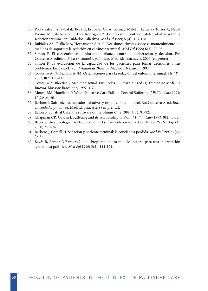- 50. Porta Sales J, Yllá-Catalá Boré E, Estíbalez Gil A, Grimau Malet I, Lafuerza Torres A, Nabal Vicuña M, Sala Rovira C, Tuca Rodríguez A. Estudio multicéntrico catalano-balear sobre la sedación terminal en Cuidados Paliativos. *Med Pal* 1999; 6 (4): 153-158.
- 51. Rubiales AS, Olalla MA, Hernansanz S et al. Decisiones clínicas sobre el mantenimiento de medidas de soporte y la sedación en el cáncer terminal. *Med Pal* 1999; 6(3): 92-98.
- 52. Simón P. El consentimiento informado: alianza, contrato, deliberación y decisión. En: Couceiro A, editora, *Ética en cuidados paliativos.* Madrid: Triacastela, 2003 (en prensa).
- 53. Simón P. La evaluación de la capacidad de los pacientes para tomar decisiones y sus problemas. En: Feito L ed., *Estudios de Bioética.* Madrid: Dykinson, 1997.
- 54. Couceiro A, Núñez Olarte JM. Orientaciones para la sedación del enfermo terminal. *Med Pal* 2001; 8(3):138-143.
- 55. Couceiro A. Bioética y Medicina actual. En: Rodés J, Guardia J (éds.), *Tratado de Medicina Interna.* Masson: Barcelona, 1997, 4-7.
- 56. Mount BM, Hamilton P. When Palliative Care Fails to Control Suffering. *J Palliat Care* 1994; 10(2): 24-26.
- 57. Barbero J. Sufrimiento, cuidados paliativos y responsabilidad moral. En: Couceiro A, ed. *Ética en cuidados paliativos.* Madrid: Triacastela (en prensa).
- 58. Eaton S. Spiritual Care: the software of life. *Palliat Care* 1988; 4(1): 91-92.
- 59. Chapman CR, Gavrin J. Suffering and its relationship to Pain. *J Palliat Care* 1993; 9(2): 5-13.
- 60. Bayés R. Una estrategia para la detección del sufrimiento en la práctica clínica. *Rev Soc Esp Dol* 2000; 7:70-74.
- 61. Barbero J, Camell H. Sedación y paciente terminal: la conciencia perdida. *Med Pal* 1997; 4(4): 26-34.
- 62. Bayés R, Arranz P, Barbero J et al. Propuesta de un modelo integral para una intervención terapéutica paliativa. *Med Pal* 1996; 3(3): 114-121.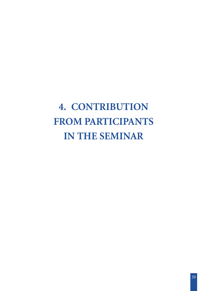# **4. CONTRIBUTION FROM PARTICIPANTS IN THE SEMINAR**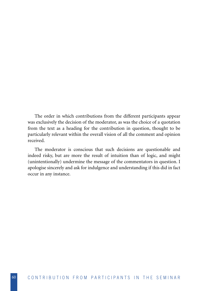The order in which contributions from the different participants appear was exclusively the decision of the moderator, as was the choice of a quotation from the text as a heading for the contribution in question, thought to be particularly relevant within the overall vision of all the comment and opinion received.

The moderator is conscious that such decisions are questionable and indeed risky, but are more the result of intuition than of logic, and might (unintentionally) undermine the message of the commentators in question. I apologise sincerely and ask for indulgence and understanding if this did in fact occur in any instance.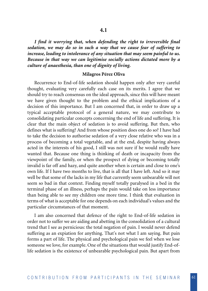*I find it worrying that, when defending the right to irreversible final sedation, we may do so in such a way that we cause fear of suffering to increase, leading to intolerance of any situation that may seem painful to us. Because in that way we can legitimise socially actions dictated more by a culture of anaesthesia, than one of dignity of living.*

#### **Milagros Pérez Oliva**

Recurrence to End-of-life sedation should happen only after very careful thought, evaluating very carefully each case on its merits. I agree that we should try to reach consensus on the ideal approach, since this will have meant we have given thought to the problem and the ethical implications of a decision of this importance. But I am concerned that, in order to draw up a typical acceptable protocol of a general nature, we may contribute to consolidating particular concepts concerning the end of life and suffering. It is clear that the main object of sedation is to avoid suffering. But then, who defines what is suffering? And from whose position does one do so? I have had to take the decision to authorise sedation of a very close relative who was in a process of becoming a total vegetable, and at the end, despite having always acted in the interests of his good, I still was not sure if he would really have wanted that. Because one thing is thinking of death or incapacity from the viewpoint of the family, or when the prospect of dying or becoming totally invalid is far off and hazy, and quite another when is certain and close to one's own life. If I have two months to live, that is all that I have left. And so it may well be that some of the lacks in my life that currently seem unbearable will not seem so bad in that context. Finding myself totally paralysed in a bed in the terminal phase of an illness, perhaps the pain would take on less importance than being able to see my children one more time. I think that evaluation in terms of what is acceptable for one depends on each individual's values and the particular circumstances of that moment.

I am also concerned that defence of the right to End-of-life sedation in order not to suffer we are aiding and abetting in the consolidation of a cultural trend that I see as pernicious: the total negation of pain. I would never defend suffering as an expiation for anything. That's not what I am saying. But pain forms a part of life. The physical and psychological pain we feel when we lose someone we love, for example. One of the situations that would justify End-oflife sedation is the existence of unbearable psychological pain. But apart from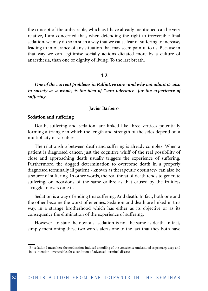the concept of the unbearable, which as I have already mentioned can be very relative, I am concerned that, when defending the right to irreversible final sedation, we may do so in such a way that we cause fear of suffering to increase, leading to intolerance of any situation that may seem painful to us. Because in that way we can legitimise socially actions dictated more by a culture of anaesthesia, than one of dignity of living. To the last breath.

# **4.2**

*One of the current problems in Palliative care -and why not admit it- also in society as a whole, is the idea of "zero tolerance" for the experience of suffering.*

#### **Javier Barbero**

#### **Sedation and suffering**

Death, suffering and sedation<sup>1</sup> are linked like three vertices potentially forming a triangle in which the length and strength of the sides depend on a multiplicity of variables.

The relationship between death and suffering is already complex. When a patient is diagnosed cancer, just the cognitive whiff of the real possibility of close and approaching death usually triggers the experience of suffering. Furthermore, the dogged determination to overcome death in a properly diagnosed terminally ill patient - known as therapeutic obstinacy- can also be a source of suffering. In other words, the real threat of death tends to generate suffering, on occasions of the same calibre as that caused by the fruitless struggle to overcome it.

Sedation is a way of ending this suffering. And death. In fact, both one and the other become the worst of enemies. Sedation and death are linked in this way, in a strange brotherhood which has either as its objective or as its consequence the elimination of the experience of suffering.

However -to state the obvious- sedation is not the same as death. In fact, simply mentioning these two words alerts one to the fact that they both have

<sup>&</sup>lt;sup>1</sup> By sedation I mean here the medication-induced annulling of the conscience understood as primary, deep and -in its intention- irreversible, for a condition of advanced-terminal disease.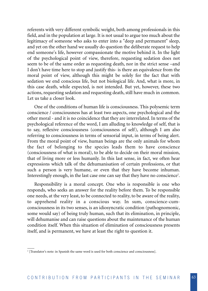referents with very different symbolic weight, both among professionals in this field, and in the population at large. It is not usual to argue too much about the legitimacy of someone who asks to enter into a "deep and permanent" sleep, and yet on the other hand we usually do question the deliberate request to help end someone's life, however compassionate the motive behind it. In the light of the psychological point of view, therefore, requesting sedation does not seem to be of the same order as requesting death, nor in the strict sense –and I don't have time here to stop and justify this- is there an equivalence from the moral point of view, although this might be solely for the fact that with sedation we end conscious life, but not biological life. And, what is more, in this case death, while expected, is not intended. But yet, however, these two actions, requesting sedation and requesting death, still have much in common. Let us take a closer look.

One of the conditions of human life is consciousness. This polysemic term conscience / consciousness has at least two aspects, one psychological and the other moral - and it is no coincidence that they are interrelated. In terms of the psychological reference of the word, I am alluding to knowledge of self, that is to say, reflexive consciousness (consciousness of self), although I am also referring to consciousness in terms of sensorial input, in terms of being alert. From the moral point of view, human beings are the only animals for whom the fact of belonging to the species leads them to have conscience (consciousness of what is moral), to be able to decide on their moral mission, that of living more or less humanly. In this last sense, in fact, we often hear expressions which talk of the dehumanisation of certain professions, or that such a person is very humane, or even that they have become inhuman. Interestingly enough, in the last case one can say that they have no conscience $^2$ .

Responsibility is a moral concept. One who is responsible is one who responds, who seeks an answer for the reality before them. To be responsible one needs, at the very least, to be connected to reality, to be aware of the reality, to apprehend reality in a conscious way. In sum, conscience-cumconsciousness in its two senses, is an idiosyncratic condition (pathognomonic, some would say) of being truly human, such that its elimination, in principle, will dehumanise and can raise questions about the maintenance of the human condition itself. When this situation of elimination of consciousness presents itself, and is permanent, we have at least the right to question it.

<sup>&</sup>lt;sup>2</sup> [Translator's note: in Spanish the same word is used for both conscience and consciousness].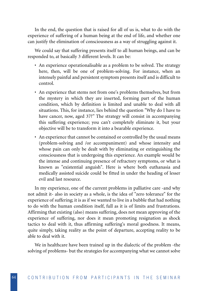In the end, the question that is raised for all of us is, what to do with the experience of suffering of a human being at the end of life, and whether one can justify the elimination of consciousness as a way of struggling against it.

We could say that suffering presents itself to all human beings, and can be responded to, at basically 3 different levels. It can be:

- An experience operationalisable as a problem to be solved. The strategy here, then, will be one of problem-solving. For instance, when an intensely painful and persistent symptom presents itself and is difficult to control.
- An experience that stems not from one's problems themselves, but from the mystery in which they are inserted, forming part of the human condition, which by definition is limited and unable to deal with all situations. This, for instance, lies behind the question "Why do I have to have cancer, now, aged 37?" The strategy will consist in accompanying this suffering experience; you can't completely eliminate it, but your objective will be to transform it into a bearable experience.
- An experience that cannot be contained or controlled by the usual means (problem-solving and /or accompaniment) and whose intensity and whose pain can only be dealt with by eliminating or extinguishing the consciousness that is undergoing this experience. An example would be the intense and continuing presence of refractory symptoms, or what is known as "existential anguish". Here is where both euthanasia and medically assisted suicide could be fitted in under the heading of lesser evil and last resource.

In my experience, one of the current problems in palliative care -and why not admit it- also in society as a whole, is the idea of "zero tolerance" for the experience of suffering; it is as if we wanted to live in a bubble that had nothing to do with the human condition itself, full as it is of limits and frustrations. Affirming that existing (also) means suffering, does not mean approving of the experience of suffering, nor does it mean promoting resignation as shock tactics to deal with it, thus affirming suffering's moral goodness. It means, quite simply, taking reality as the point of departure, accepting reality to be able to deal with it.

We in healthcare have been trained up in the dialectic of the problem -the solving of problems- but the strategies for accompanying what we cannot solve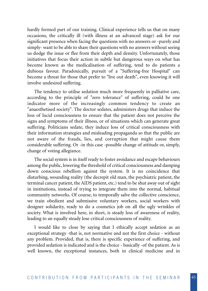hardly formed part of our training. Clinical experience tells us that on many occasions, the critically ill (with illness at an advanced stage) ask for our significant presence when facing the questions with no answers or -purely and simply- want to be able to share their questions with no answers without seeing us dodge the issue or flee from their depth and density. Unfortunately, those initiatives that focus their action in subtle but dangerous ways on what has become known as the medicalisation of suffering, tend to do patients a dubious favour. Paradoxically, pursuit of a "Suffering-free Hospital" can become a threat for those that prefer to "live out death", even knowing it will involve undesired suffering.

The tendency to utilise sedation much more frequently in palliative care, according to the principle of "zero tolerance" of suffering, could be one indicator more of the increasingly common tendency to create an "anaesthetised society". The doctor sedates, administers drugs that induce the loss of lucid consciousness to ensure that the patient does not perceive the signs and symptoms of their illness, or of situations which can generate great suffering. Politicians sedate, they induce loss of critical consciousness with their information strategies and misleading propaganda so that the public are not aware of the frauds, lies, and corruption that might cause them considerable suffering. Or -in this case -possible change of attitude or, simply, change of voting allegiance.

The social system is in itself ready to foster avoidance and escape behaviours among the public, lowering the threshold of critical consciousness and damping down conscious rebellion against the system. It is no coincidence that disturbing, wounding reality (the decrepit old man, the psychiatric patient, the terminal cancer patient, the AIDS patient, etc.) tend to be shut away out of sight in institutions, instead of trying to integrate them into the normal, habitual community networks. Of course, to temporally salve the collective conscience, we train obedient and submissive voluntary workers, social workers with designer solidarity, ready to do a cosmetics job on all the ugly wrinkles of society. What is involved here, in short, is steady loss of awareness of reality, leading to an equally steady lose critical consciousness of reality.

I would like to close by saying that I ethically accept sedation as an exceptional strategy -that is, not normative and not the first choice - without any problem. Provided, that is, there is specific experience of suffering, and provided sedation is indicated and is the choice - basically -of the patient. As is well known, the exceptional instances, both in clinical medicine and in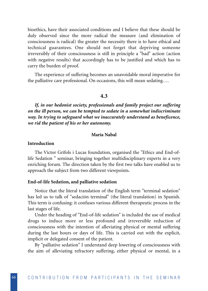bioethics, have their associated conditions and I believe that these should be duly observed since the more radical the measure (and elimination of consciousness is radical) the greater the necessity there is to have ethical and technical guarantees. One should not forget that depriving someone irreversibly of their consciousness is still in principle a "bad" action (action with negative results) that accordingly has to be justified and which has to carry the burden of proof.

The experience of suffering becomes an unavoidable moral imperative for the palliative care professional. On occasions, this will mean sedating….

## **4.3**

*If, in our hedonist society, professionals and family project our suffering on the ill person, we can be tempted to sedate in a somewhat indiscriminate way. In trying to safeguard what we inaccurately understand as beneficence, we rid the patient of his or her autonomy.*

# **María Nabal**

## **Introduction**

The Víctor Grífols i Lucas foundation, organised the "Ethics and End-oflife Sedation " seminar, bringing together multidisciplinary experts in a very enriching forum. The direction taken by the first two talks have enabled us to approach the subject from two different viewpoints.

#### **End-of-life Sedation, and palliative sedation**

Notice that the literal translation of the English term "terminal sedation" has led us to talk of "sedación terminal" (the literal translation) in Spanish. This term is confusing: it confuses various different therapeutic process in the last stages of life.

Under the heading of "End-of-life sedation" is included the use of medical drugs to induce more or less profound and irreversible reduction of consciousness with the intention of alleviating physical or mental suffering during the last hours or days of life. This is carried out with the explicit, implicit or delegated consent of the patient.

By "palliative sedation" I understand deep lowering of consciousness with the aim of alleviating refractory suffering, either physical or mental, in a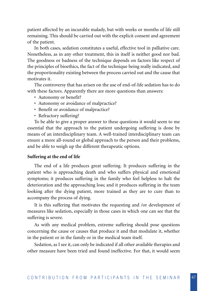patient affected by an incurable malady, but with weeks or months of life still remaining. This should be carried out with the explicit consent and agreement of the patient.

In both cases, sedation constitutes a useful, effective tool in palliative care. Nonetheless, as in any other treatment, this in itself is neither good nor bad. The goodness or badness of the technique depends on factors like respect of the principles of bioethics, the fact of the technique being really indicated, and the proportionality existing between the process carried out and the cause that motivates it.

The controversy that has arisen on the use of end-of-life sedation has to do with these factors. Apparently there are more questions than answers:

- Autonomy or benefit?
- Autonomy or avoidance of malpractice?
- Benefit or avoidance of malpractice?
- Refractory suffering?

To be able to give a proper answer to these questions it would seem to me essential that the approach to the patient undergoing suffering is done by means of an interdisciplinary team. A well-trained interdisciplinary team can ensure a more all-round or global approach to the person and their problems, and be able to weigh up the different therapeutic options.

# **Suffering at the end of life**

The end of a life produces great suffering. It produces suffering in the patient who is approaching death and who suffers physical and emotional symptoms; it produces suffering in the family who feel helpless to halt the deterioration and the approaching loss; and it produces suffering in the team looking after the dying patient, more trained as they are to cure than to accompany the process of dying.

It is this suffering that motivates the requesting and /or development of measures like sedation, especially in those cases in which one can see that the suffering is severe.

As with any medical problem, extreme suffering should pose questions concerning the cause or causes that produce it and that modulate it, whether in the patient or in the family or in the medical team itself.

Sedation, as I see it, can only be indicated if all other available therapies and other measure have been tried and found ineffective. For that, it would seem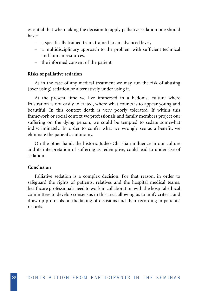essential that when taking the decision to apply palliative sedation one should have:

- a specifically trained team, trained to an advanced level,
- a multidisciplinary approach to the problem with sufficient technical and human resources,
- the informed consent of the patient.

#### **Risks of palliative sedation**

As in the case of any medical treatment we may run the risk of abusing (over using) sedation or alternatively under using it.

At the present time we live immersed in a hedonist culture where frustration is not easily tolerated, where what counts is to appear young and beautiful. In this context death is very poorly tolerated. If within this framework or social context we professionals and family members project our suffering on the dying person, we could be tempted to sedate somewhat indiscriminately. In order to confer what we wrongly see as a benefit, we eliminate the patient's autonomy.

On the other hand, the historic Judeo-Christian influence in our culture and its interpretation of suffering as redemptive, could lead to under use of sedation.

# **Conclusion**

Palliative sedation is a complex decision. For that reason, in order to safeguard the rights of patients, relatives and the hospital medical teams, healthcare professionals need to work in collaboration with the hospital ethical committees to develop consensus in this area, allowing us to unify criteria and draw up protocols on the taking of decisions and their recording in patients' records.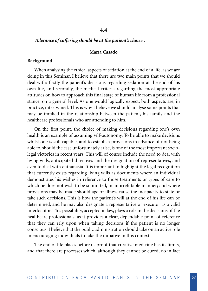# **4.4**

# *Tolerance of suffering should be at the patient's choice .*

## **María Casado**

# **Background**

When analysing the ethical aspects of sedation at the end of a life, as we are doing in this Seminar, I believe that there are two main points that we should deal with: firstly the patient's decisions regarding sedation at the end of his own life, and secondly, the medical criteria regarding the most appropriate attitudes on how to approach this final stage of human life from a professional stance, on a general level. As one would logically expect, both aspects are, in practice, intertwined. This is why I believe we should analyse some points that may be implied in the relationship between the patient, his family and the healthcare professionals who are attending to him.

On the first point, the choice of making decisions regarding one's own health is an example of assuming self-autonomy. To be able to make decisions whilst one is still capable, and to establish provisions in advance of not being able to, should the case unfortunately arise, is one of the most important sociolegal victories in recent years. This will of course include the need to deal with living wills, anticipated directives and the designation of representatives, and even to deal with euthanasia. It is important to highlight the legal recognition that currently exists regarding living wills as documents where an individual demonstrates his wishes in reference to those treatments or types of care to which he does not wish to be submitted, in an irrefutable manner; and where provisions may be made should age or illness cause the incapacity to state or take such decisions. This is how the patient's will at the end of his life can be determined, and he may also designate a representative or executor as a valid interlocutor. This possibility, accepted in law, plays a role in the decisions of the healthcare professionals, as it provides a clear, dependable point of reference that they can rely upon when taking decisions if the patient is no longer conscious. I believe that the public administration should take on an active role in encouraging individuals to take the initiative in this context.

The end of life places before us proof that curative medicine has its limits, and that there are processes which, although they cannot be cured, do in fact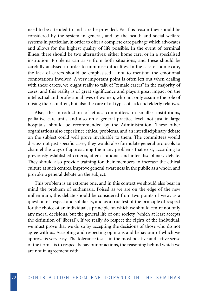need to be attended to and care be provided. For this reason they should be considered by the system in general, and by the health and social welfare systems in particular, in order to offer a complete care package which advocates and allows for the highest quality of life possible. In the event of terminal illness there should be two alternatives: either home care, or in a specialised institution. Problems can arise from both situations, and these should be carefully analysed in order to minimise difficulties. In the case of home care, the lack of carers should be emphasised – not to mention the emotional connotations involved. A very important point is often left out when dealing with these carers, we ought really to talk of "female carers" in the majority of cases, and this reality is of great significance and plays a great impact on the intellectual and professional lives of women, who not only assume the role of raising their children, but also the care of all types of sick and elderly relatives.

Also, the introduction of ethics committees in smaller institutions, palliative care units and also on a general practice level, not just in large hospitals, should be recommended by the Administration. These other organisations also experience ethical problems, and an interdisciplinary debate on the subject could well prove invaluable to them. The committees would discuss not just specific cases, they would also formulate general protocols to channel the ways of approaching the many problems that exist, according to previously established criteria, after a rational and inter-disciplinary debate. They should also provide training for their members to increase the ethical culture at such centres, improve general awareness in the public as a whole, and provoke a general debate on the subject.

This problem is an extreme one, and in this context we should also bear in mind the problem of euthanasia. Poised as we are on the edge of the new millennium, this debate should be considered from two points of view: as a question of respect and solidarity, and as a true test of the principle of respect for the choice of an individual, a principle on which we should centre not only any moral decisions, but the general life of our society (which at least accepts the definition of 'liberal'). If we really do respect the rights of the individual, we must prove that we do so by accepting the decisions of those who do not agree with us. Accepting and respecting opinions and behaviour of which we approve is very easy. The tolerance test – in the most positive and active sense of the term – is to respect behaviour or actions, the reasoning behind which we are not in agreement with.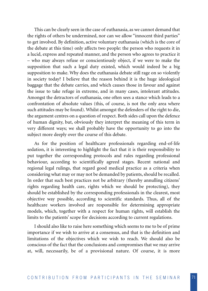This can be clearly seen in the case of euthanasia, as we cannot demand that the rights of others be undermined, nor can we allow "innocent third parties" to get involved. By definition, active voluntary euthanasia (which is the core of the debate at this time) only affects two people: the person who requests it in a lucid, express and repeated manner, and the person who agrees to practice it – who may always refuse or conscientiously object, if we were to make the supposition that such a legal duty existed, which would indeed be a big supposition to make. Why does the euthanasia debate still rage on so violently in society today? I believe that the reason behind it is the huge ideological baggage that the debate carries, and which causes those in favour and against the issue to take refuge in extreme, and in many cases, intolerant attitudes. Amongst the detractors of euthanasia, one often sees a stance which leads to a confrontation of absolute values (this, of course, is not the only area where such attitudes may be found). Whilst amongst the defenders of the right to die, the argument centres on a question of respect. Both sides call upon the defence of human dignity, but, obviously they interpret the meaning of this term in very different ways; we shall probably have the opportunity to go into the subject more deeply over the course of this debate.

As for the position of healthcare professionals regarding end-of-life sedation, it is interesting to highlight the fact that it is their responsibility to put together the corresponding protocols and rules regarding professional behaviour, according to scientifically agreed stages. Recent national and regional legal rulings, that regard good medical practice as a criteria when considering what may or may not be demanded by patients, should be recalled. In order that such best practices not be arbitrary (thereby annulling citizens' rights regarding health care, rights which we should be protecting), they should be established by the corresponding professionals in the clearest, most objective way possible, according to scientific standards. Thus, all of the healthcare workers involved are responsible for determining appropriate models, which, together with a respect for human rights, will establish the limits to the patients' scope for decisions according to current regulations.

I should also like to raise here something which seems to me to be of prime importance if we wish to arrive at a consensus, and that is the definition and limitations of the objectives which we wish to reach. We should also be conscious of the fact that the conclusions and compromises that we may arrive at, will, necessarily, be of a provisional nature. Of course, it is more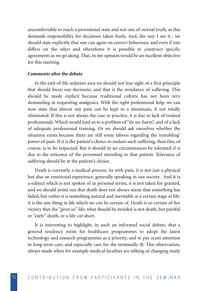uncomfortable to reach a provisional state and not one of eternal truth, as this demands responsibility for decisions taken freely. And, the way I see it , we should state explicitly that one can agree on correct behaviour, and even if one differs on the whys and wherefores it is possible to construct specific agreements as we go along. That, in my opinion would be an excellent objective for this meeting.

## **Comments after the debate**

In the end-of-life sedation area we should not lose sight of a first principle that should focus our decisions, and that is the avoidance of suffering. This should be made explicit because traditional culture has not been very demanding in requesting analgesics. With the right professional help, we can now state that almost any pain can be kept to a minimum, if not totally eliminated. If this is not always the case in practice, it is due to lack of trained professionals. Which would lead us to a problem of "do no-harm", and of a lack of adequate professional training. Or we should ask ourselves whether the situation exists because there are still some taboos regarding the 'ennobling' power of pain. If it is the patient's choice to endure such suffering, then this, of course, is to be respected. But it should in no circumstances be tolerated if is due to the reticence of the personnel attending to that patient. Tolerance of suffering should be at the patient's choice.

Death is currently a medical process. As with pain, it is not just a physical but also an emotional experience, generally speaking in our society . And it is a subject which is not spoken of in personal terms, it is not taken for granted, and we should point out that death does not always mean that something has failed, but rather it is something natural and inevitable at a certain stage of life: it is the one thing in life which we can be certain of. Death is so certain of her victory that she "gives us" life; what should be avoided is not death, but painful or "early" death, or a life cut short.

It is interesting to highlight, in such an informed social debate, that a general tendency exists for healthcare programmes to adopt the latest technology and research programmes as a priority, and to pay scant attention to long-term care, and especially care for the terminally ill. This observation, always made when for example medical faculties are talking of changing study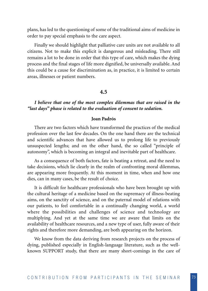plans, has led to the questioning of some of the traditional aims of medicine in order to pay special emphasis to the care aspect.

Finally we should highlight that palliative care units are not available to all citizens. Not to make this explicit is dangerous and misleading. There still remains a lot to be done in order that this type of care, which makes the dying process and the final stages of life more dignified, be universally available. And this could be a cause for discrimination as, in practice, it is limited to certain areas, illnesses or patient numbers.

# **4.5**

# *I believe that one of the most complex dilemmas that are raised in the "last days" phase is related to the evaluation of consent to sedation.*

# **Joan Padrós**

There are two factors which have transformed the practices of the medical profession over the last few decades. On the one hand there are the technical and scientific advances that have allowed us to prolong life to previously unsuspected lengths; and on the other hand, the so called "principle of autonomy", which is becoming an integral and inevitable part of healthcare.

As a consequence of both factors, fate is beating a retreat, and the need to take decisions, which lie clearly in the realm of confronting moral dilemmas, are appearing more frequently. At this moment in time, when and how one dies, can in many cases, be the result of choice.

It is difficult for healthcare professionals who have been brought up with the cultural heritage of a medicine based on the supremacy of illness-beating aims, on the sanctity of science, and on the paternal model of relations with our patients, to feel comfortable in a continually changing world, a world where the possibilities and challenges of science and technology are multiplying. And yet at the same time we are aware that limits on the availability of healthcare resources, and a new type of user, fully aware of their rights and therefore more demanding, are both appearing on the horizon.

We know from the data deriving from research projects on the process of dying, published especially in English-language literature, such as the wellknown SUPPORT study, that there are many short-comings in the care of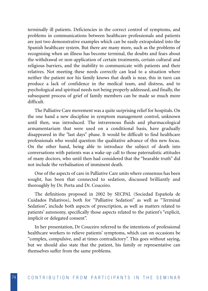terminally ill patients. Deficiencies in the correct control of symptoms, and problems in communications between healthcare professionals and patients are just two demonstrative examples which can be easily extrapolated into the Spanish healthcare system. But there are many more, such as the problems of recognising when an illness has become terminal, the doubts and fears about the withdrawal or non-application of certain treatments, certain cultural and religious barriers, and the inability to communicate with patients and their relatives. Not meeting these needs correctly can lead to a situation where neither the patient nor his family knows that death is near, this in turn can produce a lack of confidence in the medical team, and distress, and to psychological and spiritual needs not being properly addressed, and finally, the subsequent process of grief of family members can be made so much more difficult.

The Palliative Care movement was a quite surprising relief for hospitals. On the one hand a new discipline in symptom management control, unknown until then, was introduced. The intravenous fluids and pharmacological armamentarium that were used on a conditional basis, have gradually disappeared in the "last days" phase. It would be difficult to find healthcare professionals who would question the qualitative advance of this new focus. On the other hand, being able to introduce the subject of death into conversations with patients was a wake-up call to those paternalistic attitudes of many doctors, who until then had considered that the "bearable truth" did not include the verbalisation of imminent death.

One of the aspects of care in Palliative Care units where consensus has been sought, has been that connected to sedation, discussed brilliantly and thoroughly by Dr. Porta and Dr. Couceiro.

The definitions proposed in 2002 by SECPAL (Sociedad Española de Cuidados Paliativos), both for "Palliative Sedation" as well as "Terminal Sedation", include both aspects of prescription, as well as matters related to patients' autonomy, specifically those aspects related to the patient's "explicit, implicit or delegated consent".

In her presentation, Dr Couceiro referred to the intentions of professional healthcare workers to relieve patients' symptoms, which can on occasions be "complex, compulsive, and at times contradictory". This goes without saying, but we should also state that the patient, his family or representative can themselves suffer from the same problems.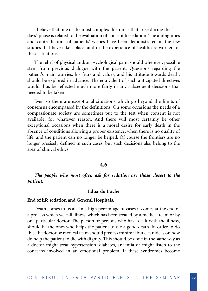I believe that one of the most complex dilemmas that arise during the "last days" phase is related to the evaluation of consent to sedation. The ambiguities and contradictions of patients' wishes have been demonstrated in the few studies that have taken place, and in the experience of healthcare workers of these situations.

The relief of physical and/or psychological pain, should wherever, possible stem from previous dialogue with the patient. Questions regarding the patient's main worries, his fears and values, and his attitude towards death, should be explored in advance. The equivalent of such anticipated directives would thus be reflected much more fairly in any subsequent decisions that needed to be taken.

Even so there are exceptional situations which go beyond the limits of consensus encompassed by the definitions. On some occasions the needs of a compassionate society are sometimes put to the test when consent is not available, for whatever reason. And there will most certainly be other exceptional occasions when there is a moral desire for early death in the absence of conditions allowing a proper existence, when there is no quality of life, and the patient can no longer be helped. Of course the frontiers are no longer precisely defined in such cases, but such decisions also belong to the area of clinical ethics.

# **4.6**

*The people who most often ask for sedation are those closest to the patient.*

## **Eduardo Irache**

#### **End of life sedation and General Hospitals.**

Death comes to us all. In a high percentage of cases it comes at the end of a process which we call illness, which has been treated by a medical team or by one particular doctor. The person or persons who have dealt with the illness, should be the ones who helps the patient to die a good death. In order to do this, the doctor or medical team should possess minimal but clear ideas on how do help the patient to die with dignity. This should be done in the same way as a doctor might treat hypertension, diabetes, anaemia or might listen to the concerns involved in an emotional problem. If these syndromes become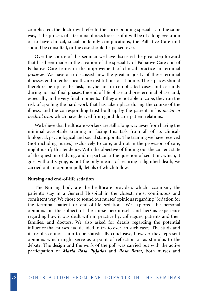complicated, the doctor will refer to the corresponding specialist. In the same way, if the process of a terminal illness looks as if it will be of a long evolution or to have clinical, social or family complications, the Palliative Care unit should be consulted, or the case should be passed over.

Over the course of this seminar we have discussed the great step forward that has been made in the creation of the speciality of Palliative Care and of Palliative Care teams in the improvement of clinical practice in terminal *processes*. We have also discussed how the great majority of these terminal illnesses end in either healthcare institutions or at home. These places should therefore be up to the task, maybe not in complicated cases, but certainly during normal final phases, the end of life phase and pre-terminal phase, and, especially, in the very final moments. If they are not able to cope, they run the risk of spoiling the hard work that has taken place during the course of the illness, and the corresponding trust built up by the patient in his *doctor or medical team* which have derived from good doctor-patient relations.

We believe that healthcare workers are still a long way away from having the minimal acceptable training in facing this task from all of its clinicalbiological, psychological and social standpoints. The training we have received (not including nurses) exclusively to cure, and not in the provision of care, might justify this tendency. With the objective of finding out the current state of the question of dying, and in particular the question of sedation, which, it goes without saying, is not the only means of securing a dignified death, we carried out an opinion poll, details of which follow.

#### **Nursing and end-of-life sedation**

The Nursing body are the healthcare providers which accompany the patient's stay in a General Hospital in the closest, most continuous and consistent way. We chose to sound out nurses' opinions regarding "Sedation for the terminal patient or end-of-life sedation". We explored the personal opinions on the subject of the nurse her/himself and her/his experience regarding how it was dealt with in practice by: colleagues, patients and their families, and doctors. We also asked for details regarding the potential influence that nurses had decided to try to exert in such cases. The study and its results cannot claim to be statistically conclusive, however they represent opinions which might serve as a point of reflection or as stimulus to the debate. The design and the work of the poll was carried out with the active participation of *María Rosa Pujadas* and *Rosa Batet,* both nurses and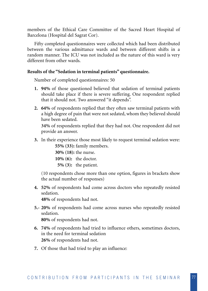members of the Ethical Care Committee of the Sacred Heart Hospital of Barcelona (Hospital del Sagrat Cor).

Fifty completed questionnaires were collected which had been distributed between the various admittance wards and between different shifts in a random manner. The ICU was not included as the nature of this ward is very different from other wards.

# **Results of the "Sedation in terminal patients" questionnaire.**

Number of completed questionnaires: 50

- **1. 94%** of those questioned believed that sedation of terminal patients should take place if there is severe suffering. One respondent replied that it should not. Two answered "it depends".
- **2. 64%** of respondents replied that they often saw terminal patients with a high degree of pain that were not sedated, whom they believed should have been sedated.

**34%** of respondents replied that they had not. One respondent did not provide an answer.

**3.** In their experience those most likely to request terminal sedation were: **55% (33):** family members.

**30% (18):** the nurse.

- **10% (6):** the doctor.
- **5% (3):** the patient.

(10 respondents chose more than one option, figures in brackets show the actual number of responses)

**4. 52%** of respondents had come across doctors who repeatedly resisted sedation.

**48%** of respondents had not.

**5.- 20%** of respondents had come across nurses who repeatedly resisted sedation.

**80%** of respondents had not.

- **6. 74%** of respondents had tried to influence others, sometimes doctors, in the need for terminal sedation **26%** of respondents had not.
- **7.** Of those that had tried to play an influence: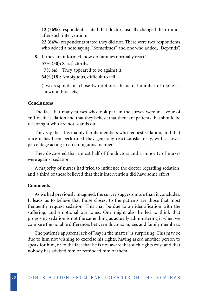**12 (36%)** respondents stated that doctors usually changed their minds after such intervention.

**22 (64%)** respondents stated they did not. There were two respondents who added a note saying, "Sometimes", and one who added, "Depends".

**8.** If they are informed, how do families normally react? **57% (30):** Satisfactorily.

**7% (4):** They appeared to be against it. **34% (18):** Ambiguous, difficult to tell.

(Two respondents chose two options, the actual number of replies is shown in brackets)

# **Conclusions**

The fact that many nurses who took part in the survey were in favour of end-of-life sedation and that they believe that there are patients that should be receiving it who are not, stands out.

They say that it is mainly family members who request sedation, and that once it has been performed they generally react satisfactorily, with a lower percentage acting in an ambiguous manner.

They discovered that almost half of the doctors and a minority of nurses were against sedation.

A majority of nurses had tried to influence the doctor regarding sedation, and a third of these believed that their intervention did have some effect.

#### **Comments**

As we had previously imagined, the survey suggests more than it concludes. It leads us to believe that those closest to the patients are those that most frequently request sedation. This may be due to an identification with the suffering, and emotional overtones. One might also be led to think that proposing sedation is not the same thing as actually administering it when we compare the notable differences between doctors, nurses and family members.

The patient's apparent lack of "say in the matter" is surprising. This may be due to him not wishing to exercise his rights, having asked another person to speak for him, or to the fact that he is not aware that such rights exist and that nobody has advised him or reminded him of them.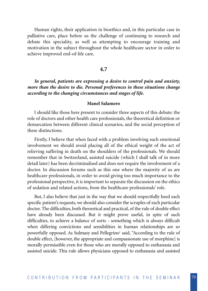Human rights, their application in bioethics and, in this particular case in palliative care, place before us the challenge of continuing to research and debate this speciality, as well as attempting to encourage training and motivation in the subject throughout the whole healthcare sector in order to achieve improved end-of-life care.

# **4.7**

# *In general, patients are expressing a desire to control pain and anxiety, more than the desire to die. Personal preferences in these situations change according to the changing circumstances and stages of life.*

## **Manel Salamero**

I should like those here present to consider three aspects of this debate: the role of doctors and other health care professionals, the theoretical definition or demarcation between different clinical scenarios, and the social perception of these distinctions.

Firstly, I believe that when faced with a problem involving such emotional involvement we should avoid placing all of the ethical weight of the act of relieving suffering in death on the shoulders of the professionals. We should remember that in Switzerland, assisted suicide (which I shall talk of in more detail later) has been decriminalised and does not require the involvement of a doctor. In discussion forums such as this one where the majority of us are healthcare professionals, in order to avoid giving too much importance to the professional perspective, it is important to separate the discussion on the ethics of sedation and related actions, from the healthcare professionals' role.

But, I also believe that just in the way that we should respectfully heed each specific patient's requests, we should also consider the scruples of each particular doctor. The difficulties, both theoretical and practical, of the rule of double effect have already been discussed. But it might prove useful, in spite of such difficulties, to achieve a balance of sorts - something which is always difficult when differing convictions and sensibilities in human relationships are so powerfully opposed. As Sulmasy and Pellegrino<sup>1</sup> said, "According to the rule of double effect, [however, the appropriate and compassionate use of morphine] is morally permissible even for those who are morally opposed to euthanasia and assisted suicide. This rule allows physicians opposed to euthanasia and assisted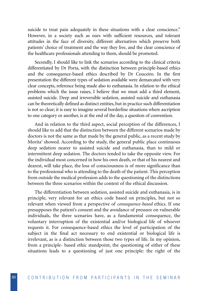suicide to treat pain adequately in these situations with a clear conscience." However, in a society such as ours with sufficient resources, and tolerant attitudes in the face of diversity, different alternatives which preserve both patients' choice of treatment and the way they live, and the clear conscience of the healthcare professionals attending to them, should be promoted.

Secondly, I should like to link the scenarios according to the clinical criteria differentiated by Dr Porta, with the distinction between principle-based ethics and the consequence-based ethics described by Dr Couceiro. In the first presentation the different types of sedation available were demarcated with very clear concepts, reference being made also to euthanasia. In relation to the ethical problems which the issue raises, I believe that we must add a third element, assisted suicide. Deep and irreversible sedation, assisted suicide and euthanasia can be theoretically defined as distinct entities, but in practice such differentiation is not so clear; it is easy to imagine several borderline situations where ascription to one category or another, is at the end of the day, a question of convention.

And in relation to the third aspect, social perception of the differences, I should like to add that the distinction between the different scenarios made by doctors is not the same as that made by the general public, as a recent study by Morita<sup>2</sup> showed. According to the study, the general public place continuous deep sedation nearer to assisted suicide and euthanasia, than to mild or intermittent deep sedation. The doctors tended to take the opposite view. For the individual most concerned in how his own death, or that of his nearest and dearest, will take place, the loss of consciousness is of more significance than to the professional who is attending to the death of the patient. This perception from outside the medical profession adds to the questioning of the distinctions between the three scenarios within the context of the ethical discussion.

The differentiation between sedation, assisted suicide and euthanasia, is in principle, very relevant for an ethics code based on principles, but not so relevant when viewed from a perspective of *consequence-based* ethics. If one presupposes the patient's consent and the avoidance of pressure on vulnerable individuals, the three scenarios have, as a fundamental consequence, the voluntary interruption of the existential and/or biological life of whoever requests it. For consequence-based ethics the level of participation of the subject in the final act necessary to end existential or biological life is irrelevant, as is a distinction between those two types of life. In my opinion, from a principle- based ethic standpoint, the questioning of either of these situations leads to a questioning of just one principle: the right of the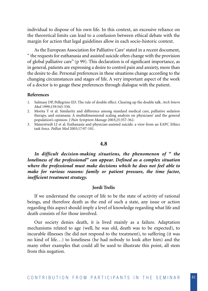individual to dispose of his own life. In this context, an excessive reliance on the theoretical limits can lead to a confusion between ethical debate with the margin for action that legal guidelines allow in each socio-historic context.

As the European Association for Palliative Care<sup>3</sup> stated in a recent document, " the requests for euthanasia and assisted suicide often change with the provision of global palliative care" (p 99). This declaration is of significant importance, as in general, patients are expressing a desire to control pain and anxiety, more than the desire to die. Personal preferences in these situations change according to the changing circumstances and stages of life. A very important aspect of the work of a doctor is to gauge these preferences through dialogue with the patient.

## **References**

- 1. Sulmasy DP, Pellegrino ED. The rule of double effect. Clearing up the double talk. *Arch Intern Med* 1999;159:545-550.
- 2. Morita T et al. Similarity and difference among standard medical care, palliative sedation therapy, and eutanasia: A multidimensional scaling analysis on physicians' and the general population's opinion. *J Pain Symptom Manage* 2003;25:357-362.
- 3. Materstvedt LJ et al. Euthanasia and physician-assisted suicide: a view from an EAPC Ethics task force. *Palliat Med* 2003;17:97-101.

#### **4.8**

*In difficult decision-making situations, the phenomenon of " the loneliness of the professional" can appear. Defined as a complex situation where the professional must make decisions which he does not feel able to make for various reasons: family or patient pressure, the time factor, inefficient treatment strategy.*

## **Jordi Trelis**

If we understand the concept of life to be the state of activity of rational beings, and therefore death as the end of such a state, any issue or action regarding this aspect should imply a level of knowledge regarding what life and death consists of for those involved.

Our society denies death, it is lived mainly as a failure. Adaptation mechanisms related to age (well, he was old, death was to be expected), to incurable illnesses (he did not respond to the treatment), to suffering (it was no kind of life…) to loneliness (he had nobody to look after him) and the many other examples that could all be used to illustrate this point, all stem from this negation.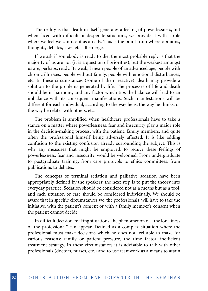The reality is that death in itself generates a feeling of powerlessness, but when faced with difficult or desperate situations, we provide it with a role where we feel we can use it as an ally. This is the point from where opinions, thoughts, debates, laws, etc. all emerge.

If we ask if somebody is ready to die, the most probable reply is that the majority of us are not (it is a question of priorities), but the weakest amongst us are, perhaps, ready. By weak, I mean people of an advanced age, people with chronic illnesses, people without family, people with emotional disturbances, etc. In these circumstances (some of them reactive), death may provide a solution to the problems generated by life. The processes of life and death should be in harmony, and any factor which tips the balance will lead to an imbalance with its consequent manifestations. Such manifestations will be different for each individual, according to the way he is, the way he thinks, or the way he relates with others, etc.

The problem is amplified when healthcare professionals have to take a stance on a matter where powerlessness, fear and insecurity play a major role in the decision-making process, with the patient, family members, and quite often the professional himself being adversely affected. It is like adding confusion to the existing confusion already surrounding the subject. This is why any measures that might be employed, to reduce these feelings of powerlessness, fear and insecurity, would be welcomed. From undergraduate to postgraduate training, from care protocols to ethics committees, from publications to debates.

The concepts of terminal sedation and palliative sedation have been appropriately defined by the speakers; the next step is to put the theory into everyday practice. Sedation should be considered not as a means but as a tool, and each situation or case should be considered individually. We should be aware that in specific circumstances we, the professionals, will have to take the initiative, with the patient's consent or with a family member's consent when the patient cannot decide.

In difficult decision-making situations, the phenomenon of " the loneliness of the professional" can appear. Defined as a complex situation where the professional must make decisions which he does not feel able to make for various reasons: family or patient pressure, the time factor, inefficient treatment strategy. In these circumstances it is advisable to talk with other professionals (doctors, nurses, etc.) and to use teamwork as a means to attain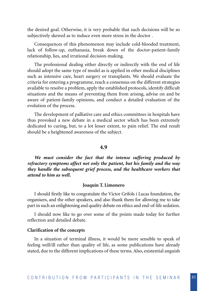the desired goal. Otherwise, it is very probable that such decisions will be so subjectively skewed as to induce even more stress in the doctor .

Consequences of this phenomenon may include cold-blooded treatment, lack of follow-up, euthanasia, break down of the doctor-patient-family relationship, lies, and irrational decision-making.

The professional dealing either directly or indirectly with the end of life should adopt the same type of model as is applied in other medical disciplines such as intensive care, heart surgery or transplants. We should evaluate the criteria for entering a programme, reach a consensus on the different strategies available to resolve a problem, apply the established protocols, identify difficult situations and the means of preventing them from arising, advise on and be aware of patient-family opinions, and conduct a detailed evaluation of the evolution of the process.

The development of palliative care and ethics committees in hospitals have thus provoked a new debate in a medical sector which has been extremely dedicated to curing, but, to a lot lesser extent, to pain relief. The end result should be a heightened awareness of the subject.

### **4.9**

*We must consider the fact that the intense suffering produced by refractory symptoms affect not only the patient, but his family and the way they handle the subsequent grief process, and the healthcare workers that attend to him as well.*

#### **Joaquín T. Limonero**

I should firstly like to congratulate the Víctor Grífols i Lucas foundation, the organisers, and the other speakers, and also thank them for allowing me to take part in such an enlightening and quality debate on ethics and end-of-life sedation.

I should now like to go over some of the points made today for further reflection and detailed debate.

### **Clarification of the concepts**

In a situation of terminal illness, it would be more sensible to speak of feeling well/ill rather than quality of life, as some publications have already stated, due to the different implications of these terms. Also, existential anguish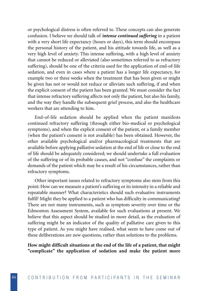or psychological distress is often referred to. These concepts can also generate confusion. I believe we should talk of *intense continued suffering* in a patient with a very short life expectancy (hours or days), this term should encompass the personal history of the patient, and his attitude towards life, as well as a very high level of anxiety. This intense suffering, with a high level of anxiety that cannot be reduced or alleviated (also sometimes referred to as refractory suffering), should be one of the criteria used for the application of end-of-life sedation, and even in cases where a patient has a longer life expectancy, for example two or three weeks when the treatment that has been given or might be given has not or would not reduce or alleviate such suffering, if and when the explicit consent of the patient has been granted. We must consider the fact that intense refractory suffering affects not only the patient, but also his family, and the way they handle the subsequent grief process, and also the healthcare workers that are attending to him.

End-of-life sedation should be applied when the patient manifests continued refractory suffering (through either bio-medical or psychological symptoms), and when the explicit consent of the patient, or a family member (when the patient's consent is not available) has been obtained. However, the other available psychological and/or pharmacological treatments that are available before applying palliative sedation at the end of life or close to the end of life should be adequately considered; we should undertake a full evaluation of the suffering or of its probable causes, and not "confuse" the complaints or demands of the patient which may be a result of his circumstances, rather than refractory symptoms.

Other important issues related to refractory symptoms also stem from this point: How can we measure a patient's suffering or its intensity in a reliable and repeatable manner? What characteristics should such evaluative instruments fulfil? Might they be applied to a patient who has difficulty in communicating? There are not many instruments, such as symptom severity over time or the Edmonton Assessment System, available for such evaluations at present. We believe that this aspect should be studied in more detail, as the evaluation of suffering might be an indicator of the quality of palliative care given to this type of patient. As you might have realised, what seem to have come out of these deliberations are new questions, rather than solutions to the problems.

**How might difficult situations at the end of the life of a patient, that might "complicate" the application of sedation and make the patient more**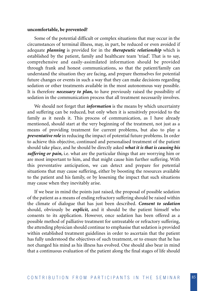#### **uncomfortable, be prevented?**

Some of the potential difficult or complex situations that may occur in the circumstances of terminal illness, may, in part, be reduced or even avoided if adequate *planning* is provided for in the *therapeutic relationship* which is established by the patient, family and healthcare team 'triad'. That is to say, comprehensive and easily-assimilated information should be provided through frank and honest communications, so that the patient/family can understand the situation they are facing, and prepare themselves for potential future changes or events in such a way that they can make decisions regarding sedation or other treatments available in the most autonomous way possible. It is therefore *necessary to plan,* to have previously raised the possibility of sedation in the communication process that all treatment necessarily involves.

We should not forget that *information* is the means by which uncertainty and suffering can be reduced, but only when it is sensitively provided to the family as it needs it. This process of communication, as I have already mentioned, should start at the very beginning of the treatment, not just as a means of providing treatment for current problems, but also to play a *preventative role* in reducing the impact of potential future problems. In order to achieve this objective, continued and personalised treatment of the patient should take place, and he should be directly asked *what it is that is causing his suffering or pain,* i.e. what are the particular things that are worrying him or are most important to him, and that might cause him further suffering. With this preventative anticipation, we can detect and prepare for potential situations that may cause suffering, either by boosting the resources available to the patient and his family, or by lessening the impact that such situations may cause when they inevitably arise.

If we bear in mind the points just raised, the proposal of possible sedation of the patient as a means of ending refractory suffering should be raised within the climate of dialogue that has just been described. *Consent to sedation* should, obviously be *explicit,* and it should be the patient himself who consents to its application. However, once sedation has been offered as a possible method of palliative treatment for untreatable or refractory suffering, the attending physician should continue to emphasise that sedation is provided within established treatment guidelines in order to ascertain that the patient has fully understood the objectives of such treatment, or to ensure that he has not changed his mind as his illness has evolved. One should also bear in mind that a continuous evaluation of the patient along the final stages of life should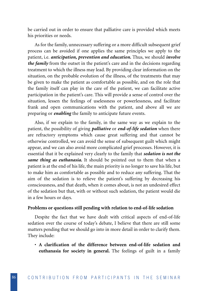be carried out in order to ensure that palliative care is provided which meets his priorities or needs.

As for the family, unnecessary suffering or a more difficult subsequent grief process can be avoided if one applies the same principles we apply to the patient, i.e. *anticipation, prevention and education.* Thus, we should *involve the family* from the outset in the patient's care and in the decisions regarding treatment to which the illness may lead. By providing clear information on the situation, on the probable evolution of the illness, of the treatments that may be given to make the patient as comfortable as possible, and on the role that the family itself can play in the care of the patient, we can facilitate active participation in the patient's care. This will provide a sense of control over the situation, lessen the feelings of uselessness or powerlessness, and facilitate frank and open communications with the patient, and above all we are preparing or *enabling* the family to anticipate future events.

Also, if we explain to the family, in the same way as we explain to the patient, the possibility of giving *palliative* or *end-of-life sedation* when there are refractory symptoms which cause great suffering and that cannot be otherwise controlled, we can avoid the sense of subsequent guilt which might appear, and we can also avoid more complicated grief processes. However, it is essential that it be explained very clearly to the family that *sedation is not the same thing as euthanasia.* It should be pointed out to them that when a patient is at the end of his life, the main priority is no longer to save his life, but to make him as comfortable as possible and to reduce any suffering. That the aim of the sedation is to relieve the patient's suffering by decreasing his consciousness, and that death, when it comes about, is not an undesired effect of the sedation but that, with or without such sedation, the patient would die in a few hours or days.

#### **Problems or questions still pending with relation to end-of-life sedation**

Despite the fact that we have dealt with critical aspects of end-of-life sedation over the course of today's debate, I believe that there are still some matters pending that we should go into in more detail in order to clarify them. They include:

• **A clarification of the difference between end-of-life sedation and euthanasia for society in general.** The feelings of guilt in a family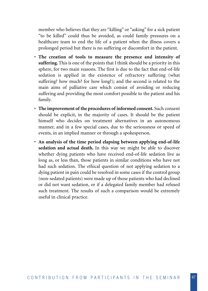member who believes that they are "killing" or "asking" for a sick patient "to be killed" could thus be avoided, as could family pressures on a healthcare team to end the life of a patient when the illness covers a prolonged period but there is no suffering or discomfort in the patient.

- **The creation of tools to measure the presence and intensity of suffering.**This is one of the points that I think should be a priority in this sphere, for two main reasons. The first is due to the fact that end-of-life sedation is applied in the existence of refractory suffering (what suffering? how much? for how long?); and the second is related to the main aims of palliative care which consist of avoiding or reducing suffering and providing the most comfort possible to the patient and his family.
- **The improvement of the procedures of informed consent.** Such consent should be explicit, in the majority of cases. It should be the patient himself who decides on treatment alternatives in an autonomous manner, and in a few special cases, due to the seriousness or speed of events, in an implied manner or through a spokesperson.
- **An analysis of the time period elapsing between applying end-of-life sedation and actual death.** In this way we might be able to discover whether dying patients who have received end-of-life sedation live as long as, or less than, those patients in similar conditions who have not had such sedation. The ethical question of not applying sedation to a dying patient in pain could be resolved in some cases if the control group (non-sedated patients) were made up of those patients who had declined or did not want sedation, or if a delegated family member had refused such treatment. The results of such a comparison would be extremely useful in clinical practice.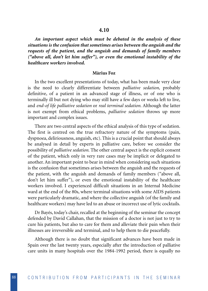*An important aspect which must be debated in the analysis of these situations is the confusion that sometimes arises between the anguish and the requests of the patient, and the anguish and demands of family members ("above all, don't let him suffer"), or even the emotional instability of the healthcare workers involved.*

## **Màrius Foz**

In the two excellent presentations of today, what has been made very clear is the need to clearly differentiate between *palliative sedation,* probably definitive, of a patient in an advanced stage of illness, or of one who is terminally ill but not dying who may still have a few days or weeks left to live, and *end-of life palliative sedation* or *real terminal sedation.* Although the latter is not exempt from ethical problems, *palliative sedation* throws up more important and complex issues.

There are two central aspects of the ethical analysis of this type of sedation. The first is centred on the true refractory nature of the symptoms (pain, dyspnoea, deliriousness, anguish, etc). This is a crucial point that should always be analysed in detail by experts in palliative care, before we consider the possibility of *palliative sedation.* The other central aspect is the explicit consent of the patient, which only in very rare cases may be implicit or delegated to another. An important point to bear in mind when considering such situations is the confusion that sometimes arises between the anguish and the requests of the patient, with the anguish and demands of family members ("above all, don't let him suffer"), or even the emotional instability of the healthcare workers involved. I experienced difficult situations in an Internal Medicine ward at the end of the 80s, where terminal situations with some AIDS patients were particularly dramatic, and where the collective anguish (of the family and healthcare workers) may have led to an abuse or incorrect use of lytic cocktails.

Dr Bayés, today's chair, recalled at the beginning of the seminar the concept defended by David Callahan, that the mission of a doctor is not just to try to cure his patients, but also to care for them and alleviate their pain when their illnesses are irreversible and terminal, and to help them to die peacefully.

Although there is no doubt that significant advances have been made in Spain over the last twenty years, especially after the introduction of palliative care units in many hospitals over the 1984-1992 period, there is equally no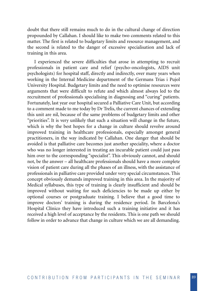doubt that there still remains much to do in the cultural change of direction propounded by Callahan. I should like to make two comments related to this matter. The first is related to budgetary limits and resource management, and the second is related to the danger of excessive specialisation and lack of training in this area.

I experienced the severe difficulties that arose in attempting to recruit professionals in patient care and relief (psycho-oncologists, AIDS unit psychologists) for hospital staff, directly and indirectly, over many years when working in the Internal Medicine department of the Germans Trias i Pujol University Hospital. Budgetary limits and the need to optimise resources were arguments that were difficult to refute and which almost always led to the recruitment of professionals specialising in diagnosing and "curing" patients. Fortunately, last year our hospital secured a Palliative Care Unit, but according to a comment made to me today by Dr Trelis, the current chances of extending this unit are nil, because of the same problems of budgetary limits and other "priorities". It is very unlikely that such a situation will change in the future, which is why the best hopes for a change in culture should revolve around improved training in healthcare professionals, especially amongst general practitioners, in the way indicated by Callahan. One danger that should be avoided is that palliative care becomes just another speciality, where a doctor who was no longer interested in treating an incurable patient could just pass him over to the corresponding "specialist". This obviously cannot, and should not, be the answer – all healthcare professionals should have a more complete vision of patient care during all the phases of an illness, with the assistance of professionals in palliative care provided under very special circumstances. This concept obviously demands improved training in this area. In the majority of Medical syllabuses, this type of training is clearly insufficient and should be improved without waiting for such deficiencies to be made up either by optional courses or postgraduate training. I believe that a good time to improve doctors' training is during the residence period. In Barcelona's Hospital Clínico they have introduced such a training initiative and it has received a high level of acceptance by the residents. This is one path we should follow in order to advance that change in culture which we are all demanding.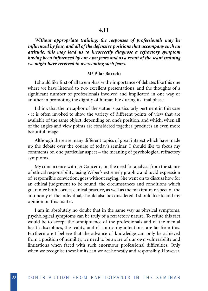## **4.11**

*Without appropriate training, the responses of professionals may be influenced by fear, and all of the defensive positions that accompany such an attitude, this may lead us to incorrectly diagnose a refractory symptom having been influenced by our own fears and as a result of the scant training we might have received in overcoming such fears.*

### **Mª Pilar Barreto**

I should like first of all to emphasise the importance of debates like this one where we have listened to two excellent presentations, and the thoughts of a significant number of professionals involved and implicated in one way or another in promoting the dignity of human life during its final phase.

I think that the metaphor of the statue is particularly pertinent in this case - it is often invoked to show the variety of different points of view that are available of the same object, depending on one's position, and which, when all of the angles and view points are considered together, produces an even more beautiful image.

Although there are many different topics of great interest which have made up the debate over the course of today's seminar, I should like to focus my comments on one particular aspect – the meaning of psychological refractory symptoms.

My concurrence with Dr Couceiro, on the need for analysis from the stance of ethical responsibility, using Weber's extremely graphic and lucid expression of 'responsible conviction', goes without saying. She went on to discuss how for an ethical judgement to be sound, the circumstances and conditions which guarantee both correct clinical practice, as well as the maximum respect of the autonomy of the individual, should also be considered. I should like to add my opinion on this matter.

I am in absolutely no doubt that in the same way as physical symptoms, psychological symptoms can be truly of a refractory nature. To refute this fact would be to accept the omnipotence of the professionals and of the mental health disciplines, the reality, and of course my intentions, are far from this. Furthermore I believe that the advance of knowledge can only be achieved from a position of humility, we need to be aware of our own vulnerability and limitations when faced with such enormous professional difficulties. Only when we recognise these limits can we act honestly and responsibly. However,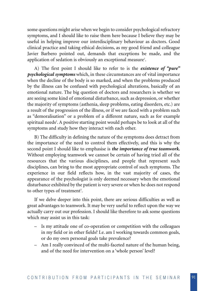some questions might arise when we begin to consider psychological refractory symptoms, and I should like to raise them here because I believe they may be useful in helping improve our interdisciplinary behaviour as doctors. Good clinical practice and taking ethical decisions, as my good friend and colleague Javier Barbero pointed out, demands that exceptions be made, and the application of sedation is obviously an exceptional measure<sup>1</sup>.

A) The first point I should like to refer to is the *existence of "pure" psychological symptoms* which, in these circumstances are of vital importance when the decline of the body is so marked, and when the problems produced by the illness can be confused with psychological alterations, basically of an emotional nature. The big question of doctors and researchers is whether we are seeing some kind of emotional disturbance, such as depression, or whether the majority of symptoms (asthenia, sleep problems, eating disorders, etc.) are a result of the progression of the illness, or if we are faced with a problem such as "demoralisation" or a problem of a different nature, such as for example spiritual needs<sup>2</sup>. A positive starting point would perhaps be to look at all of the symptoms and study how they interact with each other.

B) The difficulty in defining the nature of the symptoms does detract from the importance of the need to control them effectively, and this is why the second point I should like to emphasise is *the importance of true teamwork.* Without employing teamwork we cannot be certain of having tried all of the resources that the various disciplines, and people that represent such disciplines, can bring to the most appropriate control of such symptoms. The experience in our field reflects how, in the vast majority of cases, the appearance of the psychologist is only deemed necessary when the emotional disturbance exhibited by the patient is very severe or when he does not respond to other types of treatment<sup>3</sup>.

If we delve deeper into this point, there are serious difficulties as well as great advantages to teamwork. It may be very useful to reflect upon the way we actually carry out our profession. I should like therefore to ask some questions which may assist us in this task:

- Is my attitude one of co-operation or competition with the colleagues in my field or in other fields? I.e. am I working towards common goals, or do my own personal goals take prevalence?
- Am I really convinced of the multi-faceted nature of the human being, and of the need for intervention on a 'whole person' level?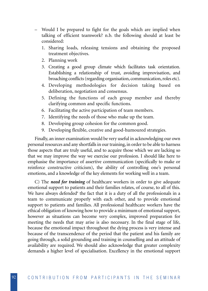- Would I be prepared to fight for the goals which are implied when talking of efficient teamwork? n.b. the following should at least be considered:
	- 1. Sharing loads, releasing tensions and obtaining the proposed treatment objectives.
	- 2. Planning work
	- 3. Creating a good group climate which facilitates task orientation. Establishing a relationship of trust, avoiding improvisation, and broaching conflicts (regarding organisation, communication, roles etc).
	- 4. Developing methodologies for decision taking based on deliberation, negotiation and consensus.
	- 5. Defining the functions of each group member and thereby clarifying common and specific functions.
	- 6. Facilitating the active participation of team members.
	- 7. Identifying the needs of those who make up the team.
	- 8. Developing group cohesion for the common good.
	- 9. Developing flexible, creative and good-humoured strategies.

Finally, an inner examination would be very useful in acknowledging our own personal resources and any shortfalls in our training, in order to be able to harness those aspects that are truly useful, and to acquire those which we are lacking so that we may improve the way we exercise our profession. I should like here to emphasise the importance of assertive communication (specifically to make or reinforce constructive criticism), the ability of controlling one's personal emotions, and a knowledge of the key elements for working well in a team.

C) The *need for training* of healthcare workers in order to give adequate emotional support to patients and their families relates, of course, to all of this. We have always defended<sup>4</sup> the fact that it is a duty of all the professionals in a team to communicate properly with each other, and to provide emotional support to patients and families. All professional healthcare workers have the ethical obligation of knowing how to provide a minimum of emotional support, however as situations can become very complex, improved preparation for meeting the needs that may arise is also necessary. In the final stage of life, because the emotional impact throughout the dying process is very intense and because of the transcendence of the period that the patient and his family are going through, a solid grounding and training in counselling and an attitude of availability are required. We should also acknowledge that greater complexity demands a higher level of specialisation. Excellency in the emotional support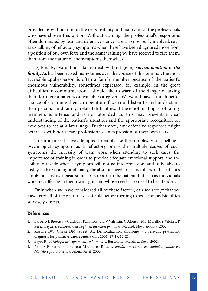provided, is without doubt, the responsibility and main aim of the professionals who have chosen this option. Without training, the professional's response is often dominated by fear, and defensive stances are also obviously involved, such as us talking of refractory symptoms when these have been diagnosed more from a position of our own fears and the scant training we have received to face them, than from the nature of the symptoms themselves.

D) Finally, I would not like to finish without giving *special mention to the family.* As has been raised many times over the course of this seminar, the most accessible spokesperson is often a family member because of the patient's enormous vulnerability, sometimes expressed, for example, in the great difficulties in communication. I should like to warn of the danger of taking them for mere amateurs or available caregivers. We would have a much better chance of obtaining their co-operation if we could listen to and understand their personal and family- related difficulties. If the emotional upset of family members is intense and is not attended to, this may prevent a clear understanding of the patient's situation and the appropriate recognition on how best to act at a later stage. Furthermore, any defensive responses might betray, as with healthcare professionals, an expression of their own fears.

To summarise, I have attempted to emphasise the complexity of labelling a psychological symptom as a refractory one - the multiple causes of such symptoms, the necessity of team work when attending to such cases, the importance of training in order to provide adequate emotional support, and the ability to decide when a symptom will not go into remission, and to be able to justify such reasoning, and finally, the absolute need to see members of the patient's family not just as a basic source of support to the patient, but also as individuals who are suffering in their own right, and whose needs also need to be attended.

Only when we have considered all of these factors, can we accept that we have used all of the resources available before turning to sedation, as Bioethics so wisely directs.

## **References**

- 1. Barbero J. Bioética y Cuidados Paliativos. En: V Valentín, C Alonso, MT Murillo, Y Vilches, P Pérez Cayuela, editores. *Oncología en atención primaria.* Madrid: Nova Sidonia; 2002.
- 2. Kissane DW, Clarke DM, Street, AF. Demoratization síndrome a relevant psychiatric diagnosis for palliative care. *J Palliat Care* 2001; 17(1): 12-21.
- 3. Bayés R . *Psicología del sufrimiento y la muerte.* Barcelona: Martínez Roca, 2002.
- 4. Arranz P, Barbero J, Barreto MP, Bayés R. *Intervención emocional en cuidados paliativos. Modelo y protocolos.* Barcelona: Ariel; 2003.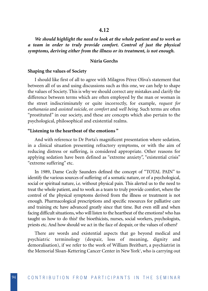# **4.12**

*We should highlight the need to look at the whole patient and to work as a team in order to truly provide comfort. Control of just the physical symptoms, deriving either from the illness or its treatment, is not enough.*

## **Núria Gorchs**

#### **Shaping the values of Society**

I should like first of all to agree with Milagros Pérez Oliva's statement that between all of us and using discussions such as this one, we can help to shape the values of Society. This is why we should correct any mistakes and clarify the difference between terms which are often employed by the man or woman in the street indiscriminately or quite incorrectly, for example, *request for euthanasia* and *assisted suicide,* or *comfort* and *well being.* Such terms are often "prostituted" in our society, and these are concepts which also pertain to the psychological, philosophical and existential realms.

#### **"Listening to the heartbeat of the emotions "**

And with reference to Dr Porta's magnificent presentation where sedation, in a clinical situation presenting refractory symptoms, or with the aim of reducing distress or suffering, is considered appropriate. Other reasons for applying sedation have been defined as "extreme anxiety", "existential crisis" "extreme suffering" etc.

In 1989, Dame Cecily Saunders defined the concept of "TOTAL PAIN" to identify the various sources of suffering: of a somatic nature, or of a psychological, social or spiritual nature, i.e. without physical pain. This alerted us to the need to treat the whole patient, and to work as a team to truly provide comfort, where the control of the physical symptoms derived from the illness or treatment is not enough. Pharmacological prescriptions and specific resources for palliative care and training etc have advanced greatly since that time. But even still and when facing difficult situations, who will listen to the heartbeat of the emotions? who has taught us how to do this? the bioethicists, nurses, social workers, psychologists, priests etc. And how should we act in the face of despair, or the values of others?

There are words and existential aspects that go beyond medical and psychiatric terminology (despair, loss of meaning, dignity and demoralisation), if we refer to the work of William Breitbart, a psychiatrist in the Memorial Sloan-Kettering Cancer Center in New York<sup>1</sup>, who is carrying out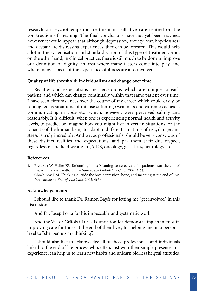research on psychotherapeutic treatment in palliative care centred on the construction of meaning. The final conclusions have not yet been reached, however it would appear that although depression, anxiety, fear, hopelessness and despair are distressing experiences, they can be foreseen. This would help a lot in the systemisation and standardisation of this type of treatment. And, on the other hand, in clinical practice, there is still much to be done to improve our definition of dignity, an area where many factors come into play, and where many aspects of the experience of illness are also involved<sup>2</sup>.

#### **Quality of life threshold: Individualism and change over time**

Realities and expectations are perceptions which are unique to each patient, and which can change continually within that same patient over time. I have seen circumstances over the course of my career which could easily be catalogued as situations of intense suffering (weakness and extreme cachexia, communicating in code etc) which, however, were perceived calmly and reasonably. It is difficult, when one is experiencing normal health and activity levels, to predict or imagine how you might live in certain situations, or the capacity of the human being to adapt to different situations of risk, danger and stress is truly incredible. And we, as professionals, should be very conscious of these distinct realities and expectations, and pay them their due respect, regardless of the field we are in (AIDS, oncology, geriatrics, neurology etc)

## **References**

- 1. Breitbart W, Heller KS. Reframing hope: Meaning-centered care for patients near the end of life. An interview with. *Innovations in the End-of-Life Care.* 2002; 4(6).
- 2. Chochinov HM. Thinking outside the box: depression, hope, and meaning at the end of live. *Innovations in End-of-Life Care.* 2002; 4(6).

#### **Acknowledgements**

I should like to thank Dr. Ramon Bayés for letting me "get involved" in this discussion.

And Dr. Josep Porta for his impeccable and systematic work.

And the Víctor Grífols i Lucas Foundation for demonstrating an interest in improving care for those at the end of their lives, for helping me on a personal level to "sharpen up my thinking".

I should also like to acknowledge all of those professionals and individuals linked to the end of life process who, often, just with their simple presence and experience, can help us to learn new habits and unlearn old, less helpful attitudes.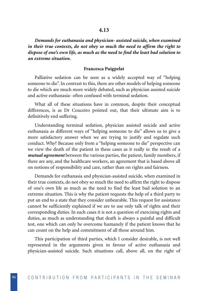#### **4.13**

*Demands for euthanasia and physician- assisted suicide, when examined in their true contexts, do not obey so much the need to affirm the right to dispose of one's own life, as much as the need to find the least bad solution to an extreme situation.*

### **Francesca Puigpelat**

Palliative sedation can be seen as a widely accepted way of "helping someone to die". In contrast to this, there are other models of helping someone to die which are much more widely debated, such as physician assisted suicide and active euthanasia- often confused with terminal sedation.

What all of these situations have in common, despite their conceptual differences, is as Dr Couceiro pointed out, that their ultimate aim is to definitively end suffering.

Understanding terminal sedation, physician assisted suicide and active euthanasia as different ways of "helping someone to die" allows us to give a more satisfactory answer when we are trying to justify and regulate such conduct. Why? Because only from a "helping someone to die" perspective can we view the death of the patient in these cases as it really is: the result of a *mutual agreement* between the various parties, the patient, family members, if there are any, and the healthcare workers, an agreement that is based above all on notions of responsibility and care, rather than on rights and fairness.

Demands for euthanasia and physician-assisted suicide, when examined in their true contexts, do not obey so much the need to affirm the right to dispose of one's own life as much as the need to find the least bad solution to an extreme situation. This is why the patient requests the help of a third party to put an end to a state that they consider unbearable. This request for assistance cannot be sufficiently explained if we are to use only talk of rights and their corresponding duties. In such cases it is not a question of exercising rights and duties, as much as understanding that death is always a painful and difficult test, one which can only be overcome humanely if the patient knows that he can count on the help and commitment of all those around him.

This participation of third parties, which I consider desirable, is not well represented in the arguments given in favour of active euthanasia and physician-assisted suicide. Such situations call, above all, on the right of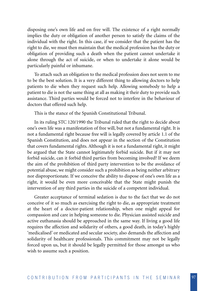disposing one's own life and on free will. The existence of a right normally implies the duty or obligation of another person to satisfy the claims of the individual with the right. In this case, if we consider that the patient has the right to die, we must then maintain that the medical profession has the duty or obligation of providing such a death when the patient cannot undertake it alone through the act of suicide, or when to undertake it alone would be particularly painful or inhumane.

To attach such an obligation to the medical profession does not seem to me to be the best solution. It is a very different thing to allowing doctors to help patients to die when they request such help. Allowing somebody to help a patient to die is not the same thing at all as making it their duty to provide such assistance. Third parties would be forced not to interfere in the behaviour of doctors that offered such help.

This is the stance of the Spanish Constitutional Tribunal.

In its ruling STC 120/1990 the Tribunal ruled that the right to decide about one's own life was a manifestation of free will, but not a fundamental right. It is not a fundamental right because free will is legally covered by article 1.1 of the Spanish Constitution, and does not appear in the section of the Constitution that covers fundamental rights. Although it is not a fundamental right, it might be argued that the State cannot legitimately forbid suicide. But if it may not forbid suicide, can it forbid third parties from becoming involved? If we deem the aim of the prohibition of third party intervention to be the avoidance of potential abuse, we might consider such a prohibition as being neither arbitrary nor disproportionate. If we conceive the ability to dispose of one's own life as a right, it would be even more conceivable that the State might punish the intervention of any third parties in the suicide of a competent individual.

Greater acceptance of terminal sedation is due to the fact that we do not conceive of it so much as exercising the right to die, as appropriate treatment at the heart of a doctor-patient relationship, when one might appeal for compassion and care in helping someone to die. Physician assisted suicide and active euthanasia should be approached in the same way. If living a good life requires the affection and solidarity of others, a good death, in today's highly 'medicalised' or medicated and secular society, also demands the affection and solidarity of healthcare professionals. This commitment may not be legally forced upon us, but it should be legally permitted for those amongst us who wish to assume such a position.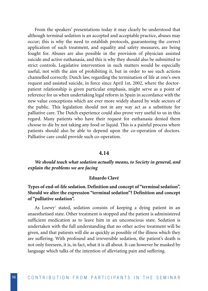From the speakers' presentations today it may clearly be understood that although terminal sedation is an accepted and acceptable practice, abuses may occur; this is why the need to establish protocols, guaranteeing the correct application of such treatment, and equality and safety measures, are being fought for. Abuses are also possible in the provision of physician assisted suicide and active euthanasia, and this is why they should also be submitted to strict controls. Legislative intervention in such matters would be especially useful, not with the aim of prohibiting it, but in order to see such actions channelled correctly. Dutch law, regarding the termination of life at one's own request and assisted suicide, in force since April 1st, 2002, where the doctorpatient relationship is given particular emphasis, might serve as a point of reference for us when undertaking legal reform in Spain in accordance with the new value conceptions which are ever more widely shared by wide sectors of the public. This legislation should not in any way act as a substitute for palliative care. The Dutch experience could also prove very useful to us in this regard. Many patients who have their request for euthanasia denied them choose to die by not taking any food or liquid. This is a painful process where patients should also be able to depend upon the co-operation of doctors. Palliative care could provide such co-operation.

# **4.14**

*We should teach what sedation actually means, to Society in general, and explain the problems we are facing* 

## **Eduardo Clavé**

# **Types of end-of-life sedation. Definition and concept of "terminal sedation". Should we alter the expression "terminal sedation"? Definition and concept of "palliative sedation".**

As Loewy<sup>1</sup> stated, sedation consists of keeping a dying patient in an anaesthetised state. Other treatment is stopped and the patient is administered sufficient medication as to leave him in an unconscious state. Sedation is undertaken with the full understanding that no other active treatment will be given, and that patients will die as quickly as possible of the illness which they are suffering. With profound and irreversible sedation, the patient's death is not only foreseen, it is, in fact, what it is all about. It can however be masked by language which talks of the intention of alleviating pain and suffering.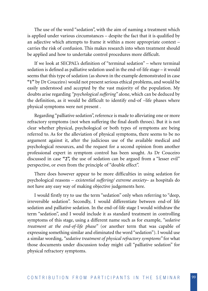The use of the word "sedation", with the aim of naming a treatment which is applied under various circumstances – despite the fact that it is qualified by an adjective which attempts to frame it within a more appropriate context – carries the risk of confusion. This makes research into when treatment should be applied and how to undertake control procedures more difficult.

If we look at SECPAL's definition of "terminal sedation" – where terminal sedation is defined as palliative sedation used in the end-of-life stage – it would seems that this type of sedation (as shown in the example demonstrated in case **"1"** by Dr Couceiro) would not present serious ethical problems, and would be easily understood and accepted by the vast majority of the population. My doubts arise regarding *"psychological suffering"* alone, which can be deduced by the definition, as it would be difficult to identify end-of –life phases where physical symptoms were not present .

Regarding "palliative sedation", reference is made to alleviating one or more refractory symptoms (not when suffering the final death throes). But it is not clear whether physical, psychological or both types of symptoms are being referred to. As for the alleviation of physical symptoms, there seems to be no argument against it, after the judicious use of the available medical and psychological resources, and the request for a second opinion from another professional expert in symptom control has been sought. As Dr Couceiro discussed in case **"2",** the use of sedation can be argued from a "lesser evil" perspective, or even from the principle of "double effect".

There does however appear to be more difficulties in using sedation for psychological reasons – *existential suffering/ extreme anxiety*– as hospitals do not have any easy way of making objective judgements here.

I would firstly try to use the term "sedation" only when referring to "deep, irreversible sedation". Secondly, I would differentiate between end-of life sedation and palliative sedation. In the end-of-life stage I would withdraw the term "sedation", and I would include it as standard treatment in controlling symptoms of this stage, using a different name such as for example, *"sedative treatment at the end-of-life phase"* (or another term that was capable of expressing something similar and eliminated the word "sedation"). I would use a similar wording, *"sedative treatment of physical refractory symptoms"* for what those documents under discussion today might call "palliative sedation" for physical refractory symptoms.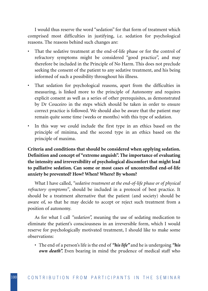I would thus reserve the word "sedation" for that form of treatment which comprised most difficulties in justifying, i.e. sedation for psychological reasons. The reasons behind such changes are:

- That the sedative treatment at the end-of-life phase or for the control of refractory symptoms might be considered "good practice", and may therefore be included in the Principle of No Harm. This does not preclude seeking the consent of the patient to any sedative treatment, and his being informed of such a possibility throughout his illness.
- That sedation for psychological reasons, apart from the difficulties in measuring, is linked more to the principle of Autonomy and requires explicit consent as well as a series of other prerequisites, as demonstrated by Dr Couceiro in the steps which should be taken in order to ensure correct practice is followed. We should also be aware that the patient may remain quite some time (weeks or months) with this type of sedation.
- In this way we could include the first type in an ethics based on the principle of minima, and the second type in an ethics based on the principle of maxima.

**Criteria and conditions that should be considered when applying sedation. Definition and concept of "extreme anguish". The importance of evaluating the intensity and irreversibility of psychological discomfort that might lead to palliative sedation. Can some or most cases of uncontrolled end-of-life anxiety be prevented? How? When? Where? By whom?**

What I have called, *"sedative treatment at the end-of-life phase or of physical refractory symptoms"*, should be included in a protocol of best practice. It should be a treatment alternative that the patient (and society) should be aware of, so that he may decide to accept or reject such treatment from a position of autonomy.

As for what I call *"sedation",* meaning the use of sedating medication to eliminate the patient's consciousness in an irreversible form, which I would reserve for psychologically motivated treatment, I should like to make some observations:

• The end of a person's life is the end of *"his life"* and he is undergoing *"his own death".* Even bearing in mind the prudence of medical staff who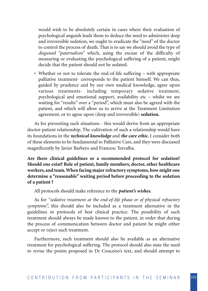would wish to be absolutely certain in cases where their evaluation of psychological anguish leads them to deduce the need to administer deep and irreversible sedation, we ought to eradicate the "need" of the doctor to control the process of death. That is to say we should avoid the type of *disguised "paternalism"* which, using the excuse of the difficulty of measuring or evaluating the psychological suffering of a patient, might decide that the patient should not be sedated.

• Whether or not to tolerate the end-of-life suffering – with appropriate palliative treatment- corresponds to the patient himself. We can thus, guided by prudence and by our own medical knowledge, agree upon various treatments- including temporary sedative treatment, psychological and emotional support, availability etc – whilst we are waiting for "results" over a "period", which must also be agreed with the patient, and which will allow us to arrive at the Treatment Limitation agreement, or to agree upon (deep and irreversible) **sedation.**

As for preventing such situations - this would derive from an appropriate doctor-patient relationship. The cultivation of such a relationship would have its foundations in the *technical knowledge* and *the care ethic.* I consider both of these elements to be fundamental to Palliative Care, and they were discussed magnificently by Javier Barbero and Francesc Torralba.

**Are there clinical guidelines or a recommended protocol for sedation? Should one exist? Role of patient, family members, doctor, other healthcare workers, and team. When facing major refractory symptoms, how might one determine a "reasonable" waiting period before proceeding to the sedation of a patient ?**

All protocols should make reference to the *patient's wishes.*

As for *"sedative treatment at the end-of-life phase or of physical refractory symptoms",* this should also be included as a treatment alternative in the guidelines or protocols of best clinical practice. The possibility of such treatment should always be made known to the patient, in order that during the process of communication between doctor and patient he might either accept or reject such treatment.

Furthermore, such treatment should also be available as an alternative treatment for psychological suffering. The protocol should also state the need to revise the points proposed in Dr Couceiro's text, and should attempt to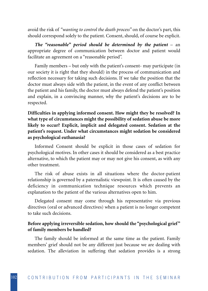avoid the risk of *"wanting to control the death process"* on the doctor's part, this should correspond solely to the patient. Consent, should, of course be explicit.

*The "reasonable" period should be determined by the patient – an* appropriate degree of communication between doctor and patient would facilitate an agreement on a "reasonable period".

Family members – but only with the patient's consent- may participate (in our society it is right that they should) in the process of communication and reflection necessary for taking such decisions. If we take the position that the doctor must always side with the patient, in the event of any conflict between the patient and his family, the doctor must always defend the patient's position and explain, in a convincing manner, why the patient's decisions are to be respected.

# **Difficulties in applying informed consent. How might they be resolved? In what type of circumstances might the possibility of sedation abuse be more likely to occur? Explicit, implicit and delegated consent. Sedation at the patient's request. Under what circumstances might sedation be considered as psychological euthanasia?**

Informed Consent should be explicit in those cases of sedation for psychological motives. In other cases it should be considered as a best practice alternative, to which the patient may or may not give his consent, as with any other treatment.

The risk of abuse exists in all situations where the doctor-patient relationship is governed by a paternalistic viewpoint. It is often caused by the deficiency in communication technique resources which prevents an explanation to the patient of the various alternatives open to him.

Delegated consent may come through his representative via previous directives (oral or advanced directives) when a patient is no longer competent to take such decisions.

# **Before applying irreversible sedation, how should the "psychological grief " of family members be handled?**

The family should be informed at the same time as the patient. Family members' grief should not be any different just because we are dealing with sedation. The alleviation in suffering that sedation provides is a strong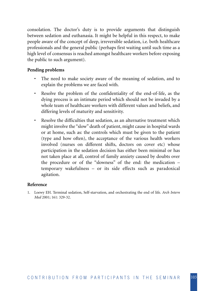consolation. The doctor's duty is to provide arguments that distinguish between sedation and euthanasia. It might be helpful in this respect, to make people aware of the concept of deep, irreversible sedation, i.e. both healthcare professionals and the general public (perhaps first waiting until such time as a high level of consensus is reached amongst healthcare workers before exposing the public to such argument).

# **Pending problems**

- The need to make society aware of the meaning of sedation, and to explain the problems we are faced with.
- Resolve the problem of the confidentiality of the end-of-life, as the dying process is an intimate period which should not be invaded by a whole team of healthcare workers with different values and beliefs, and differing levels of maturity and sensitivity.
- Resolve the difficulties that sedation, as an alternative treatment which might involve the "slow" death of patient, might cause in hospital wards or at home, such as: the controls which must be given to the patient (type and how often), the acceptance of the various health workers involved (nurses on different shifts, doctors on cover etc) whose participation in the sedation decision has either been minimal or has not taken place at all, control of family anxiety caused by doubts over the procedure or of the "slowness" of the end: the medication – temporary wakefulness – or its side effects such as paradoxical agitation.

## **Reference**

1. Loewy EH. Terminal sedation, Self-starvation, and orchestrating the end of life. *Arch Intern Med* 2001; 161: 329-32.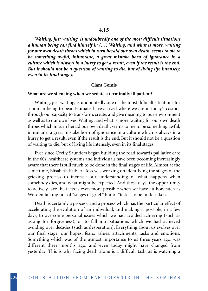*Waiting, just waiting, is undoubtedly one of the most difficult situations a human being can find himself in (…) Waiting, and what is more, waiting for our own death throes which in turn herald our own death, seems to me to be something awful, inhumane, a great mistake born of ignorance in a culture which is always in a hurry to get a result, even if the result is the end. But it should not be a question of waiting to die, but of living life intensely, even in its final stages.*

## **Clara Gomis**

#### **What are we silencing when we sedate a terminally ill patient?**

Waiting, just waiting, is undoubtedly one of the most difficult situations for a human being to bear. Humans have arrived where we are in today's cosmos through our capacity to transform, create, and give meaning to our environment as well as to our own lives. Waiting, and what is more, waiting for our own death throes which in turn herald our own death, seems to me to be something awful, inhumane, a great mistake born of ignorance in a culture which is always in a hurry to get a result, even if the result is the end. But it should not be a question of waiting to die, but of living life intensely, even in its final stages.

Ever since Cecily Saunders began building the road towards palliative care in the 60s, healthcare systems and individuals have been becoming increasingly aware that there is still much to be done in the final stages of life. Almost at the same time, Elisabeth Kübler-Ross was working on identifying the stages of the grieving process to increase our understanding of what happens when somebody dies, and what might be expected. And these days, the opportunity to actively face the facts is even more possible when we have authors such as Worden talking not of "stages of grief" but of "tasks" to be undertaken.

Death is certainly a process, and a process which has the particular effect of accelerating the evolution of an individual, and making it possible, in a few days, to overcome personal issues which we had avoided achieving (such as asking for forgiveness), or to fall into situations which we had achieved avoiding over decades (such as desperation). Everything about us evolves over our final stage: our hopes, fears, values, attachments, tasks and emotions. Something which was of the utmost importance to us three years ago, was different three months ago, and even today might have changed from yesterday. This is why facing death alone is a difficult task, as is watching a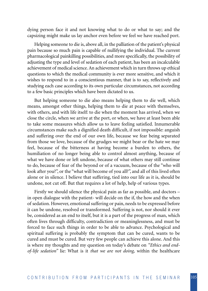dying person face it and not knowing what to do or what to say; and the capsizing might make us lay anchor even before we feel we have reached port.

Helping someone to die is, above all, in the palliation of the patient's physical pain because so much pain is capable of nullifying the individual. The current pharmacological painkilling possibilities, and more specifically, the possibility of adjusting the type and level of sedation of each patient, has been an incalculable achievement of medical science. An achievement which in turn throws up ethical questions to which the medical community is ever more sensitive, and which it wishes to respond to in a conscientious manner, that is to say, reflectively and studying each case according to its own particular circumstances, not according to a few basic principles which have been dictated to us.

But helping someone to die also means helping them to die well, which means, amongst other things, helping them to die at peace with themselves, with others, and with life itself: to die when the moment has arrived, when we close the circle, when we arrive at the port, or when, we have at least been able to take some measures which allow us to leave feeling satisfied. Innumerable circumstances make such a dignified death difficult, if not impossible: anguish and suffering over the end of our own life, because we fear being separated from those we love, because of the grudges we might bear or the hate we may feel, because of the bitterness at having become a burden to others, the humiliation of no longer being able to control almost anything, because of what we have done or left undone, because of what others may still continue to do, because of fear of the beyond or of a vacuum, because of the "who will look after you?", or the "what will become of you all?", and all of this lived often alone or in silence. I believe that suffering, tied into our life as it is, should be undone, not cut off. But that requires a lot of help, help of various types.

Firstly we should silence the physical pain as far as possible, and doctors – in open dialogue with the patient- will decide on the if, the how and the when of sedation. However, emotional suffering or pain, needs to be expressed before it can be undone, resolved or transformed. Suffering is not, nor should it ever be, considered as an end to itself, but it is a part of the progress of man, which often lives through difficulty, contradiction or meaninglessness, and must be forced to face such things in order to be able to advance. Psychological and spiritual suffering is probably the symptom that can be cured, wants to be cured and must be cured. But very few people can achieve this alone. And this is where my thoughts and my question on today's debate on *"Ethics and endof-life sedation"* lie: What is it *that we are not doing,* within the healthcare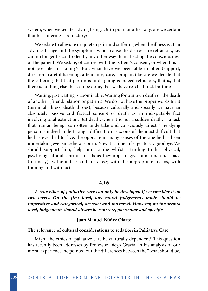system, when we sedate a dying being? Or to put it another way: are we certain that his suffering is refractory?

We sedate to alleviate or quieten pain and suffering when the illness is at an advanced stage and the symptoms which cause the distress are refractory, i.e. can no longer be controlled by any other way than affecting the consciousness of the patient. We sedate, of course, with the patient's consent, or when this is not possible, his family's. But, what have we been able to offer (support, direction, careful listening, attendance, care, company) before we decide that the suffering that that person is undergoing is indeed refractory, that is, that there is nothing else that can be done, that we have reached rock bottom?

Waiting, just waiting is abominable. Waiting for our own death or the death of another (friend, relation or patient). We do not have the proper words for it (terminal illness, death throes), because culturally and socially we have an absolutely passive and factual concept of death as an indisputable fact involving total extinction. But death, when it is not a sudden death, is a task that human beings can often undertake and consciously direct. The dying person is indeed undertaking a difficult process, one of the most difficult that he has ever had to face, the opposite in many senses of the one he has been undertaking ever since he was born. Now it is time to let go, to say goodbye. We should support him, help him to die whilst attending to his physical, psychological and spiritual needs as they appear; give him time and space (intimacy); without fear and up close; with the appropriate means, with training and with tact.

# **4.16**

*A true ethos of palliative care can only be developed if we consider it on two levels. On the first level, any moral judgements made should be imperative and categorical, abstract and universal. However, on the second level, judgements should always be concrete, particular and specific*

# **Juan Manuel Núñez Olarte**

### **The relevance of cultural considerations to sedation in Palliative Care**

Might the ethics of palliative care be culturally dependent? This question has recently been addresses by Professor Diego Gracia. In his analysis of our moral experience, he pointed out the differences between the "what should be,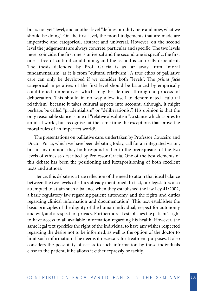but is not yet" level, and another level "defines our duty here and now, what we should be doing". On the first level, the moral judgements that are made are imperative and categorical, abstract and universal. However, on the second level the judgements are always concrete, particular and specific. The two levels never coincide: the first one is universal and the second one is specific, the first one is free of cultural conditioning, and the second is culturally dependent. The thesis defended by Prof. Gracia is as far away from "moral fundamentalism" as it is from "cultural relativism". A true ethos of palliative care can only be developed if we consider both "levels". The *prima facie* categorical imperatives of the first level should be balanced by empirically conditioned imperatives which may be defined through a process of deliberation. This should in no way allow itself to denominated "cultural relativism" because it takes cultural aspects into account, although, it might perhaps be called "prudentialism" or "deliberationist". His opinion is that the only reasonable stance is one of "relative absolutism", a stance which aspires to an ideal world, but recognises at the same time the exceptions that prove the moral rules of an imperfect world<sup>1</sup>.

The presentations on palliative care, undertaken by Professor Couceiro and Doctor Porta, which we have been debating today, call for an integrated vision, but in my opinion, they both respond rather to the prerequisites of the two levels of ethics as described by Professor Gracia. One of the best elements of this debate has been the positioning and juxtapositioning of both excellent texts and authors.

Hence, this debate is a true reflection of the need to attain that ideal balance between the two levels of ethics already mentioned. In fact, our legislators also attempted to attain such a balance when they established the law Ley 41/2002, a basic regulatory law regarding patient autonomy, and the rights and duties regarding clinical information and documentation<sup>2</sup>. This text establishes the basic principles of the dignity of the human individual, respect for autonomy and will, and a respect for privacy. Furthermore it establishes the patient's right to have access to all available information regarding his health. However, the same legal text specifies the right of the individual to have any wishes respected regarding the desire not to be informed, as well as the option of the doctor to limit such information if he deems it necessary for treatment purposes. It also considers the possibility of access to such information by those individuals close to the patient, if he allows it either expressly or tacitly.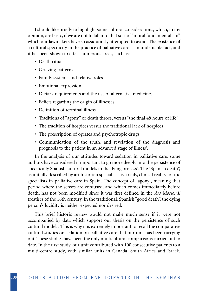I should like briefly to highlight some cultural considerations, which, in my opinion, are basic, if we are not to fall into that sort of "moral fundamentalism" which our lawmakers have so assiduously attempted to avoid. The existence of a cultural specificity in the practice of palliative care is an undeniable fact, and it has been shown to affect numerous areas, such as:

- Death rituals
- Grieving patterns
- Family systems and relative roles
- Emotional expression
- Dietary requirements and the use of alternative medicines
- Beliefs regarding the origin of illnesses
- Definition of terminal illness
- Traditions of "agony" or death throes, versus "the final 48 hours of life"
- The tradition of hospices versus the traditional lack of hospices
- The prescription of opiates and psychotropic drugs
- Communication of the truth, and revelation of the diagnosis and prognosis to the patient in an advanced stage of illness<sup>3</sup>.

In the analysis of our attitudes toward sedation in palliative care, some authors have considered it important to go more deeply into the persistence of specifically Spanish cultural models in the dying process<sup>4</sup>. The "Spanish death", as initially described by art historian specialists, is a daily, clinical reality for the specialists in palliative care in Spain. The concept of "agony", meaning that period where the senses are confused, and which comes immediately before death, has not been modified since it was first defined in the *Ars Moriendi* treatises of the 16th century. In the traditional, Spanish "good death", the dying person's lucidity is neither expected nor desired.

This brief historic review would not make much sense if it were not accompanied by data which support our thesis on the persistence of such cultural models. This is why it is extremely important to recall the comparative cultural studies on sedation on palliative care that our unit has been carrying out. These studies have been the only multicultural comparisons carried out to date. In the first study, our unit contributed with 100 consecutive patients to a multi-centre study, with similar units in Canada, South Africa and Israel<sup>5</sup>.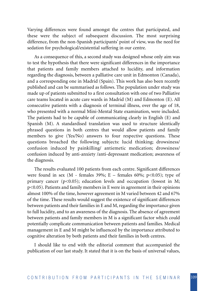Varying differences were found amongst the centres that participated, and these were the subject of subsequent discussion. The most surprising difference, from the non-Spanish participants' point of view, was the need for sedation for psychological/existential suffering in our centre.

As a consequence of this, a second study was designed whose only aim was to test the hypothesis that there were significant differences in the importance that patients and family members attached to lucidity, and information regarding the diagnosis, between a palliative care unit in Edmonton (Canada), and a corresponding one in Madrid (Spain). This work has also been recently published and can be summarised as follows. The population under study was made up of patients submitted to a first consultation with one of two Palliative care teams located in acute care wards in Madrid (M) and Edmonton (E). All consecutive patients with a diagnosis of terminal illness, over the age of 18, who presented with a normal Mini-Mental State examination, were included. The patients had to be capable of communicating clearly in English (E) and Spanish (M). A standardised translation was used to structure identically phrased questions in both centres that would allow patients and family members to give (Yes/No) answers to four respective questions. These questions broached the following subjects: lucid thinking; drowsiness/ confusion induced by painkilling/ antiemetic medication; drowsiness/ confusion induced by anti-anxiety /anti-depressant medication; awareness of the diagnosis.

The results evaluated 100 patients from each centre. Significant differences were found in sex (M - females 39%; E – females 60%; p<0.05); type of primary cancer (p<0.05); education levels and occupation (lowest in M; p<0.05). Patients and family members in E were in agreement in their opinions almost 100% of the time, however agreement in M varied between 42 and 67% of the time. These results would suggest the existence of significant differences between patients and their families in E and M, regarding the importance given to full lucidity, and to an awareness of the diagnosis. The absence of agreement between patients and family members in M is a significant factor which could potentially complicate communication between patients and families. Medical management in E and M might be influenced by the importance attributed to cognitive alteration by both patients and their families in both centres.

I should like to end with the editorial comment that accompanied the publication of our last study. It stated that it is on the basis of universal values,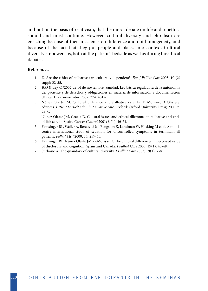and not on the basis of relativism, that the moral debate on life and bioethics should and must continue. However, cultural diversity and pluralism are enriching because of their insistence on difference and not homogeneity, and because of the fact that they put people and places into context. Cultural diversity empowers us, both at the patient's bedside as well as during bioethical debate<sup>7</sup>.

## **References**

- 1. D. Are the ethics of palliative care culturally dependent?. *Eur J Palliat Care* 2003; 10 (2) suppl: 32-35.
- 2. *B.O.E.* Ley 41/2002 de 14 de noviembre. Sanidad. Ley básica reguladora de la autonomía del paciente y de derechos y obligaciones en materia de información y documentación clínica. 15 de noviembre 2002; 274: 40126.
- 3. Núñez Olarte JM. Cultural difference and palliative care. En B Monroe, D Oliviere, editores. *Patient participation in palliative care.* Oxford: Oxford University Press; 2003. p. 74-87.
- 4. Núñez Olarte JM, Gracia D. Cultural issues and ethical dilemmas in palliative and endof-life care in Spain. *Cancer Control* 2001; 8 (1): 46-54.
- 5. Fainsinger RL, Waller A, Bercovici M, Bengston K, Landman W, Hosking M et al. A multicentre international study of sedation for uncontrolled symptoms in terminally ill patients. *Palliat Med* 2000; 14: 257-65.
- 6. Fainsinger RL, Núñez Olarte JM, deMoissac D. The cultural differences in perceived value of disclosure and cognition: Spain and Canada. *J Palliat Care* 2003; 19(1): 43-48.
- 7. Surbone A. The quandary of cultural diversity. *J Palliat Care* 2003; 19(1): 7-8.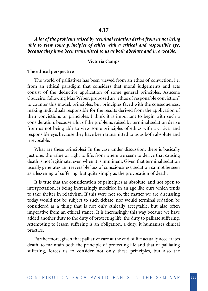#### **4.17**

*A lot of the problems raised by terminal sedation derive from us not being able to view some principles of ethics with a critical and responsible eye, because they have been transmitted to us as both absolute and irrevocable.*

#### **Victoria Camps**

#### **The ethical perspective**

The world of palliatives has been viewed from an ethos of conviction, i.e. from an ethical paradigm that considers that moral judgements and acts consist of the deductive application of some general principles. Azucena Couceiro, following Max Weber, proposed an "ethos of responsible conviction" to counter this model: principles, but principles faced with the consequences, making individuals responsible for the results derived from the application of their convictions or principles. I think it is important to begin with such a consideration, because a lot of the problems raised by terminal sedation derive from us not being able to view some principles of ethics with a critical and responsible eye, because they have been transmitted to us as both absolute and irrevocable.

What are these principles? In the case under discussion, there is basically just one: the value or right to life, from where we seem to derive that causing death is not legitimate, even when it is imminent. Given that terminal sedation usually generates an irreversible loss of consciousness, sedation cannot be seen as a lessening of suffering, but quite simply as the provocation of death.

It is true that the consideration of principles as absolute, and not open to interpretation, is being increasingly modified in an age like ours which tends to take shelter in relativism. If this were not so, the matter we are discussing today would not be subject to such debate, nor would terminal sedation be considered as a thing that is not only ethically acceptable, but also often imperative from an ethical stance. It is increasingly this way because we have added another duty to the duty of protecting life: the duty to palliate suffering. Attempting to lessen suffering is an obligation, a duty, it humanises clinical practice.

Furthermore, given that palliative care at the end of life actually accelerates death, to maintain both the principle of protecting life and that of palliating suffering, forces us to consider not only these principles, but also the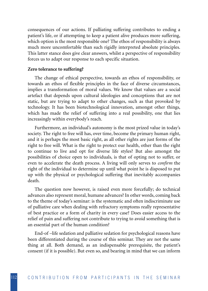consequences of our actions. If palliating suffering contributes to ending a patient's life, or if attempting to keep a patient alive produces more suffering, which option is the most responsible one? The ethos of responsibility is always much more uncomfortable than such rigidly interpreted absolute principles. This latter stance does give clear answers, whilst a perspective of responsibility forces us to adapt our response to each specific situation.

#### **Zero tolerance to suffering?**

The change of ethical perspective, towards an ethos of responsibility, or towards an ethos of flexible principles in the face of diverse circumstances, implies a transformation of moral values. We know that values are a social artefact that depends upon cultural ideologies and conceptions that are not static, but are trying to adapt to other changes, such as that provoked by technology. It has been biotechnological innovation, amongst other things, which has made the relief of suffering into a real possibility, one that lies increasingly within everybody's reach.

Furthermore, an individual's autonomy is the most prized value in today's society. The right to free will has, over time, become the primary human right, and it is perhaps the most basic right, as all other rights are just forms of the right to free will. What is the right to protect our health, other than the right to continue to live and opt for diverse life styles? But also amongst the possibilities of choice open to individuals, is that of opting not to suffer, or even to accelerate the death process. A living will only serves to *confirm* the right of the individual to determine up until what point he is disposed to put up with the physical or psychological suffering that inevitably accompanies death.

The question now however, is raised even more forcefully; do technical advances also represent moral, humane advances? In other words, coming back to the theme of today's seminar: is the systematic and often indiscriminate use of palliative care when dealing with refractory symptoms really representative of best practice or a form of charity in every case? Does easier access to the relief of pain and suffering not contribute to trying to avoid something that is an essential part of the human condition?

End-of –life sedation and palliative sedation for psychological reasons have been differentiated during the course of this seminar. They are not the same thing at all. Both demand, as an indispensable prerequisite, the patient's consent (if it is possible). But even so, and bearing in mind that we can inform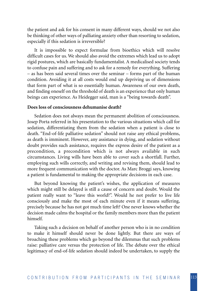the patient and ask for his consent in many different ways, should we not also be thinking of other ways of palliating anxiety other than resorting to sedation, especially if this sedation is irreversible?

It is impossible to expect formulae from bioethics which will resolve difficult cases for us. We should also avoid the extremes which lead us to adopt rigid postures, which are basically fundamentalist. A medicalised society tends to confuse pain and suffering and to ask for a remedy for everything. Suffering – as has been said several times over the seminar – forms part of the human condition. Avoiding it at all costs would end up depriving us of dimensions that form part of what is so essentially human. Awareness of our own death, and finding oneself on the threshold of death is an experience that only human beings can experience. As Heidegger said, man is a "being towards death".

#### **Does loss of consciousness dehumanise death?**

Sedation does not always mean the permanent abolition of consciousness. Josep Porta referred in his presentation to the various situations which call for sedation, differentiating them from the sedation when a patient is close to death. "End-of-life palliative sedation" should not raise any ethical problems, as death is imminent. However, any assistance in dying, and sedation without doubt provides such assistance, requires the express desire of the patient as a precondition, a precondition which is not always available in such circumstances. Living wills have been able to cover such a shortfall. Further, employing such wills correctly, and writing and revising them, should lead to more frequent communication with the doctor. As Marc Broggi says, knowing a patient is fundamental to making the appropriate decisions in each case.

But beyond knowing the patient's wishes, the application of measures which might still be delayed is still a cause of concern and doubt. Would the patient really want to "leave this world?". Would he not prefer to live life consciously and make the most of each minute even if it means suffering, precisely because he has not got much time left? One never knows whether the decision made calms the hospital or the family members more than the patient himself.

Taking such a decision on behalf of another person who is in no condition to make it himself should never be done lightly. But there are ways of broaching these problems which go beyond the dilemmas that such problems raise: palliative care versus the protection of life. The debate over the ethical legitimacy of end-of-life sedation should indeed be undertaken, to supply the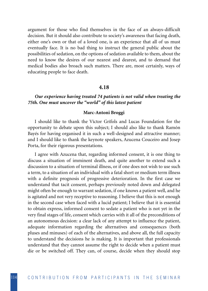argument for those who find themselves in the face of an always-difficult decision. But it should also contribute to society's awareness that facing death, either one's own or that of a loved one, is an experience that all of us must eventually face. It is no bad thing to instruct the general public about the possibilities of sedation, on the options of sedation available to them, about the need to know the desires of our nearest and dearest, and to demand that medical bodies also broach such matters. There are, most certainly, ways of educating people to face death.

#### **4.18**

### *Our experience having treated 74 patients is not valid when treating the 75th. One must uncover the "world" of this latest patient*

#### **Marc-Antoni Broggi**

I should like to thank the Víctor Grífols and Lucas Foundation for the opportunity to debate upon this subject; I should also like to thank Ramón Bayés for having organised it in such a well-designed and attractive manner; and I should like to thank the keynote speakers, Azucena Couceiro and Josep Porta, for their rigorous presentations.

I agree with Azucena that, regarding informed consent, it is one thing to discuss a situation of imminent death, and quite another to extend such a discussion to a situation of terminal illness, or if one does not wish to use such a term, to a situation of an individual with a fatal short or medium term illness with a definite prognosis of progressive deterioration. In the first case we understand that tacit consent, perhaps previously noted down and delegated might often be enough to warrant sedation, if one knows a patient well, and he is agitated and not very receptive to reasoning. I believe that this is not enough in the second case when faced with a lucid patient; I believe that it is essential to obtain express, informed consent to sedate a patient who is not yet in the very final stages of life, consent which carries with it all of the preconditions of an autonomous decision: a clear lack of any attempt to influence the patient, adequate information regarding the alternatives and consequences (both pluses and minuses) of each of the alternatives, and above all, the full capacity to understand the decisions he is making. It is important that professionals understand that they cannot assume the right to decide when a patient must die or be switched off. They can, of course, decide when they should stop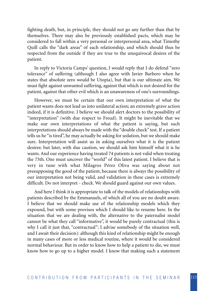fighting death, but, in principle, they should not go any further than that by themselves. There may also be previously established pacts, which may be considered to fall within a very personal or interpersonal area, what Timothy Quill calls the "dark areas" of each relationship, and which should thus be respected from the outside if they are true to the unequivocal desires of the patient.

In reply to Victoria Camps' question, I would reply that I do defend "zero tolerance" of suffering (although I also agree with Javier Barbero when he states that absolute zero would be Utopia), but that is our ultimate aim. We must fight against unwanted suffering, against that which is not desired for the patient, against that other evil which is an unawareness of one's surroundings.

However, we must be certain that our own interpretation of what the patient wants does not lead us into unilateral action; an extremely grave action indeed, if it is definitive. I believe we should alert doctors to the possibility of "interpretation" (with due respect to Freud). It might be inevitable that we make our own interpretations of what the patient is saying, but such interpretations should always be made with the "double check" test. If a patient tells us he "is tired", he may actually be asking for sedation, but we should make sure. Interpretation will assist us in asking ourselves what it is the patient desires: but later, with due caution, we should ask him himself what it is he wants. And our experience having treated 74 patients is not valid when treating the 75th. One must uncover the "world" of this latest patient. I believe that is very in tune with what Milagros Pérez Oliva was saying about not presupposing the good of the patient, because there is always the possibility of our interpretation not being valid, and validation in these cases is extremely difficult. Do not interpret - check. We should guard against our own values.

And here I think it is appropriate to talk of the models of relationships with patients described by the Emmanuels, of which all of you are no doubt aware. I believe that we should make use of the relationship models which they expound, but with some provisos which I should like to resume here. In the situation that we are dealing with, the alternative to the paternalist model cannot be what they call "informative", it would be purely contractual (this is why I call it just that, "contractual": I advise somebody of the situation well, and I await their decision): although this kind of relationship might be enough in many cases of more or less medical routine, where it would be considered normal behaviour. But in order to know how to help a patient to die, we must know how to go up to a higher model. I know that making such a statement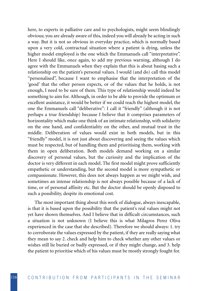here, to experts in palliative care and to psychologists, might seem blindingly obvious; you are already aware of this, indeed you will already be acting in such a way. But it is not so obvious in everyday practice, which is normally based upon a very cold, contractual situation where a patient is dying, unless the higher model employed is the one which the Emmanuels call "interpretative". Here I should like, once again, to add my previous warning, although I do agree with the Emmanuels when they explain that this is about basing such a relationship on the patient's personal values. I would (and do) call this model "personalised", because I want to emphasise that the interpretation of the 'good' that the other person expects, or of the values that he holds, is not enough, I need to be sure of them. This type of relationship would indeed be something to aim for. Although, in order to be able to provide the optimum or excellent assistance, it would be better if we could reach the highest model, the one the Emmanuels call "deliberative": I call it "friendly" (although it is not perhaps a true friendship) because I believe that it comprises parameters of horizontality which make one think of an intimate relationship, with solidarity on the one hand, and confidentiality on the other, and mutual trust in the middle. Deliberation of values would exist in both models, but in this "friendly" model, it is not just about discovering and seeing the values which must be respected, but of handling them and prioritising them, working with them in open deliberation. Both models demand working on a similar discovery of personal values, but the curiosity and the implication of the doctor is very different in each model. The first model might prove sufficiently empathetic or understanding, but the second model is more sympathetic or compassionate. However, this does not always happen as we might wish, and sometimes an intense relationship is not always possible because of a lack of time, or of personal affinity etc. But the doctor should be openly disposed to such a possibility, despite its emotional cost.

The most important thing about this work of dialogue, always inescapable, is that it is based upon the possibility that the patient's real values might not yet have shown themselves. And I believe that in difficult circumstances, such a situation is not unknown (I believe this is what Milagros Perez Oliva experienced in the case that she described). Therefore we should always: 1. try to corroborate the values expressed by the patient, if they are really saying what they mean to say 2. check and help him to check whether any other values or wishes still lie buried or badly expressed, or if they might change, and 3. help the patient to prioritise which of his values must be mostly strongly fought for.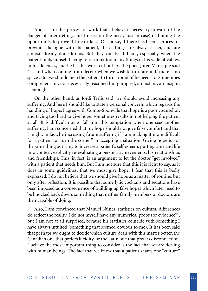And it is in this process of work that I believe it necessary to warn of the danger of interpreting, and I insist on the need, 'just in case', of finding the opportunity to prove it true or false. Of course, if there has been a process of previous dialogue with the patient, these things are always easier, and are almost already done for us. But they can be difficult, especially when the patient finds himself having to re-think too many things in his scale of values, in his defences, and he has his work cut out. As the poet, Jorge Manrique said "… and when coming from deceit/ when we wish to turn around/ there is no space". But we should help the patient to turn around if he needs to. Sometimes comprehension, not necessarily reasoned but glimpsed, an instant, an insight, is enough.

On the other hand, as Jordi Trelis said, we should avoid increasing any suffering. And here I should like to state a personal concern, which regards the handling of hope. I agree with Comte-Sponville that hope is a poor counsellor, and trying too hard to give hope, sometimes results in not helping the patient at all. It is difficult not to fall into this temptation when one sees another suffering. I am concerned that my hope should not give false comfort and that I might, in fact, be increasing future suffering if I am making it more difficult for a patient to "turn the corner" in accepting a situation. Giving hope is not the same thing as trying to increase a patient's self esteem, putting time and life into context, explicitly re-evaluating a person's achievements, his relationships and friendships. This, in fact, is an argument to let the doctor "get involved" with a patient that needs him. But I am not sure that this it is right to say, as it does in some guidelines, that we must give hope. I fear that this is badly expressed. I do not believe that we should give hope as a matter of routine, but only after reflection. It is possible that some lytic cocktails and sedations have been imposed as a consequence of building up false hopes which later need to be knocked back down, something that neither family members or doctors are then capable of doing.

Also, I am convinced that Manuel Núñez' statistics on cultural differences do reflect the reality. I do not myself have any numerical proof (or evidence?), but I am not at all surprised, because his statistics coincide with something I have always intuited (something that seemed obvious to me). It has been said that perhaps we ought to decide which culture deals with this matter better, the Canadian one that prefers lucidity, or the Latin one that prefers disconnection. I believe the most important thing to consider is the fact that we are dealing with human beings. The fact that we know that a patient shares one "culture"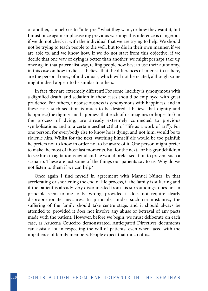or another, can help us to "interpret" what they want, or how they want it, but I must once again emphasise my previous warning: this inference is dangerous if we do not check it with the individual that we are trying to help. We should not be trying to teach people to die well, but to die in their own manner, if we are able to, and we know how. If we do not start from this objective, if we decide that one way of dying is better than another, we might perhaps take up once again that paternalist way, telling people how best to use their autonomy, in this case on how to die… I believe that the differences of interest to us here, are the personal ones, of individuals, which will not be related, although some might indeed appear to be similar to others.

In fact, they are extremely different! For some, lucidity is synonymous with a dignified death, and sedation in these cases should be employed with great prudence. For others, unconsciousness is synonymous with happiness, and in these cases such sedation is much to be desired. I believe that dignity and happiness(the dignity and happiness that each of us imagines or hopes for) in the process of dying, are already extremely connected to previous symbolisations and to a certain aesthetic(that of "life as a work of art"). For one person, for everybody else to know he is dying, and not him, would be to ridicule him. Whilst for the next, watching himself die would be too painful: he prefers not to know in order not to be aware of it. One person might prefer to make the most of those last moments. But for the next, for his grandchildren to see him in agitation is awful and he would prefer sedation to prevent such a scenario. These are just some of the things our patients say to us. Why do we not listen to them if we can help?

Once again I find myself in agreement with Manuel Núñez, in that accelerating or shortening the end of life process, if the family is suffering and if the patient is already very disconnected from his surroundings, does not in principle seem to me to be wrong, provided it does not require clearly disproportionate measures. In principle, under such circumstances, the suffering of the family should take centre stage, and it should always be attended to, provided it does not involve any abuse or betrayal of any pacts made with the patient. However, before we begin, we must deliberate on each case, as Azucena Couceiro demonstrated. Anticipated Directives documents can assist a lot in respecting the will of patients, even when faced with the impatience of family members. People expect that much of us.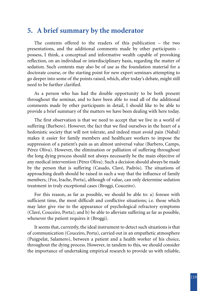### **5. A brief summary by the moderator**

The contents offered to the readers of this publication – the two presentations, and the additional comments made by other participants possess, I think, a conceptual and informative wealth capable of provoking reflection, on an individual or interdisciplinary basis, regarding the matter of sedation. Such contents may also be of use as the foundation material for a doctorate course, or the starting point for new expert seminars attempting to go deeper into some of the points raised, which, after today's debate, might still need to be further clarified.

As a person who has had the double opportunity to be both present throughout the seminar, and to have been able to read all of the additional comments made by other participants in detail, I should like to be able to provide a brief summary of the matters we have been dealing with here today.

The first observation is that we need to accept that we live in a world of suffering (Barbero). However, the fact that we find ourselves in the heart of a hedonistic society that will not tolerate, and indeed must avoid pain (Nabal) makes it easier for family members and healthcare workers to impose the suppression of a patient's pain as an almost universal value (Barbero, Camps, Pérez Oliva). However, the elimination or palliation of suffering throughout the long dying process should not always necessarily be the main objective of any medical intervention (Pérez Oliva). Such a decision should always be made by the person that is suffering (Casado, Clavé, Padrós). The situations of approaching death should be raised in such a way that the influence of family members, (Foz, Irache, Porta), although of value, can only determine sedation treatment in truly exceptional cases (Broggi, Couceiro).

For this reason, as far as possible, we should be able to: a) foresee with sufficient time, the most difficult and conflictive situations; i.e. those which may later give rise to the appearance of psychological refractory symptoms (Clavé, Couceiro, Porta); and b) be able to alleviate suffering as far as possible, whenever the patient requires it (Broggi).

It seems that, currently, the ideal instrument to detect such situations is that of communication (Couceiro, Porta), carried out in an empathetic atmosphere (Puigpelat, Salamero), between a patient and a health worker of his choice, throughout the dying process. However, in tandem to this, we should consider the importance of undertaking empirical research to provide us with reliable,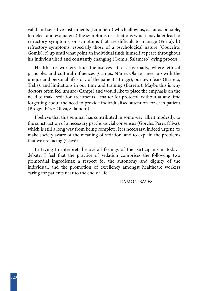valid and sensitive instruments (Limonero) which allow us, as far as possible, to detect and evaluate: a) the symptoms or situations which may later lead to refractory symptoms, or symptoms that are difficult to manage (Porta): b) refractory symptoms, especially those of a psychological nature (Couceiro, Gomis); c) up until what point an individual finds himself at peace throughout his individualised and constantly changing (Gomis, Salamero) dying process.

Healthcare workers find themselves at a crossroads, where ethical principles and cultural influences (Camps, Núñez Olarte) meet up with the unique and personal life story of the patient (Broggi), our own fears (Barreto, Trelis), and limitations in our time and training (Barreto). Maybe this is why doctors often feel unsure (Camps) and would like to place the emphasis on the need to make sedation treatments a matter for protocol, without at any time forgetting about the need to provide individualised attention for each patient (Broggi, Pérez Oliva, Salamero).

I believe that this seminar has contributed in some way, albeit modestly, to the construction of a necessary psycho-social consensus (Gorchs, Pérez Oliva), which is still a long way from being complete. It is necessary, indeed urgent, to make society aware of the meaning of sedation, and to explain the problems that we are facing (Clavé).

In trying to interpret the overall feelings of the participants in today's debate, I feel that the practice of sedation comprises the following two primordial ingredients: a respect for the autonomy and dignity of the individual, and the promotion of excellency amongst healthcare workers caring for patients near to the end of life.

### RAMON BAYÉS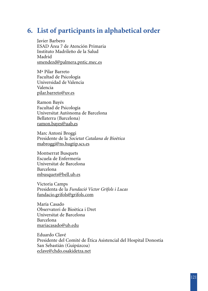## **6. List of participants in alphabetical order**

Javier Barbero ESAD Área 7 de Atención Primaria Instituto Madrileño de la Salud Madrid smendezd@palmera.pntic.mec.es

Mª Pilar Barreto Facultad de Psicología Universidad de Valencia Valencia pilar.barreto@uv.es

Ramon Bayés Facultad de Psicología Universitat Autònoma de Barcelona Bellaterra (Barcelona) ramon.bayes@uab.es

Marc Antoni Broggi Presidente de la *Societat Catalana de Bioètica* mabroggi@ns.hugtip.scs.es

Montserrat Busquets Escuela de Enfermería Universitat de Barcelona Barcelona mbusquets@bell.ub.es

Victoria Camps Presidenta de la *Fundació Victor Grífols i Lucas* fundacio.grifols@grifols.com

María Casado Observatori de Bioètica i Dret Universitat de Barcelona Barcelona mariacasado@ub.edu

Eduardo Clavé Presidente del Comité de Ética Asistencial del Hospital Donostia San Sebastián (Guipúzcoa) eclave@chdo.osakidetza.net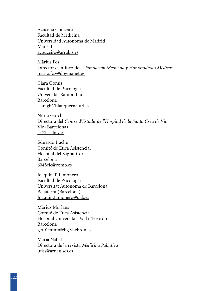Azucena Couceiro Facultad de Medicina Universidad Autónoma de Madrid Madrid acouceiro@arrakis.es

Màrius Foz Director científico de la *Fundación Medicina y Humanidades Médicas* mario.foz@doymanet.es

Clara Gomis Facultad de Psicología Universitat Ramon Llull Barcelona claragb@blanquerna.url.es

Núria Gorchs Directora del *Centre d'Estudis de l'Hospital de la Santa Creu de Vic* Vic (Barcelona) ce@hsc.hgv.es

Eduardo Irache Comité de Ética Asistencial Hospital del Sagrat Cor Barcelona 6045eie@comb.es

Joaquín T. Limonero Facultad de Psicología Universitat Autònoma de Barcelona Bellaterra (Barcelona) Joaquin.Limonero@uab.es

Màrius Morlans Comité de Ética Asistencial Hospital Universitari Vall d'Hebron Barcelona ger01mmm@hg.vhebron.es

Maria Nabal Directora de la revista *Medicina Paliativa* ufiss@arnau.scs.es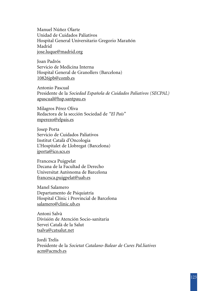Manuel Núñez Olarte Unidad de Cuidados Paliativos Hospital General Universitario Gregorio Marañón Madrid jose.luque@madrid.org

Joan Padrós Servicio de Medicina Interna Hospital General de Granollers (Barcelona) 10826jpb@comb.es

Antonio Pascual Presidente de la *Sociedad Española de Cuidados Paliativos (SECPAL)* apascual@hsp.santpau.es

Milagros Pérez Oliva Redactora de la sección Sociedad de *"El País"* mperezo@elpais.es

Josep Porta Servicio de Cuidados Paliativos Institut Català d'Oncologia L'Hospitalet de Llobregat (Barcelona) jporta@ico.scs.es

Francesca Puigpelat Decana de la Facultad de Derecho Universitat Autònoma de Barcelona francesca.puigpelat@uab.es

Manel Salamero Departamento de Psiquiatría Hospital Clínic i Provincial de Barcelona salamero@clinic.ub.es

Antoni Salvà División de Atención Socio-sanitaria Servei Català de la Salut tsalva@catsalut.net

Jordi Trelis Presidente de la *Societat Catalano-Balear de Cures Pal.liatives* acm@acmcb.es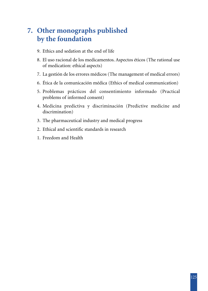## **7. Other monographs published by the foundation**

- 9. Ethics and sedation at the end of life
- 8. El uso racional de los medicamentos. Aspectos éticos (The rational use of medication: ethical aspects)
- 7. La gestión de los errores médicos (The management of medical errors)
- 6. Ética de la comunicación médica (Ethics of medical communication)
- 5. Problemas prácticos del consentimiento informado (Practical problems of informed consent)
- 4. Medicina predictiva y discriminación (Predictive medicine and discrimination)
- 3. The pharmaceutical industry and medical progress
- 2. Ethical and scientific standards in research
- 1. Freedom and Health